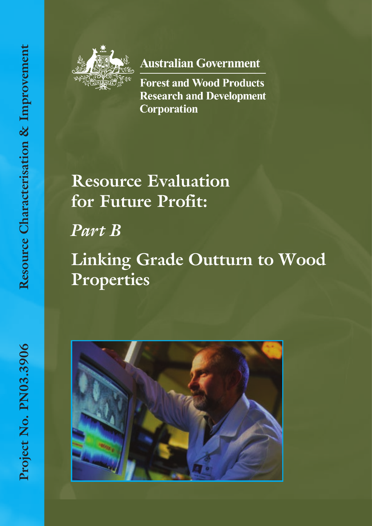

**Australian Government** 

**Forest and Wood Products Research and Development Corporation** 

# **Resource Evaluation for Future Profit:**

*Part B*

# **Linking Grade Outturn to Wood Properties**

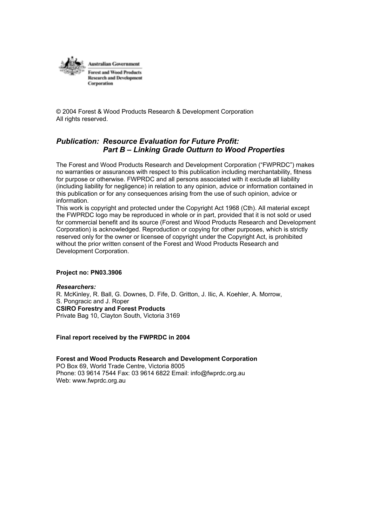

© 2004 Forest & Wood Products Research & Development Corporation All rights reserved.

# *Publication: Resource Evaluation for Future Profit: Part B – Linking Grade Outturn to Wood Properties*

The Forest and Wood Products Research and Development Corporation ("FWPRDC") makes no warranties or assurances with respect to this publication including merchantability, fitness for purpose or otherwise. FWPRDC and all persons associated with it exclude all liability (including liability for negligence) in relation to any opinion, advice or information contained in this publication or for any consequences arising from the use of such opinion, advice or information.

This work is copyright and protected under the Copyright Act 1968 (Cth). All material except the FWPRDC logo may be reproduced in whole or in part, provided that it is not sold or used for commercial benefit and its source (Forest and Wood Products Research and Development Corporation) is acknowledged. Reproduction or copying for other purposes, which is strictly reserved only for the owner or licensee of copyright under the Copyright Act, is prohibited without the prior written consent of the Forest and Wood Products Research and Development Corporation.

#### **Project no: PN03.3906**

*Researchers:* R. McKinley, R. Ball, G. Downes, D. Fife, D. Gritton, J. Ilic, A. Koehler, A. Morrow, S. Pongracic and J. Roper **CSIRO Forestry and Forest Products** Private Bag 10, Clayton South, Victoria 3169

#### **Final report received by the FWPRDC in 2004**

**Forest and Wood Products Research and Development Corporation**  PO Box 69, World Trade Centre, Victoria 8005 Phone: 03 9614 7544 Fax: 03 9614 6822 Email: info@fwprdc.org.au Web: www.fwprdc.org.au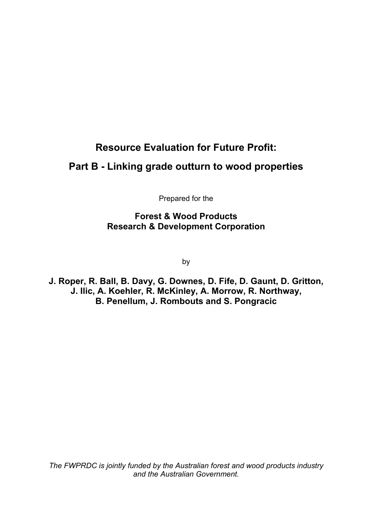# **Resource Evaluation for Future Profit:**

# **Part B - Linking grade outturn to wood properties**

Prepared for the

**Forest & Wood Products Research & Development Corporation** 

by

**J. Roper, R. Ball, B. Davy, G. Downes, D. Fife, D. Gaunt, D. Gritton, J. Ilic, A. Koehler, R. McKinley, A. Morrow, R. Northway, B. Penellum, J. Rombouts and S. Pongracic** 

*The FWPRDC is jointly funded by the Australian forest and wood products industry and the Australian Government.*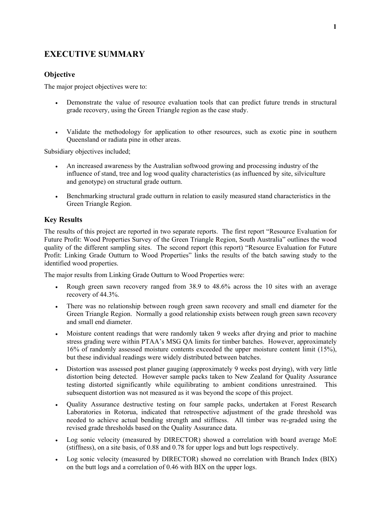# **EXECUTIVE SUMMARY**

# **Objective**

The major project objectives were to:

- Demonstrate the value of resource evaluation tools that can predict future trends in structural grade recovery, using the Green Triangle region as the case study.
- Validate the methodology for application to other resources, such as exotic pine in southern Queensland or radiata pine in other areas.

Subsidiary objectives included;

- An increased awareness by the Australian softwood growing and processing industry of the influence of stand, tree and log wood quality characteristics (as influenced by site, silviculture and genotype) on structural grade outturn.
- Benchmarking structural grade outturn in relation to easily measured stand characteristics in the Green Triangle Region.

# **Key Results**

The results of this project are reported in two separate reports. The first report "Resource Evaluation for Future Profit: Wood Properties Survey of the Green Triangle Region, South Australia" outlines the wood quality of the different sampling sites. The second report (this report) "Resource Evaluation for Future Profit: Linking Grade Outturn to Wood Properties" links the results of the batch sawing study to the identified wood properties.

The major results from Linking Grade Outturn to Wood Properties were:

- Rough green sawn recovery ranged from 38.9 to 48.6% across the 10 sites with an average recovery of 44.3%.
- There was no relationship between rough green sawn recovery and small end diameter for the Green Triangle Region. Normally a good relationship exists between rough green sawn recovery and small end diameter.
- Moisture content readings that were randomly taken 9 weeks after drying and prior to machine stress grading were within PTAA's MSG QA limits for timber batches. However, approximately 16% of randomly assessed moisture contents exceeded the upper moisture content limit (15%), but these individual readings were widely distributed between batches.
- Distortion was assessed post planer gauging (approximately 9 weeks post drying), with very little distortion being detected. However sample packs taken to New Zealand for Quality Assurance testing distorted significantly while equilibrating to ambient conditions unrestrained. This subsequent distortion was not measured as it was beyond the scope of this project.
- Quality Assurance destructive testing on four sample packs, undertaken at Forest Research Laboratories in Rotorua, indicated that retrospective adjustment of the grade threshold was needed to achieve actual bending strength and stiffness. All timber was re-graded using the revised grade thresholds based on the Quality Assurance data.
- Log sonic velocity (measured by DIRECTOR) showed a correlation with board average MoE (stiffness), on a site basis, of 0.88 and 0.78 for upper logs and butt logs respectively.
- Log sonic velocity (measured by DIRECTOR) showed no correlation with Branch Index (BIX) on the butt logs and a correlation of 0.46 with BIX on the upper logs.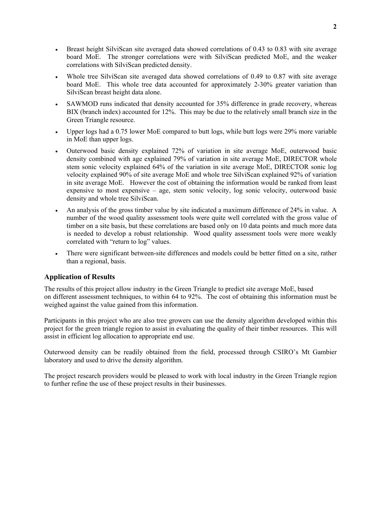- Breast height SilviScan site averaged data showed correlations of 0.43 to 0.83 with site average board MoE. The stronger correlations were with SilviScan predicted MoE, and the weaker correlations with SilviScan predicted density.
- Whole tree SilviScan site averaged data showed correlations of 0.49 to 0.87 with site average board MoE. This whole tree data accounted for approximately 2-30% greater variation than SilviScan breast height data alone.
- SAWMOD runs indicated that density accounted for 35% difference in grade recovery, whereas BIX (branch index) accounted for 12%. This may be due to the relatively small branch size in the Green Triangle resource.
- Upper logs had a 0.75 lower MoE compared to butt logs, while butt logs were 29% more variable in MoE than upper logs.
- Outerwood basic density explained 72% of variation in site average MoE, outerwood basic density combined with age explained 79% of variation in site average MoE, DIRECTOR whole stem sonic velocity explained 64% of the variation in site average MoE, DIRECTOR sonic log velocity explained 90% of site average MoE and whole tree SilviScan explained 92% of variation in site average MoE. However the cost of obtaining the information would be ranked from least expensive to most expensive – age, stem sonic velocity, log sonic velocity, outerwood basic density and whole tree SilviScan.
- An analysis of the gross timber value by site indicated a maximum difference of 24% in value. A number of the wood quality assessment tools were quite well correlated with the gross value of timber on a site basis, but these correlations are based only on 10 data points and much more data is needed to develop a robust relationship. Wood quality assessment tools were more weakly correlated with "return to log" values.
- There were significant between-site differences and models could be better fitted on a site, rather than a regional, basis.

# **Application of Results**

The results of this project allow industry in the Green Triangle to predict site average MoE, based on different assessment techniques, to within 64 to 92%. The cost of obtaining this information must be weighed against the value gained from this information.

Participants in this project who are also tree growers can use the density algorithm developed within this project for the green triangle region to assist in evaluating the quality of their timber resources. This will assist in efficient log allocation to appropriate end use.

Outerwood density can be readily obtained from the field, processed through CSIRO's Mt Gambier laboratory and used to drive the density algorithm.

The project research providers would be pleased to work with local industry in the Green Triangle region to further refine the use of these project results in their businesses.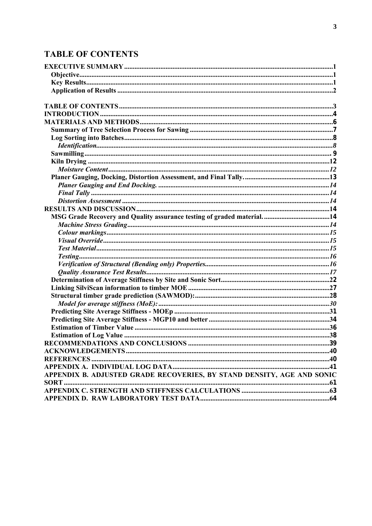# **TABLE OF CONTENTS**

| APPENDIX B. ADJUSTED GRADE RECOVERIES, BY STAND DENSITY, AGE AND SONIC |  |
|------------------------------------------------------------------------|--|
|                                                                        |  |
|                                                                        |  |
|                                                                        |  |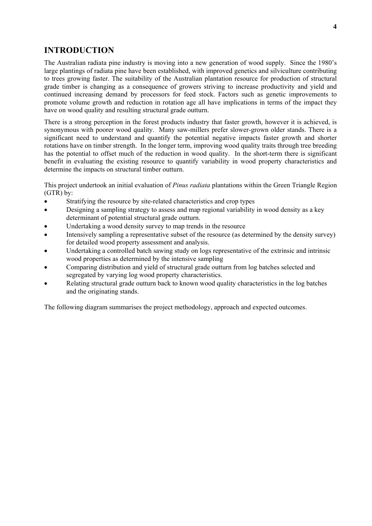# **INTRODUCTION**

The Australian radiata pine industry is moving into a new generation of wood supply. Since the 1980's large plantings of radiata pine have been established, with improved genetics and silviculture contributing to trees growing faster. The suitability of the Australian plantation resource for production of structural grade timber is changing as a consequence of growers striving to increase productivity and yield and continued increasing demand by processors for feed stock. Factors such as genetic improvements to promote volume growth and reduction in rotation age all have implications in terms of the impact they have on wood quality and resulting structural grade outturn.

There is a strong perception in the forest products industry that faster growth, however it is achieved, is synonymous with poorer wood quality. Many saw-millers prefer slower-grown older stands. There is a significant need to understand and quantify the potential negative impacts faster growth and shorter rotations have on timber strength. In the longer term, improving wood quality traits through tree breeding has the potential to offset much of the reduction in wood quality. In the short-term there is significant benefit in evaluating the existing resource to quantify variability in wood property characteristics and determine the impacts on structural timber outturn.

This project undertook an initial evaluation of *Pinus radiata* plantations within the Green Triangle Region (GTR) by:

- Stratifying the resource by site-related characteristics and crop types
- Designing a sampling strategy to assess and map regional variability in wood density as a key determinant of potential structural grade outturn.
- Undertaking a wood density survey to map trends in the resource
- Intensively sampling a representative subset of the resource (as determined by the density survey) for detailed wood property assessment and analysis.
- Undertaking a controlled batch sawing study on logs representative of the extrinsic and intrinsic wood properties as determined by the intensive sampling
- Comparing distribution and yield of structural grade outturn from log batches selected and segregated by varying log wood property characteristics.
- Relating structural grade outturn back to known wood quality characteristics in the log batches and the originating stands.

The following diagram summarises the project methodology, approach and expected outcomes.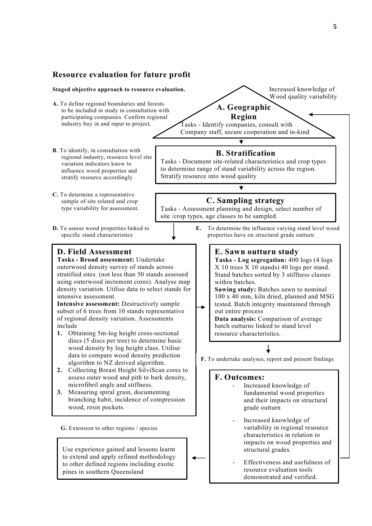#### **Resource evaluation for future profit Staged objective approach to resource evaluation.** Increased knowledge of Wood quality variability **A.** To define regional boundaries and forests **A. Geographic**  to be included in study in consultation with **Region** participating companies. Confirm regional industry buy in and input to project. Tasks - Identify companies, consult with Company staff, secure cooperation and in-kind  $\overline{\textbf{t}}$ **B**. To identify, in consultation with **B. Stratification**  regional industry, resource level site Tasks - Document site-related characteristics and crop types variation indicators know to to determine range of stand variability across the region. influence wood properties and Stratify resource into wood quality stratify resource accordingly **C.** To determine a representative **C. Sampling strategy**  sample of site related and crop type variability for assessment. Tasks - Assessment planning and design, select number of site /crop types, age classes to be sampled. **D.** To assess wood properties linked to **E.** To determine the influence varying stand level wood specific stand characteristics **properties** have on structural grade outturn **D. Field Assessment E. Sawn outturn study Tasks - Broad assessment:** Undertake **Tasks - Log segregation:** 400 logs (4 logs outerwood density survey of stands across X 10 trees X 10 stands) 40 logs per stand. stratified sites. (not less than 50 stands assessed Stand batches sorted by 3 stiffness classes using outerwood increment cores). Analyse map within batches. density variation. Utilise data to select stands for **Sawing study:** Batches sawn to nominal intensive assessment. 100 x 40 mm, kiln dried, planned and MSG **Intensive assessment:** Destructively sample tested. Batch integrity maintained through subset of 6 trees from 10 stands representative out entire process of regional density variation. Assessments **Data analysis:** Comparison of average include batch outturns linked to stand level **1.** Obtaining 5m-log height cross-sectional resource characteristics. discs (5 discs per tree) to determine basic wood density by log height class. Utilise data to compare wood density prediction **F.** To undertake analyses, report and present findings algorithm to NZ derived algorithm. **2.** Collecting Breast Height SilviScan cores to assess outer wood and pith to bark density, **F. Outcomes:** microfibril angle and stiffness. Increased knowledge of **3.** Measuring spiral grain, documenting fundamental wood properties branching habit, incidence of compression and their impacts on structural grade outturn wood, resin pockets. Increased knowledge of variability in regional resource **G.** Extension to other regions / species characteristics in relation to impacts on wood properties and Use experience gained and lessons learnt structural grades. to extend and apply refined methodology - Effectiveness and usefulness of to other defined regions including exotic resource evaluation tools pines in southern Queensland demonstrated and verified.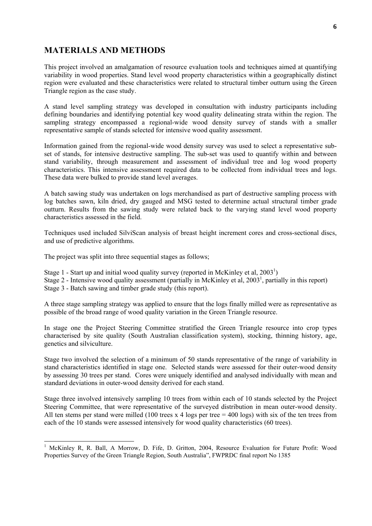# **MATERIALS AND METHODS**

This project involved an amalgamation of resource evaluation tools and techniques aimed at quantifying variability in wood properties. Stand level wood property characteristics within a geographically distinct region were evaluated and these characteristics were related to structural timber outturn using the Green Triangle region as the case study.

A stand level sampling strategy was developed in consultation with industry participants including defining boundaries and identifying potential key wood quality delineating strata within the region. The sampling strategy encompassed a regional-wide wood density survey of stands with a smaller representative sample of stands selected for intensive wood quality assessment.

Information gained from the regional-wide wood density survey was used to select a representative subset of stands, for intensive destructive sampling. The sub-set was used to quantify within and between stand variability, through measurement and assessment of individual tree and log wood property characteristics. This intensive assessment required data to be collected from individual trees and logs. These data were bulked to provide stand level averages.

A batch sawing study was undertaken on logs merchandised as part of destructive sampling process with log batches sawn, kiln dried, dry gauged and MSG tested to determine actual structural timber grade outturn. Results from the sawing study were related back to the varying stand level wood property characteristics assessed in the field.

Techniques used included SilviScan analysis of breast height increment cores and cross-sectional discs, and use of predictive algorithms.

The project was split into three sequential stages as follows;

- Stage 1 Start up and initial wood quality survey (reported in McKinley et al,  $2003<sup>1</sup>$ )
- Stage 2 Intensive wood quality assessment (partially in McKinley et al,  $2003<sup>1</sup>$ , partially in this report)
- Stage 3 Batch sawing and timber grade study (this report).

A three stage sampling strategy was applied to ensure that the logs finally milled were as representative as possible of the broad range of wood quality variation in the Green Triangle resource.

In stage one the Project Steering Committee stratified the Green Triangle resource into crop types characterised by site quality (South Australian classification system), stocking, thinning history, age, genetics and silviculture.

Stage two involved the selection of a minimum of 50 stands representative of the range of variability in stand characteristics identified in stage one. Selected stands were assessed for their outer-wood density by assessing 30 trees per stand. Cores were uniquely identified and analysed individually with mean and standard deviations in outer-wood density derived for each stand.

Stage three involved intensively sampling 10 trees from within each of 10 stands selected by the Project Steering Committee, that were representative of the surveyed distribution in mean outer-wood density. All ten stems per stand were milled (100 trees x 4 logs per tree  $=$  400 logs) with six of the ten trees from each of the 10 stands were assessed intensively for wood quality characteristics (60 trees).

<sup>&</sup>lt;sup>1</sup> McKinley R, R. Ball, A Morrow, D. Fife, D. Gritton, 2004, Resource Evaluation for Future Profit: Wood Properties Survey of the Green Triangle Region, South Australia", FWPRDC final report No 1385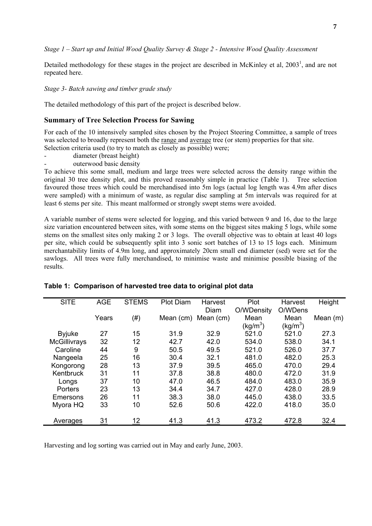*Stage 1 – Start up and Initial Wood Quality Survey & Stage 2 - Intensive Wood Quality Assessment* 

Detailed methodology for these stages in the project are described in McKinley et al,  $2003<sup>1</sup>$ , and are not repeated here.

*Stage 3- Batch sawing and timber grade study* 

The detailed methodology of this part of the project is described below.

#### **Summary of Tree Selection Process for Sawing**

For each of the 10 intensively sampled sites chosen by the Project Steering Committee, a sample of trees was selected to broadly represent both the <u>range</u> and <u>average</u> tree (or stem) properties for that site. Selection criteria used (to try to match as closely as possible) were;

- diameter (breast height)
- outerwood basic density

To achieve this some small, medium and large trees were selected across the density range within the original 30 tree density plot, and this proved reasonably simple in practice (Table 1). Tree selection favoured those trees which could be merchandised into 5m logs (actual log length was 4.9m after discs were sampled) with a minimum of waste, as regular disc sampling at 5m intervals was required for at least 6 stems per site. This meant malformed or strongly swept stems were avoided.

A variable number of stems were selected for logging, and this varied between 9 and 16, due to the large size variation encountered between sites, with some stems on the biggest sites making 5 logs, while some stems on the smallest sites only making 2 or 3 logs. The overall objective was to obtain at least 40 logs per site, which could be subsequently split into 3 sonic sort batches of 13 to 15 logs each. Minimum merchantability limits of 4.9m long, and approximately 20cm small end diameter (sed) were set for the sawlogs. All trees were fully merchandised, to minimise waste and minimise possible biasing of the results.

| <b>SITE</b>         | <b>AGE</b> | <b>STEMS</b> | <b>Plot Diam</b> | Harvest   | Plot                 | Harvest              | Height     |
|---------------------|------------|--------------|------------------|-----------|----------------------|----------------------|------------|
|                     |            |              |                  | Diam      | O/WDensity           | O/WDens              |            |
|                     | Years      | (# )         | Mean (cm)        | Mean (cm) | Mean                 | Mean                 | Mean $(m)$ |
|                     |            |              |                  |           | (kg/m <sup>3</sup> ) | (kg/m <sup>3</sup> ) |            |
| <b>Byjuke</b>       | 27         | 15           | 31.9             | 32.9      | 521.0                | 521.0                | 27.3       |
| <b>McGillivrays</b> | 32         | 12           | 42.7             | 42.0      | 534.0                | 538.0                | 34.1       |
| Caroline            | 44         | 9            | 50.5             | 49.5      | 521.0                | 526.0                | 37.7       |
| Nangeela            | 25         | 16           | 30.4             | 32.1      | 481.0                | 482.0                | 25.3       |
| Kongorong           | 28         | 13           | 37.9             | 39.5      | 465.0                | 470.0                | 29.4       |
| Kentbruck           | 31         | 11           | 37.8             | 38.8      | 480.0                | 472.0                | 31.9       |
| Longs               | 37         | 10           | 47.0             | 46.5      | 484.0                | 483.0                | 35.9       |
| Porters             | 23         | 13           | 34.4             | 34.7      | 427.0                | 428.0                | 28.9       |
| Emersons            | 26         | 11           | 38.3             | 38.0      | 445.0                | 438.0                | 33.5       |
| Myora HQ            | 33         | 10           | 52.6             | 50.6      | 422.0                | 418.0                | 35.0       |
|                     |            |              |                  |           |                      |                      |            |
| Averages            | 31         | 12           | 41.3             | 41.3      | 473.2                | 472.8                | 32.4       |

#### **Table 1: Comparison of harvested tree data to original plot data**

Harvesting and log sorting was carried out in May and early June, 2003.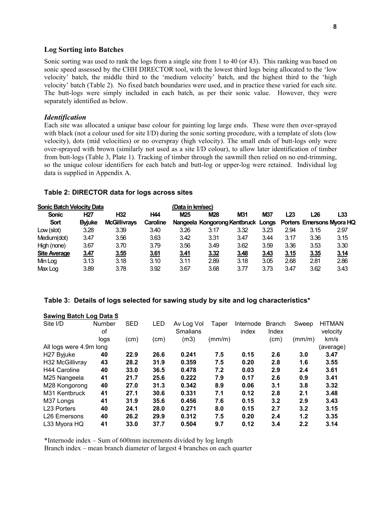#### **Log Sorting into Batches**

Sonic sorting was used to rank the logs from a single site from 1 to 40 (or 43). This ranking was based on sonic speed assessed by the CHH DIRECTOR tool, with the lowest third logs being allocated to the 'low velocity' batch, the middle third to the 'medium velocity' batch, and the highest third to the 'high velocity' batch (Table 2). No fixed batch boundaries were used, and in practice these varied for each site. The butt-logs were simply included in each batch, as per their sonic value. However, they were separately identified as below.

#### *Identification*

Each site was allocated a unique base colour for painting log large ends. These were then over-sprayed with black (not a colour used for site I/D) during the sonic sorting procedure, with a template of slots (low velocity), dots (mid velocities) or no overspray (high velocity). The small ends of butt-logs only were over-sprayed with brown (similarly not used as a site I/D colour), to allow later identification of timber from butt-logs (Table 3, Plate 1). Tracking of timber through the sawmill then relied on no end-trimming, so the unique colour identifiers for each batch and butt-log or upper-log were retained. Individual log data is supplied in Appendix A.

#### **Table 2: DIRECTOR data for logs across sites**

| <b>Sonic Batch Velocity Data</b> |               |                     |            | (Data in km/sec) |                                    |      |      |      |      |                                  |
|----------------------------------|---------------|---------------------|------------|------------------|------------------------------------|------|------|------|------|----------------------------------|
| <b>Sonic</b>                     | <b>H27</b>    | H <sub>32</sub>     | <b>H44</b> | M <sub>25</sub>  | <b>M28</b>                         | M31  | M37  | L23  | L26  | L33                              |
| Sort                             | <b>Byjuke</b> | <b>McGillivravs</b> | Caroline   |                  | Nangeela Kongorong Kentbruck Longs |      |      |      |      | <b>Porters Emersons Myora HQ</b> |
| Low (slot)                       | 3.28          | 3.39                | 3.40       | 3.26             | 3.17                               | 3.32 | 3.23 | 2.94 | 3.15 | 2.97                             |
| Medium(dot)                      | 3.47          | 3.56                | 3.63       | 3.42             | 3.31                               | 3.47 | 3.44 | 3.17 | 3.36 | 3.15                             |
| High (none)                      | 3.67          | 3.70                | 3.79       | 3.56             | 3.49                               | 3.62 | 3.59 | 3.36 | 3.53 | 3.30                             |
| <b>Site Average</b>              | 3.47          | 3.55                | 3.61       | <u>3.41</u>      | 3.32                               | 3.48 | 3.43 | 3.15 | 3.35 | 3.14                             |
| Min Log                          | 3.13          | 3.18                | 3.10       | 3.11             | 2.89                               | 3.18 | 3.05 | 2.68 | 2.81 | 2.86                             |
| Max Log                          | 3.89          | 3.78                | 3.92       | 3.67             | 3.68                               | 3.77 | 3.73 | 3.47 | 3.62 | 3.43                             |

#### **Table 3: Details of logs selected for sawing study by site and log characteristics\***

| Jawiliy Daluli Luy Dala J   |                     |            |            |                               |        |                    |                        |        |                           |
|-----------------------------|---------------------|------------|------------|-------------------------------|--------|--------------------|------------------------|--------|---------------------------|
| Site I/D                    | <b>Number</b><br>οf | <b>SED</b> | <b>LED</b> | Av Log Vol<br><b>Smalians</b> | Taper  | Internode<br>index | <b>Branch</b><br>Index | Sweep  | <b>HITMAN</b><br>velocity |
|                             | logs                | (cm)       | (cm)       | (m3)                          | (mm/m) |                    | (cm)                   | (mm/m) | km/s                      |
| All logs were 4.9m long     |                     |            |            |                               |        |                    |                        |        | (average)                 |
| H <sub>27</sub> Byjuke      | 40                  | 22.9       | 26.6       | 0.241                         | 7.5    | 0.15               | 2.6                    | 3.0    | 3.47                      |
| H <sub>32</sub> McGillivray | 43                  | 28.2       | 31.9       | 0.359                         | 7.5    | 0.20               | 2.8                    | 1.6    | 3.55                      |
| H44 Caroline                | 40                  | 33.0       | 36.5       | 0.478                         | 7.2    | 0.03               | 2.9                    | 2.4    | 3.61                      |
| M25 Nangeela                | 41                  | 21.7       | 25.6       | 0.222                         | 7.9    | 0.17               | 2.6                    | 0.9    | 3.41                      |
| M28 Kongorong               | 40                  | 27.0       | 31.3       | 0.342                         | 8.9    | 0.06               | 3.1                    | 3.8    | 3.32                      |
| M31 Kentbruck               | 41                  | 27.1       | 30.6       | 0.331                         | 7.1    | 0.12               | 2.8                    | 2.1    | 3.48                      |
| M37 Longs                   | 41                  | 31.9       | 35.6       | 0.456                         | 7.6    | 0.15               | 3.2                    | 2.9    | 3.43                      |
| <b>L23 Porters</b>          | 40                  | 24.1       | 28.0       | 0.271                         | 8.0    | 0.15               | 2.7                    | 3.2    | 3.15                      |
| L26 Emersons                | 40                  | 26.2       | 29.9       | 0.312                         | 7.5    | 0.20               | 2.4                    | 1.2    | 3.35                      |
| L33 Myora HQ                | 41                  | 33.0       | 37.7       | 0.504                         | 9.7    | 0.12               | 3.4                    | 2.2    | 3.14                      |

#### **Sawing Batch Log Data S**

\*Internode index – Sum of 600mm increments divided by log length

Branch index – mean branch diameter of largest 4 branches on each quarter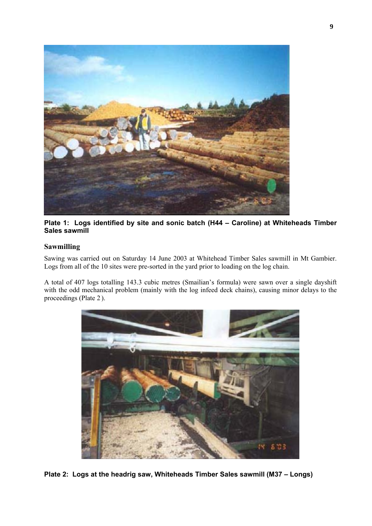

**Plate 1: Logs identified by site and sonic batch (H44 – Caroline) at Whiteheads Timber Sales sawmill** 

# **Sawmilling**

Sawing was carried out on Saturday 14 June 2003 at Whitehead Timber Sales sawmill in Mt Gambier. Logs from all of the 10 sites were pre-sorted in the yard prior to loading on the log chain.

A total of 407 logs totalling 143.3 cubic metres (Smailian's formula) were sawn over a single dayshift with the odd mechanical problem (mainly with the log infeed deck chains), causing minor delays to the proceedings (Plate 2 ).



**Plate 2: Logs at the headrig saw, Whiteheads Timber Sales sawmill (M37 – Longs)**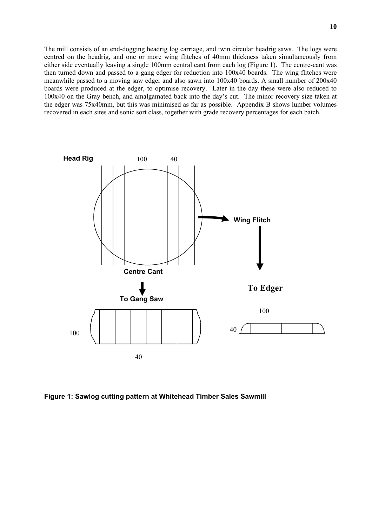The mill consists of an end-dogging headrig log carriage, and twin circular headrig saws. The logs were centred on the headrig, and one or more wing flitches of 40mm thickness taken simultaneously from either side eventually leaving a single 100mm central cant from each log (Figure 1). The centre-cant was then turned down and passed to a gang edger for reduction into 100x40 boards. The wing flitches were meanwhile passed to a moving saw edger and also sawn into 100x40 boards. A small number of 200x40 boards were produced at the edger, to optimise recovery. Later in the day these were also reduced to 100x40 on the Gray bench, and amalgamated back into the day's cut. The minor recovery size taken at the edger was 75x40mm, but this was minimised as far as possible. Appendix B shows lumber volumes recovered in each sites and sonic sort class, together with grade recovery percentages for each batch.



**Figure 1: Sawlog cutting pattern at Whitehead Timber Sales Sawmill**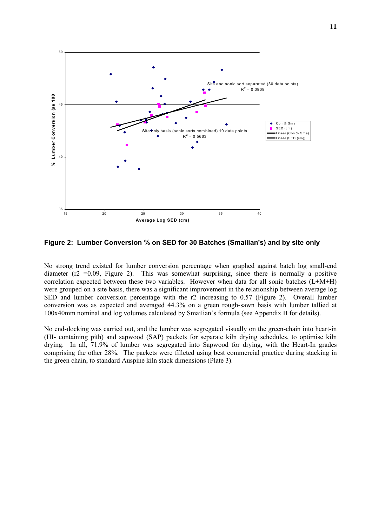

**Figure 2: Lumber Conversion % on SED for 30 Batches (Smailian's) and by site only** 

No strong trend existed for lumber conversion percentage when graphed against batch log small-end diameter ( $r2 = 0.09$ , Figure 2). This was somewhat surprising, since there is normally a positive correlation expected between these two variables. However when data for all sonic batches (L+M+H) were grouped on a site basis, there was a significant improvement in the relationship between average log SED and lumber conversion percentage with the r2 increasing to 0.57 (Figure 2). Overall lumber conversion was as expected and averaged 44.3% on a green rough-sawn basis with lumber tallied at 100x40mm nominal and log volumes calculated by Smailian's formula (see Appendix B for details).

No end-docking was carried out, and the lumber was segregated visually on the green-chain into heart-in (HI- containing pith) and sapwood (SAP) packets for separate kiln drying schedules, to optimise kiln drying. In all, 71.9% of lumber was segregated into Sapwood for drying, with the Heart-In grades comprising the other 28%. The packets were filleted using best commercial practice during stacking in the green chain, to standard Auspine kiln stack dimensions (Plate 3).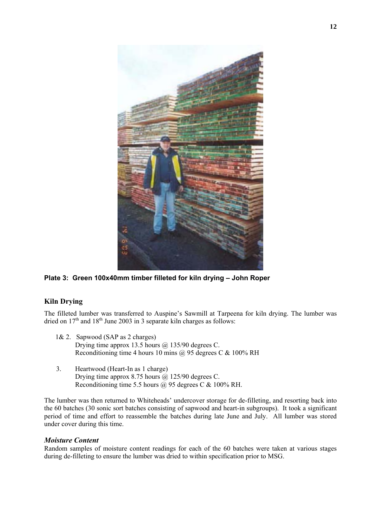

**Plate 3: Green 100x40mm timber filleted for kiln drying – John Roper** 

# **Kiln Drying**

The filleted lumber was transferred to Auspine's Sawmill at Tarpeena for kiln drying. The lumber was dried on  $17<sup>th</sup>$  and  $18<sup>th</sup>$  June 2003 in 3 separate kiln charges as follows:

- 1& 2. Sapwood (SAP as 2 charges) Drying time approx 13.5 hours  $\omega$  135/90 degrees C. Reconditioning time 4 hours 10 mins  $\omega$  95 degrees C & 100% RH
- 3. Heartwood (Heart-In as 1 charge) Drying time approx 8.75 hours  $\omega$  125/90 degrees C. Reconditioning time 5.5 hours @ 95 degrees C & 100% RH.

The lumber was then returned to Whiteheads' undercover storage for de-filleting, and resorting back into the 60 batches (30 sonic sort batches consisting of sapwood and heart-in subgroups). It took a significant period of time and effort to reassemble the batches during late June and July. All lumber was stored under cover during this time.

## *Moisture Content*

Random samples of moisture content readings for each of the 60 batches were taken at various stages during de-filleting to ensure the lumber was dried to within specification prior to MSG.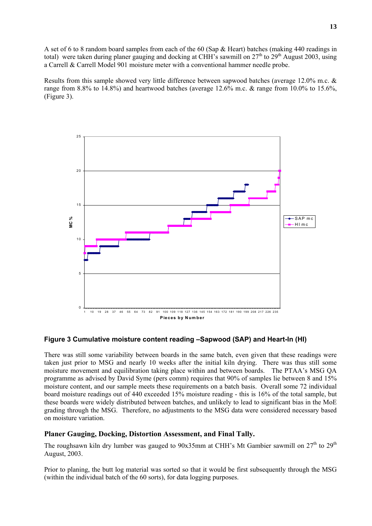A set of 6 to 8 random board samples from each of the 60 (Sap & Heart) batches (making 440 readings in total) were taken during planer gauging and docking at CHH's sawmill on  $27<sup>th</sup>$  to  $29<sup>th</sup>$  August 2003, using a Carrell & Carrell Model 901 moisture meter with a conventional hammer needle probe.

Results from this sample showed very little difference between sapwood batches (average 12.0% m.c. & range from 8.8% to 14.8%) and heartwood batches (average 12.6% m.c. & range from 10.0% to 15.6%, (Figure 3).



## **Figure 3 Cumulative moisture content reading –Sapwood (SAP) and Heart-In (HI)**

There was still some variability between boards in the same batch, even given that these readings were taken just prior to MSG and nearly 10 weeks after the initial kiln drying. There was thus still some moisture movement and equilibration taking place within and between boards. The PTAA's MSG QA programme as advised by David Syme (pers comm) requires that 90% of samples lie between 8 and 15% moisture content, and our sample meets these requirements on a batch basis. Overall some 72 individual board moisture readings out of 440 exceeded 15% moisture reading - this is 16% of the total sample, but these boards were widely distributed between batches, and unlikely to lead to significant bias in the MoE grading through the MSG. Therefore, no adjustments to the MSG data were considered necessary based on moisture variation.

## **Planer Gauging, Docking, Distortion Assessment, and Final Tally.**

The roughsawn kiln dry lumber was gauged to 90x35mm at CHH's Mt Gambier sawmill on  $27<sup>th</sup>$  to  $29<sup>th</sup>$ August, 2003.

Prior to planing, the butt log material was sorted so that it would be first subsequently through the MSG (within the individual batch of the 60 sorts), for data logging purposes.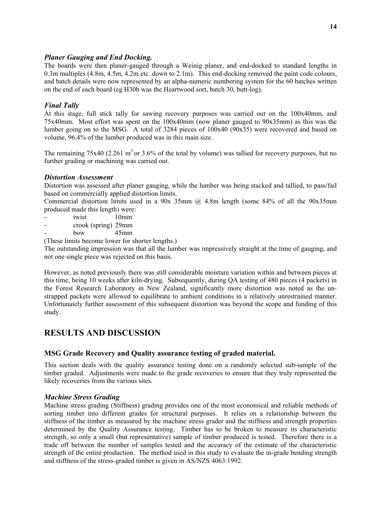## *Planer Gauging and End Docking.*

The boards were then planer-gauged through a Weinig planer, and end-docked to standard lengths in 0.3m multiples (4.8m, 4.5m, 4.2m etc. down to 2.1m). This end-docking removed the paint code colours, and batch details were now represented by an alpha-numeric numbering system for the 60 batches written on the end of each board (eg H30b was the Heartwood sort, batch 30, butt-log).

# *Final Tally*

At this stage, full stick tally for sawing recovery purposes was carried out on the 100x40mm, and 75x40mm. Most effort was spent on the 100x40mm (now planer gauged to 90x35mm) as this was the lumber going on to the MSG. A total of 3284 pieces of 100x40 (90x35) were recovered and based on volume, 96.4% of the lumber produced was in this main size.

The remaining  $75x40$  (2.261 m<sup>3</sup> or 3.6% of the total by volume) was tallied for recovery purposes, but no further grading or machining was carried out.

# *Distortion Assessment*

Distortion was assessed after planer gauging, while the lumber was being stacked and tallied, to pass/fail based on commercially applied distortion limits.

Commercial distortion limits used in a 90x 35mm  $\omega$  4.8m length (some 84% of all the 90x35mm produced made this length) were:

- twist 10mm
- crook (spring) 29mm
- $bow$  45mm

(These limits become lower for shorter lengths.)

The outstanding impression was that all the lumber was impressively straight at the time of gauging, and not one single piece was rejected on this basis.

However, as noted previously there was still considerable moisture variation within and between pieces at this time, being 10 weeks after kiln-drying. Subsequently, during OA testing of 480 pieces (4 packets) in the Forest Research Laboratory in New Zealand, significantly more distortion was noted as the unstrapped packets were allowed to equilibrate to ambient conditions in a relatively unrestrained manner. Unfortunately further assessment of this subsequent distortion was beyond the scope and funding of this study.

# **RESULTS AND DISCUSSION**

# **MSG Grade Recovery and Quality assurance testing of graded material.**

This section deals with the quality assurance testing done on a randomly selected sub-sample of the timber graded. Adjustments were made to the grade recoveries to ensure that they truly represented the likely recoveries from the various sites.

## *Machine Stress Grading*

Machine stress grading (Stiffness) grading provides one of the most economical and reliable methods of sorting timber into different grades for structural purposes. It relies on a relationship between the stiffness of the timber as measured by the machine stress grader and the stiffness and strength properties determined by the Quality Assurance testing. Timber has to be broken to measure its characteristic strength, so only a small (but representative) sample of timber produced is tested. Therefore there is a trade off between the number of samples tested and the accuracy of the estimate of the characteristic strength of the entire production. The method used in this study to evaluate the in-grade bending strength and stiffness of the stress-graded timber is given in AS/NZS 4063:1992.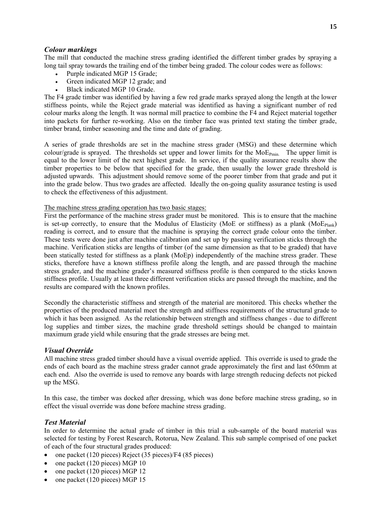# *Colour markings*

The mill that conducted the machine stress grading identified the different timber grades by spraying a long tail spray towards the trailing end of the timber being graded. The colour codes were as follows:

- Purple indicated MGP 15 Grade:
- Green indicated MGP 12 grade; and
- Black indicated MGP 10 Grade.

The F4 grade timber was identified by having a few red grade marks sprayed along the length at the lower stiffness points, while the Reject grade material was identified as having a significant number of red colour marks along the length. It was normal mill practice to combine the F4 and Reject material together into packets for further re-working. Also on the timber face was printed text stating the timber grade, timber brand, timber seasoning and the time and date of grading.

A series of grade thresholds are set in the machine stress grader (MSG) and these determine which colour/grade is sprayed. The thresholds set upper and lower limits for the  $MoE_{Pmin}$ . The upper limit is equal to the lower limit of the next highest grade. In service, if the quality assurance results show the timber properties to be below that specified for the grade, then usually the lower grade threshold is adjusted upwards. This adjustment should remove some of the poorer timber from that grade and put it into the grade below. Thus two grades are affected. Ideally the on-going quality assurance testing is used to check the effectiveness of this adjustment.

The machine stress grading operation has two basic stages:

First the performance of the machine stress grader must be monitored. This is to ensure that the machine is set-up correctly, to ensure that the Modulus of Elasticity (MoE or stiffness) as a plank (MoE $_{\text{Planck}}$ ) reading is correct, and to ensure that the machine is spraying the correct grade colour onto the timber. These tests were done just after machine calibration and set up by passing verification sticks through the machine. Verification sticks are lengths of timber (of the same dimension as that to be graded) that have been statically tested for stiffness as a plank (MoEp) independently of the machine stress grader. These sticks, therefore have a known stiffness profile along the length, and are passed through the machine stress grader, and the machine grader's measured stiffness profile is then compared to the sticks known stiffness profile. Usually at least three different verification sticks are passed through the machine, and the results are compared with the known profiles.

Secondly the characteristic stiffness and strength of the material are monitored. This checks whether the properties of the produced material meet the strength and stiffness requirements of the structural grade to which it has been assigned. As the relationship between strength and stiffness changes - due to different log supplies and timber sizes, the machine grade threshold settings should be changed to maintain maximum grade yield while ensuring that the grade stresses are being met.

## *Visual Override*

All machine stress graded timber should have a visual override applied. This override is used to grade the ends of each board as the machine stress grader cannot grade approximately the first and last 650mm at each end. Also the override is used to remove any boards with large strength reducing defects not picked up the MSG.

In this case, the timber was docked after dressing, which was done before machine stress grading, so in effect the visual override was done before machine stress grading.

# *Test Material*

In order to determine the actual grade of timber in this trial a sub-sample of the board material was selected for testing by Forest Research, Rotorua, New Zealand. This sub sample comprised of one packet of each of the four structural grades produced:

- one packet (120 pieces) Reject (35 pieces)/F4 (85 pieces)
- one packet (120 pieces) MGP 10
- one packet (120 pieces) MGP 12
- one packet (120 pieces) MGP 15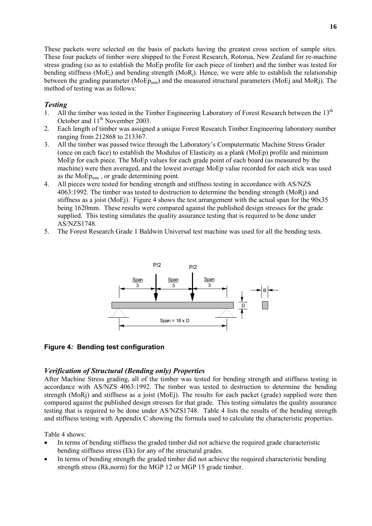These packets were selected on the basis of packets having the greatest cross section of sample sites. These four packets of timber were shipped to the Forest Research, Rotorua, New Zealand for re-machine stress grading (so as to establish the MoEp profile for each piece of timber) and the timber was tested for bending stiffness ( $MoE_i$ ) and bending strength ( $MoR_i$ ). Hence, we were able to establish the relationship between the grading parameter ( $\text{MoEp}_{\text{min}}$ ) and the measured structural parameters ( $\text{MoEj}$  and  $\text{MoRj}$ ). The method of testing was as follows:

# *Testing*

- 1. All the timber was tested in the Timber Engineering Laboratory of Forest Research between the 13<sup>th</sup> October and 11<sup>th</sup> November 2003.
- 2. Each length of timber was assigned a unique Forest Research Timber Engineering laboratory number ranging from 212868 to 213367.
- 3. All the timber was passed twice through the Laboratory's Computermatic Machine Stress Grader (once on each face) to establish the Modulus of Elasticity as a plank (MoEp) profile and minimum MoEp for each piece. The MoEp values for each grade point of each board (as measured by the machine) were then averaged, and the lowest average MoEp value recorded for each stick was used as the MoEp<sub>min</sub>, or grade determining point.
- 4. All pieces were tested for bending strength and stiffness testing in accordance with AS/NZS 4063:1992. The timber was tested to destruction to determine the bending strength (MoRj) and stiffness as a joist (MoEj). Figure 4 shows the test arrangement with the actual span for the 90x35 being 1620mm. These results were compared against the published design stresses for the grade supplied. This testing simulates the quality assurance testing that is required to be done under AS/NZS1748.
- 5. The Forest Research Grade 1 Baldwin Universal test machine was used for all the bending tests.



## **Figure 4***:* **Bending test configuration**

## *Verification of Structural (Bending only) Properties*

After Machine Stress grading, all of the timber was tested for bending strength and stiffness testing in accordance with AS/NZS 4063:1992. The timber was tested to destruction to determine the bending strength (MoRj) and stiffness as a joist (MoEj). The results for each packet (grade) supplied were then compared against the published design stresses for that grade. This testing simulates the quality assurance testing that is required to be done under AS/NZS1748. Table 4 lists the results of the bending strength and stiffness testing with Appendix C showing the formula used to calculate the characteristic properties.

Table 4 shows:

- In terms of bending stiffness the graded timber did not achieve the required grade characteristic bending stiffness stress (Ek) for any of the structural grades.
- In terms of bending strength the graded timber did not achieve the required characteristic bending strength stress (Rk,norm) for the MGP 12 or MGP 15 grade timber.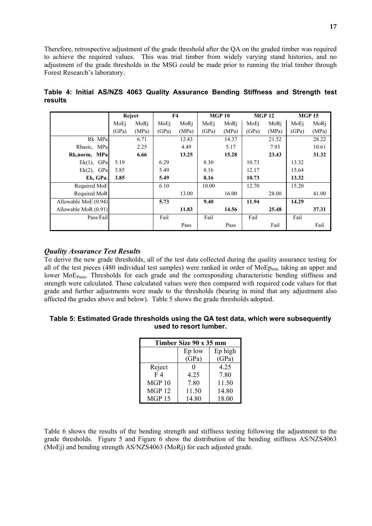Therefore, retrospective adjustment of the grade threshold after the QA on the graded timber was required to achieve the required values. This was trial timber from widely varying stand histories, and no adjustment of the grade thresholds in the MSG could be made prior to running the trial timber through Forest Research's laboratory.

|                      |       | Reject |       | F <sub>4</sub> |       | <b>MGP 10</b> |       | <b>MGP 12</b> |       | <b>MGP 15</b> |
|----------------------|-------|--------|-------|----------------|-------|---------------|-------|---------------|-------|---------------|
|                      | MoEi  | MoRi   | MoEi  | MoRi           | MoEi  | MoRi          | MoEi  | MoRi          | MoEi  | MoRj          |
|                      | (GPa) | (MPa)  | (GPa) | (MPa)          | (GPa) | (MPa)         | (GPa) | (MPa)         | (GPa) | (MPa)         |
| Rk MPa               |       | 6.71   |       | 12.43          |       | 14.37         |       | 21.52         |       | 28.22         |
| Rbasic, MPa          |       | 2.25   |       | 4.49           |       | 5.17          |       | 7.93          |       | 10.61         |
| Rk, norm, MPa        |       | 6.66   |       | 13.25          |       | 15.28         |       | 23.43         |       | 31.32         |
| GPa<br>$Ek(1)$ ,     | 5.19  |        | 6.29  |                | 8.30  |               | 10.73 |               | 13.32 |               |
| $Ek(2)$ , GPa        | 3.85  |        | 5.49  |                | 8.16  |               | 12.17 |               | 15.64 |               |
| Ek, GPa.             | 3.85  |        | 5.49  |                | 8.16  |               | 10.73 |               | 13.32 |               |
| Required MoE         |       |        | 6.10  |                | 10.00 |               | 12.70 |               | 15.20 |               |
| Required MoR         |       |        |       | 13.00          |       | 16.00         |       | 28.00         |       | 41.00         |
| Allowable MoE (0.94) |       |        | 5.73  |                | 9.40  |               | 11.94 |               | 14.29 |               |
| Allowable MoR (0.91) |       |        |       | 11.83          |       | 14.56         |       | 25.48         |       | 37.31         |
| Pass/Fail            |       |        | Fail  |                | Fail  |               | Fail  |               | Fail  |               |
|                      |       |        |       | Pass           |       | Pass          |       | Fail          |       | Fail          |

**Table 4: Initial AS/NZS 4063 Quality Assurance Bending Stiffness and Strength test results** 

# *Quality Assurance Test Results*

To derive the new grade thresholds, all of the test data collected during the quality assurance testing for all of the test pieces (480 individual test samples) were ranked in order of MoEp<sub>min</sub> taking an upper and lower MoE<sub>Pmin</sub>. Thresholds for each grade and the corresponding characteristic bending stiffness and strength were calculated. These calculated values were then compared with required code values for that grade and further adjustments were made to the thresholds (bearing in mind that any adjustment also affected the grades above and below). Table 5 shows the grade thresholds adopted.

## **Table 5: Estimated Grade thresholds using the QA test data, which were subsequently used to resort lumber.**

| Timber Size 90 x 35 mm |        |         |  |  |  |  |  |  |  |  |
|------------------------|--------|---------|--|--|--|--|--|--|--|--|
|                        | Ep low | Ep high |  |  |  |  |  |  |  |  |
|                        | (GPa)  | (GPa)   |  |  |  |  |  |  |  |  |
| Reject                 |        | 4 2 5   |  |  |  |  |  |  |  |  |
| F <sub>4</sub>         | 4.25   | 7.80    |  |  |  |  |  |  |  |  |
| MGP <sub>10</sub>      | 7.80   | 11.50   |  |  |  |  |  |  |  |  |
| <b>MGP 12</b>          | 11.50  | 14.80   |  |  |  |  |  |  |  |  |
| MGP15                  | 14.80  | 18.00   |  |  |  |  |  |  |  |  |

Table 6 shows the results of the bending strength and stiffness testing following the adjustment to the grade thresholds. Figure 5 and Figure 6 show the distribution of the bending stiffness AS/NZS4063 (MoEj) and bending strength AS/NZS4063 (MoRj) for each adjusted grade.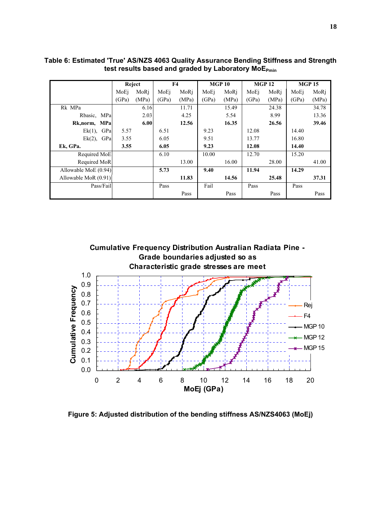|                      |       | Reject |       | F <sub>4</sub> |       | <b>MGP 10</b> |       | <b>MGP 12</b> |       | <b>MGP 15</b> |
|----------------------|-------|--------|-------|----------------|-------|---------------|-------|---------------|-------|---------------|
|                      | MoEi  | MoRi   | MoEi  | MoRi           | MoEi  | MoRi          | MoEi  | MoRi          | MoEi  | MoRj          |
|                      | (GPa) | (MPa)  | (GPa) | (MPa)          | (GPa) | (MPa)         | (GPa) | (MPa)         | (GPa) | (MPa)         |
| Rk MPa               |       | 6.16   |       | 11.71          |       | 15.49         |       | 24.38         |       | 34.78         |
| Rbasic, MPa          |       | 2.03   |       | 4.25           |       | 5.54          |       | 8.99          |       | 13.36         |
| Rk, norm, MPa        |       | 6.00   |       | 12.56          |       | 16.35         |       | 26.56         |       | 39.46         |
| GPa<br>$Ek(1)$ ,     | 5.57  |        | 6.51  |                | 9.23  |               | 12.08 |               | 14.40 |               |
| GPa<br>$Ek(2)$ ,     | 3.55  |        | 6.05  |                | 9.51  |               | 13.77 |               | 16.80 |               |
| Ek, GPa.             | 3.55  |        | 6.05  |                | 9.23  |               | 12.08 |               | 14.40 |               |
| Required MoE         |       |        | 6.10  |                | 10.00 |               | 12.70 |               | 15.20 |               |
| Required MoR         |       |        |       | 13.00          |       | 16.00         |       | 28.00         |       | 41.00         |
| Allowable MoE (0.94) |       |        | 5.73  |                | 9.40  |               | 11.94 |               | 14.29 |               |
| Allowable MoR (0.91) |       |        |       | 11.83          |       | 14.56         |       | 25.48         |       | 37.31         |
| Pass/Fail            |       |        | Pass  |                | Fail  |               | Pass  |               | Pass  |               |
|                      |       |        |       | Pass           |       | Pass          |       | Pass          |       | Pass          |

**Table 6: Estimated 'True' AS/NZS 4063 Quality Assurance Bending Stiffness and Strength**  test results based and graded by Laboratory MoE<sub>Pmin</sub>



**Figure 5: Adjusted distribution of the bending stiffness AS/NZS4063 (MoEj)**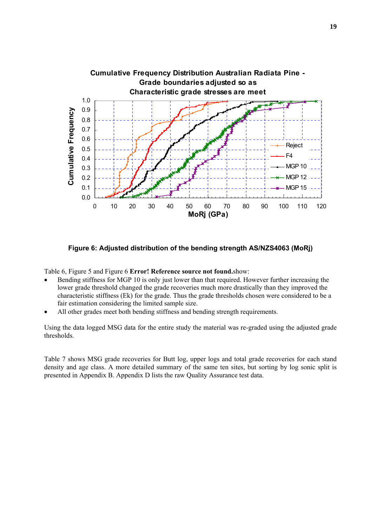

**Figure 6: Adjusted distribution of the bending strength AS/NZS4063 (MoRj)** 

Table 6, Figure 5 and Figure 6 **Error! Reference source not found.**show:

- Bending stiffness for MGP 10 is only just lower than that required. However further increasing the lower grade threshold changed the grade recoveries much more drastically than they improved the characteristic stiffness (Ek) for the grade. Thus the grade thresholds chosen were considered to be a fair estimation considering the limited sample size.
- All other grades meet both bending stiffness and bending strength requirements.

Using the data logged MSG data for the entire study the material was re-graded using the adjusted grade thresholds.

Table 7 shows MSG grade recoveries for Butt log, upper logs and total grade recoveries for each stand density and age class. A more detailed summary of the same ten sites, but sorting by log sonic split is presented in Appendix B. Appendix D lists the raw Quality Assurance test data.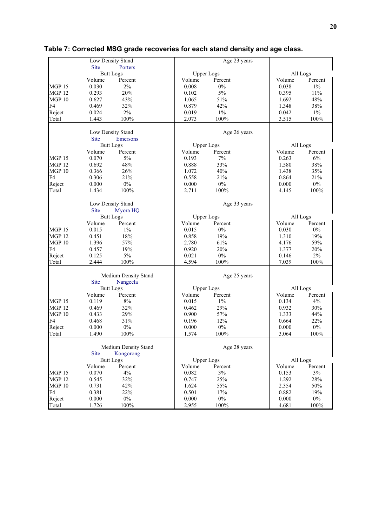|                   | Low Density Stand |                      |                   | Age 23 years |          |          |
|-------------------|-------------------|----------------------|-------------------|--------------|----------|----------|
|                   | <b>Site</b>       | Porters              |                   |              |          |          |
|                   | <b>Butt Logs</b>  |                      | <b>Upper Logs</b> |              | All Logs |          |
|                   | Volume            | Percent              | Volume            | Percent      | Volume   | Percent  |
| MGP <sub>15</sub> | 0.030             | 2%                   | 0.008             | 0%           | 0.038    | $1\%$    |
| <b>MGP 12</b>     | 0.293             | 20%                  | 0.102             | 5%           | 0.395    | 11%      |
| MGP10             | 0.627             | 43%                  | 1.065             | 51%          | 1.692    | 48%      |
| F4                | 0.469             | 32%                  | 0.879             | 42%          | 1.348    | 38%      |
| Reject            | 0.024             | $2\%$                | 0.019             | $1\%$        | 0.042    | $1\%$    |
| Total             | 1.443             | 100%                 | 2.073             | 100%         | 3.515    | 100%     |
|                   |                   |                      |                   |              |          |          |
|                   | Low Density Stand |                      |                   | Age 26 years |          |          |
|                   | <b>Site</b>       | Emersons             |                   |              |          |          |
|                   | <b>Butt Logs</b>  |                      | <b>Upper Logs</b> |              | All Logs |          |
|                   | Volume            | Percent              | Volume            | Percent      | Volume   | Percent  |
| MGP <sub>15</sub> | 0.070             | 5%                   | 0.193             | 7%           | 0.263    | 6%       |
| <b>MGP 12</b>     | 0.692             | 48%                  | 0.888             | 33%          | 1.580    | 38%      |
| MGP10             | 0.366             | 26%                  | 1.072             | 40%          | 1.438    | 35%      |
| F <sub>4</sub>    | 0.306             | 21%                  | 0.558             | 21%          | 0.864    | 21%      |
| Reject            | 0.000             | $0\%$                | 0.000             | $0\%$        | 0.000    | $0\%$    |
| Total             | 1.434             | 100%                 | 2.711             | 100%         | 4.145    | 100%     |
|                   |                   |                      |                   |              |          |          |
|                   | Low Density Stand |                      |                   | Age 33 years |          |          |
|                   | <b>Site</b>       | Myora HQ             |                   |              |          |          |
|                   | <b>Butt Logs</b>  |                      | <b>Upper Logs</b> |              | All Logs |          |
|                   | Volume            | Percent              | Volume            | Percent      | Volume   | Percent  |
| MGP <sub>15</sub> | 0.015             | 1%                   | 0.015             | $0\%$        | 0.030    | 0%       |
| <b>MGP 12</b>     | 0.451             | 18%                  | 0.858             | 19%          | 1.310    | 19%      |
| <b>MGP 10</b>     | 1.396             | 57%                  | 2.780             | 61%          | 4.176    | 59%      |
| F4                | 0.457             | 19%                  | 0.920             | 20%          | 1.377    | 20%      |
| Reject            | 0.125             | 5%                   | 0.021             | $0\%$        | 0.146    | $2\%$    |
| Total             | 2.444             | 100%                 | 4.594             | 100%         | 7.039    | 100%     |
|                   |                   |                      |                   |              |          |          |
|                   |                   | Medium Density Stand |                   | Age 25 years |          |          |
|                   | <b>Site</b>       | Nangeela             |                   |              |          |          |
|                   | <b>Butt Logs</b>  |                      | <b>Upper Logs</b> |              |          | All Logs |
|                   | Volume            | Percent              | Volume            | Percent      | Volume   | Percent  |
| <b>MGP 15</b>     | 0.119             | $8\%$                | 0.015             | $1\%$        | 0.134    | 4%       |
| MGP <sub>12</sub> | 0.469             | 32%                  | 0.462             | 29%          | 0.932    | 30%      |
| <b>MGP 10</b>     | 0.433             | 29%                  | 0.900             | 57%          | 1.333    | 44%      |
| F4                | 0.468             | 31%                  | 0.196             | 12%          | 0.664    | 22%      |
| Reject            | 0.000             | 0%                   | 0.000             | $0\%$        | 0.000    | $0\%$    |
| Total             | 1.490             | 100%                 | 1.574             | 100%         | 3.064    | $100\%$  |
|                   |                   |                      |                   |              |          |          |
|                   |                   | Medium Density Stand |                   | Age 28 years |          |          |
|                   | <b>Site</b>       | Kongorong            |                   |              |          |          |
|                   | <b>Butt Logs</b>  |                      | <b>Upper Logs</b> |              | All Logs |          |
|                   | Volume            | Percent              | Volume            | Percent      | Volume   | Percent  |
| <b>MGP 15</b>     | 0.070             | 4%                   | 0.082             | 3%           | 0.153    | 3%       |
| <b>MGP 12</b>     | 0.545             | 32%                  | 0.747             | 25%          | 1.292    | 28%      |
| <b>MGP 10</b>     | 0.731             | 42%                  | 1.624             | 55%          | 2.354    | 50%      |
| F4                | 0.381             | 22%                  | 0.501             | 17%          | 0.882    | 19%      |
| Reject            | 0.000             | $0\%$                | 0.000             | $0\%$        | 0.000    | $0\%$    |
| Total             | 1.726             | 100%                 | 2.955             | $100\%$      | 4.681    | $100\%$  |

# **Table 7: Corrected MSG grade recoveries for each stand density and age class.**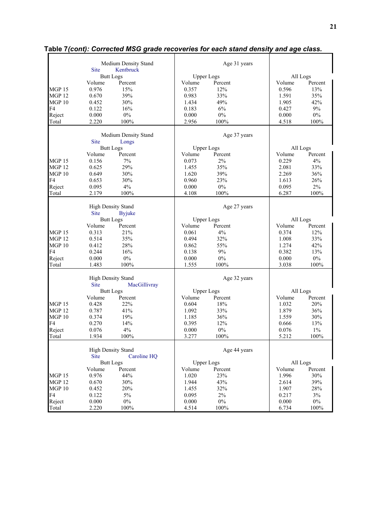|                   |                           | Medium Density Stand |                   | Age 31 years |          |         |
|-------------------|---------------------------|----------------------|-------------------|--------------|----------|---------|
|                   | <b>Site</b>               | Kentbruck            |                   |              |          |         |
|                   | <b>Butt Logs</b>          |                      | <b>Upper Logs</b> |              | All Logs |         |
|                   | Volume                    | Percent              | Volume            | Percent      | Volume   | Percent |
| <b>MGP 15</b>     | 0.976                     | 15%                  | 0.357             | 12%          | 0.596    | 13%     |
| <b>MGP 12</b>     | 0.670                     | 39%                  | 0.983             | 33%          | 1.591    | 35%     |
| MGP10             | 0.452                     | 30%                  | 1.434             | 49%          | 1.905    | 42%     |
| F <sub>4</sub>    | 0.122                     | 16%                  | 0.183             | 6%           | 0.427    | 9%      |
| Reject            | 0.000                     | $0\%$                | 0.000             | $0\%$        | 0.000    | $0\%$   |
| Total             | 2.220                     | 100%                 | 2.956             | 100%         | 4.518    | 100%    |
|                   |                           |                      |                   |              |          |         |
|                   |                           | Medium Density Stand |                   | Age 37 years |          |         |
|                   | <b>Site</b>               | Longs                |                   |              |          |         |
|                   | <b>Butt Logs</b>          |                      | <b>Upper Logs</b> |              | All Logs |         |
|                   | Volume                    | Percent              | Volume            | Percent      | Volume   | Percent |
| <b>MGP 15</b>     | 0.156                     | 7%                   | 0.073             | 2%           | 0.229    | 4%      |
| <b>MGP 12</b>     | 0.625                     | 29%                  | 1.455             | 35%          | 2.081    | 33%     |
| MGP10             | 0.649                     | 30%                  | 1.620             | 39%          | 2.269    | 36%     |
| F4                | 0.653                     | 30%                  | 0.960             | 23%          | 1.613    | 26%     |
| Reject            | 0.095                     | 4%                   | 0.000             | $0\%$        | 0.095    | 2%      |
| Total             | 2.179                     | 100%                 | 4.108             | 100%         | 6.287    | 100%    |
|                   | High Density Stand        |                      |                   | Age 27 years |          |         |
|                   | <b>Site</b>               | <b>Byjuke</b>        |                   |              |          |         |
|                   | <b>Butt Logs</b>          |                      | <b>Upper Logs</b> |              | All Logs |         |
|                   | Volume                    | Percent              | Volume            | Percent      | Volume   | Percent |
| <b>MGP 15</b>     | 0.313                     | 21%                  | 0.061             | 4%           | 0.374    | 12%     |
| MGP <sub>12</sub> | 0.514                     | 35%                  | 0.494             | 32%          | 1.008    | 33%     |
| MGP <sub>10</sub> | 0.412                     | 28%                  | 0.862             | 55%          | 1.274    | 42%     |
| F <sub>4</sub>    | 0.244                     | 16%                  | 0.138             | 9%           | 0.382    | 13%     |
| Reject            | 0.000                     | $0\%$                | 0.000             | $0\%$        | 0.000    | $0\%$   |
| Total             | 1.483                     | 100%                 | 1.555             | 100%         | 3.038    | 100%    |
|                   | <b>High Density Stand</b> |                      |                   | Age 32 years |          |         |
|                   | <b>Site</b>               | MacGillivray         |                   |              |          |         |
|                   | <b>Butt Logs</b>          |                      | <b>Upper Logs</b> |              | All Logs |         |
|                   | Volume                    | Percent              | Volume            | Percent      | Volume   | Percent |
| <b>MGP 15</b>     | 0.428                     | 22%                  | 0.604             | 18%          | 1.032    | 20%     |
| <b>MGP 12</b>     | 0.787                     | 41%                  | 1.092             | 33%          | 1.879    | 36%     |
| MGP <sub>10</sub> | 0.374                     | 19%                  | 1.185             | 36%          | 1.559    | 30%     |
| F4                | 0.270                     | 14%                  | 0.395             | 12%          | 0.666    | 13%     |
| Reject            | 0.076                     | 4%                   | 0.000             | $0\%$        | 0.076    | $1\%$   |
| Total             | 1.934                     | 100%                 | 3.277             | 100%         | 5.212    | 100%    |
|                   |                           |                      |                   |              |          |         |
|                   | <b>High Density Stand</b> |                      |                   | Age 44 years |          |         |
|                   | <b>Site</b>               | Caroline HQ          |                   |              |          |         |
|                   | <b>Butt Logs</b>          |                      | <b>Upper Logs</b> |              | All Logs |         |
|                   | Volume                    | Percent              | Volume            | Percent      | Volume   | Percent |
| <b>MGP 15</b>     | 0.976                     | 44%                  | 1.020             | 23%          | 1.996    | 30%     |
| <b>MGP 12</b>     | 0.670                     | 30%                  | 1.944             | 43%          | 2.614    | 39%     |
| MGP 10            | 0.452                     | 20%                  | 1.455             | 32%          | 1.907    | 28%     |
| F4                | 0.122                     | $5\%$                | 0.095             | 2%           | 0.217    | $3\%$   |
| Reject            | 0.000                     | $0\%$                | 0.000             | $0\%$        | 0.000    | $0\%$   |
| Total             | 2.220                     | 100%                 | 4.514             | 100%         | 6.734    | 100%    |

# **Table 7***(cont): Corrected MSG grade recoveries for each stand density and age class.*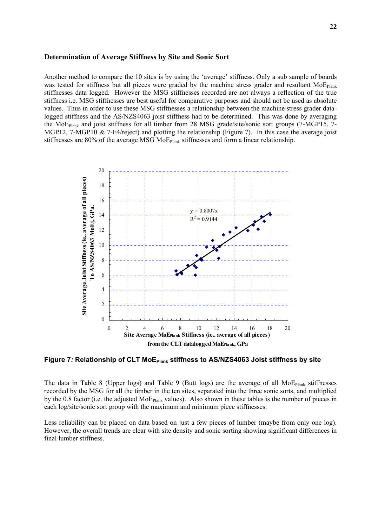#### **Determination of Average Stiffness by Site and Sonic Sort**

Another method to compare the 10 sites is by using the 'average' stiffness. Only a sub sample of boards was tested for stiffness but all pieces were graded by the machine stress grader and resultant  $MoE<sub>Plank</sub>$ stiffnesses data logged. However the MSG stiffnesses recorded are not always a reflection of the true stiffness i.e. MSG stiffnesses are best useful for comparative purposes and should not be used as absolute values. Thus in order to use these MSG stiffnesses a relationship between the machine stress grader datalogged stiffness and the AS/NZS4063 joist stiffness had to be determined. This was done by averaging the MoEPlank and joist stiffness for all timber from 28 MSG grade/site/sonic sort groups (7-MGP15, 7- MGP12, 7-MGP10 & 7-F4/reject) and plotting the relationship (Figure 7). In this case the average joist stiffnesses are 80% of the average MSG  $MOE_{Plank}$  stiffnesses and form a linear relationship.



Figure 7: Relationship of CLT MoE<sub>Plank</sub> stiffness to AS/NZS4063 Joist stiffness by site

The data in Table 8 (Upper logs) and Table 9 (Butt logs) are the average of all  $MoE_{Plank}$  stiffnesses recorded by the MSG for all the timber in the ten sites, separated into the three sonic sorts, and multiplied by the 0.8 factor (i.e. the adjusted MoE<sub>Plank</sub> values). Also shown in these tables is the number of pieces in each log/site/sonic sort group with the maximum and minimum piece stiffnesses.

Less reliability can be placed on data based on just a few pieces of lumber (maybe from only one log). However, the overall trends are clear with site density and sonic sorting showing significant differences in final lumber stiffness.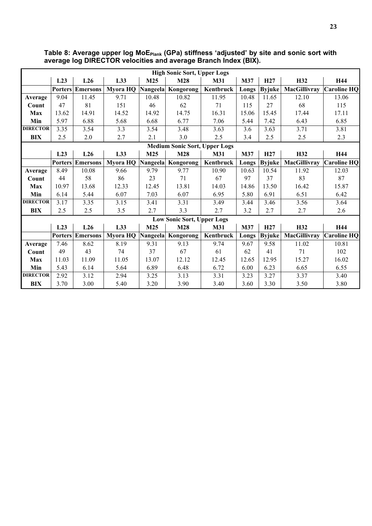| <b>High Sonic Sort, Upper Logs</b>   |                |                         |                   |          |                                   |            |       |               |                     |                    |  |  |
|--------------------------------------|----------------|-------------------------|-------------------|----------|-----------------------------------|------------|-------|---------------|---------------------|--------------------|--|--|
|                                      | L23            | L26                     | L33               | M25      | M28                               | M31        | M37   | H27           | H32                 | H44                |  |  |
|                                      |                | <b>Porters Emersons</b> | Myora HQ Nangeela |          | Kongorong                         | Kentbruck  | Longs | <b>Byjuke</b> | MacGillivray        | <b>Caroline HQ</b> |  |  |
| Average                              | 9.04           | 11.45                   | 9.71              | 10.48    | 10.82                             | 11.95      | 10.48 | 11.65         | 12.10               | 13.06              |  |  |
| Count                                | 47             | 81                      | 151               | 46       | 62                                | 71         | 115   | 27            | 68                  | 115                |  |  |
| Max                                  | 13.62          | 14.91                   | 14.52             | 14.92    | 14.75                             | 16.31      | 15.06 | 15.45         | 17.44               | 17.11              |  |  |
| Min                                  | 5.97           | 6.88                    | 5.68              | 6.68     | 6.77                              | 7.06       | 5.44  | 7.42          | 6.43                | 6.85               |  |  |
| <b>DIRECTOR</b>                      | 3.35           | 3.54                    | 3.3               | 3.54     | 3.48                              | 3.63       | 3.6   | 3.63          | 3.71                | 3.81               |  |  |
| <b>BIX</b>                           | 2.5            | 2.0                     | 2.7               | 2.1      | 3.0                               | 2.5        | 3.4   | 2.5           | 2.5                 | 2.3                |  |  |
| <b>Medium Sonic Sort, Upper Logs</b> |                |                         |                   |          |                                   |            |       |               |                     |                    |  |  |
|                                      | L23            | L26                     | L33               | M25      | M28                               | <b>M31</b> | M37   | H27           | H32                 | H44                |  |  |
|                                      |                | <b>Porters Emersons</b> | Myora HQ          | Nangeela | Kongorong                         | Kentbruck  | Longs | <b>Byjuke</b> | <b>MacGillivray</b> | <b>Caroline HQ</b> |  |  |
| Average                              | 8.49           | 10.08                   | 9.66              | 9.79     | 9.77                              | 10.90      | 10.63 | 10.54         | 11.92               | 12.03              |  |  |
| Count                                | 44             | 58                      | 86                | 23       | 71                                | 67         | 97    | 37            | 83                  | 87                 |  |  |
| <b>Max</b>                           | 10.97          | 13.68                   | 12.33             | 12.45    | 13.81                             | 14.03      | 14.86 | 13.50         | 16.42               | 15.87              |  |  |
| Min                                  | 6.14           | 5.44                    | 6.07              | 7.03     | 6.07                              | 6.95       | 5.80  | 6.91          | 6.51                | 6.42               |  |  |
| <b>DIRECTOR</b>                      | 3.17           | 3.35                    | 3.15              | 3.41     | 3.31                              | 3.49       | 3.44  | 3.46          | 3.56                | 3.64               |  |  |
| <b>BIX</b>                           | 2.5            | 2.5                     | 3.5               | 2.7      | 3.3                               | 2.7        | 3.2   | 2.7           | 2.7                 | 2.6                |  |  |
|                                      |                |                         |                   |          | <b>Low Sonic Sort, Upper Logs</b> |            |       |               |                     |                    |  |  |
|                                      | L23            | L26                     | L33               | M25      | <b>M28</b>                        | M31        | M37   | H27           | H32                 | H44                |  |  |
|                                      | <b>Porters</b> | <b>Emersons</b>         | Myora HQ Nangeela |          | Kongorong                         | Kentbruck  | Longs | <b>Byjuke</b> | MacGillivray        | <b>Caroline HQ</b> |  |  |
| Average                              | 7.46           | 8.62                    | 8.19              | 9.31     | 9.13                              | 9.74       | 9.67  | 9.58          | 11.02               | 10.81              |  |  |
| Count                                | 49             | 43                      | 74                | 37       | 67                                | 61         | 62    | 41            | 71                  | 102                |  |  |
| <b>Max</b>                           | 11.03          | 11.09                   | 11.05             | 13.07    | 12.12                             | 12.45      | 12.65 | 12.95         | 15.27               | 16.02              |  |  |
| Min                                  | 5.43           | 6.14                    | 5.64              | 6.89     | 6.48                              | 6.72       | 6.00  | 6.23          | 6.65                | 6.55               |  |  |
| <b>DIRECTOR</b>                      | 2.92           | 3.12                    | 2.94              | 3.25     | 3.13                              | 3.31       | 3.23  | 3.27          | 3.37                | 3.40               |  |  |
| <b>BIX</b>                           | 3.70           | 3.00                    | 5.40              | 3.20     | 3.90                              | 3.40       | 3.60  | 3.30          | 3.50                | 3.80               |  |  |

Table 8: Average upper log MoE<sub>Plank</sub> (GPa) stiffness 'adjusted' by site and sonic sort with **average log DIRECTOR velocities and average Branch Index (BIX).**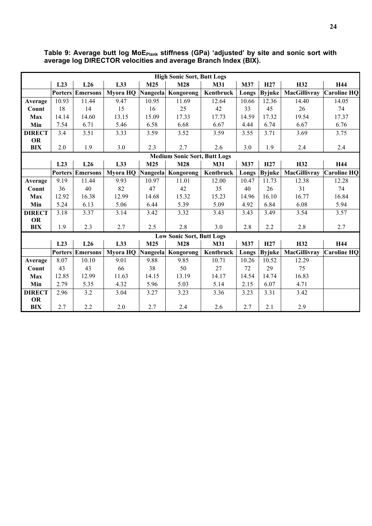|               | <b>High Sonic Sort, Butt Logs</b> |                 |          |                 |                                     |           |       |                 |              |                    |  |  |  |
|---------------|-----------------------------------|-----------------|----------|-----------------|-------------------------------------|-----------|-------|-----------------|--------------|--------------------|--|--|--|
|               | L23                               | L26             | L33      | M25             | M28                                 | M31       | M37   | H <sub>27</sub> | H32          | H44                |  |  |  |
|               | <b>Porters</b>                    | <b>Emersons</b> | Myora HQ | Nangeela        | Kongorong                           | Kentbruck | Longs | <b>Byjuke</b>   | MacGillivray | <b>Caroline HQ</b> |  |  |  |
| Average       | 10.93                             | 11.44           | 9.47     | 10.95           | 11.69                               | 12.64     | 10.66 | 12.36           | 14.40        | 14.05              |  |  |  |
| Count         | 18                                | 14              | 15       | 16              | 25                                  | 42        | 33    | 45              | 26           | 74                 |  |  |  |
| <b>Max</b>    | 14.14                             | 14.60           | 13.15    | 15.09           | 17.33                               | 17.73     | 14.59 | 17.32           | 19.54        | 17.37              |  |  |  |
| Min           | 7.54                              | 6.71            | 5.46     | 6.58            | 6.68                                | 6.67      | 4.44  | 6.74            | 6.67         | 6.76               |  |  |  |
| <b>DIRECT</b> | 3.4                               | 3.51            | 3.33     | 3.59            | 3.52                                | 3.59      | 3.55  | 3.71            | 3.69         | 3.75               |  |  |  |
| <b>OR</b>     |                                   |                 |          |                 |                                     |           |       |                 |              |                    |  |  |  |
| <b>BIX</b>    | 2.0                               | 1.9             | 3.0      | 2.3             | 2.7                                 | 2.6       | 3.0   | 1.9             | 2.4          | 2.4                |  |  |  |
|               |                                   |                 |          |                 | <b>Medium Sonic Sort, Butt Logs</b> |           |       |                 |              |                    |  |  |  |
|               | L23                               | L26             | L33      | M25             | M28                                 | M31       | M37   | H <sub>27</sub> | H32          | H44                |  |  |  |
|               | <b>Porters</b>                    | <b>Emersons</b> | Myora HQ | Nangeela        | Kongorong                           | Kentbruck | Longs | <b>Byjuke</b>   | MacGillivray | <b>Caroline HQ</b> |  |  |  |
| Average       | 9.19                              | 11.44           | 9.93     | 10.97           | 11.01                               | 12.00     | 10.47 | 11.73           | 12.38        | 12.28              |  |  |  |
| Count         | 36                                | 40              | 82       | 47              | 42                                  | 35        | 40    | 26              | 31           | 74                 |  |  |  |
| <b>Max</b>    | 12.92                             | 16.38           | 12.99    | 14.68           | 15.32                               | 15.23     | 14.96 | 16.10           | 16.77        | 16.84              |  |  |  |
| Min           | 5.24                              | 6.13            | 5.06     | 6.44            | 5.39                                | 5.09      | 4.92  | 6.84            | 6.08         | 5.94               |  |  |  |
| <b>DIRECT</b> | 3.18                              | 3.37            | 3.14     | 3.42            | 3.32                                | 3.43      | 3.43  | 3.49            | 3.54         | 3.57               |  |  |  |
| OR            |                                   |                 |          |                 |                                     |           |       |                 |              |                    |  |  |  |
| <b>BIX</b>    | 1.9                               | 2.3             | 2.7      | 2.5             | 2.8                                 | 3.0       | 2.8   | 2.2             | 2.8          | 2.7                |  |  |  |
|               |                                   |                 |          |                 | <b>Low Sonic Sort, Butt Logs</b>    |           |       |                 |              |                    |  |  |  |
|               | L23                               | L26             | L33      | M <sub>25</sub> | M28                                 | M31       | M37   | H <sub>27</sub> | H32          | H44                |  |  |  |
|               | <b>Porters</b>                    | <b>Emersons</b> | Myora HQ |                 | Nangeela Kongorong                  | Kentbruck | Longs | <b>Byjuke</b>   | MacGillivray | <b>Caroline HO</b> |  |  |  |
| Average       | 8.07                              | 10.10           | 9.01     | 9.88            | 9.85                                | 10.71     | 10.26 | 10.52           | 12.29        |                    |  |  |  |
| Count         | 43                                | 43              | 66       | 38              | 50                                  | 27        | 72    | 29              | 75           |                    |  |  |  |
| <b>Max</b>    | 12.85                             | 12.99           | 11.63    | 14.15           | 13.19                               | 14.17     | 14.54 | 14.74           | 16.83        |                    |  |  |  |
| Min           | 2.79                              | 5.35            | 4.32     | 5.96            | 5.03                                | 5.14      | 2.15  | 6.07            | 4.71         |                    |  |  |  |
| <b>DIRECT</b> | 2.96                              | 3.2             | 3.04     | 3.27            | 3.23                                | 3.36      | 3.23  | 3.31            | 3.42         |                    |  |  |  |
| OR            |                                   |                 |          |                 |                                     |           |       |                 |              |                    |  |  |  |
| <b>BIX</b>    | 2.7                               | 2.2             | 2.0      | 2.7             | 2.4                                 | 2.6       | 2.7   | 2.1             | 2.9          |                    |  |  |  |

Table 9: Average butt log MoE<sub>Plank</sub> stiffness (GPa) 'adjusted' by site and sonic sort with **average log DIRECTOR velocities and average Branch Index (BIX).**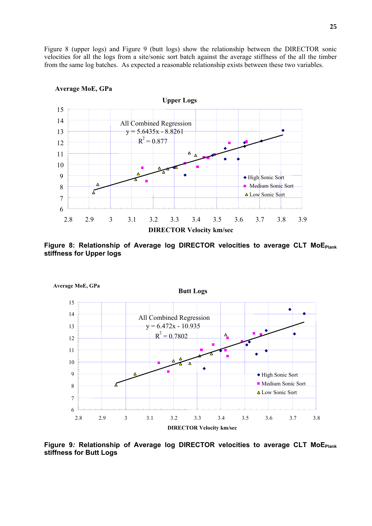Figure 8 (upper logs) and Figure 9 (butt logs) show the relationship between the DIRECTOR sonic velocities for all the logs from a site/sonic sort batch against the average stiffness of the all the timber from the same log batches. As expected a reasonable relationship exists between these two variables.



#### **Average MoE, GPa**

Figure 8: Relationship of Average log DIRECTOR velocities to average CLT MoE<sub>Plank</sub> **stiffness for Upper logs**



Figure 9: Relationship of Average log DIRECTOR velocities to average CLT MoE<sub>Plank</sub> **stiffness for Butt Logs**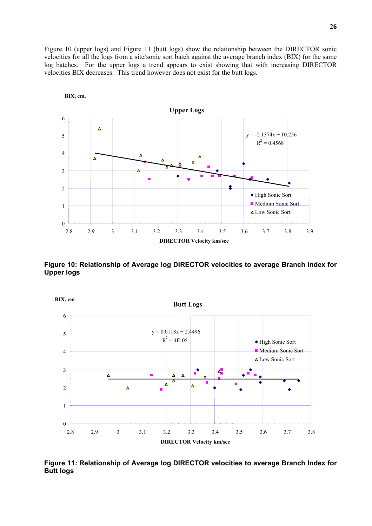Figure 10 (upper logs) and Figure 11 (butt logs) show the relationship between the DIRECTOR sonic velocities for all the logs from a site/sonic sort batch against the average branch index (BIX) for the same log batches. For the upper logs a trend appears to exist showing that with increasing DIRECTOR velocities BIX decreases. This trend however does not exist for the butt logs.



**Figure 10: Relationship of Average log DIRECTOR velocities to average Branch Index for Upper logs** 



**Figure 11***:* **Relationship of Average log DIRECTOR velocities to average Branch Index for Butt logs** 

**BIX, cm.**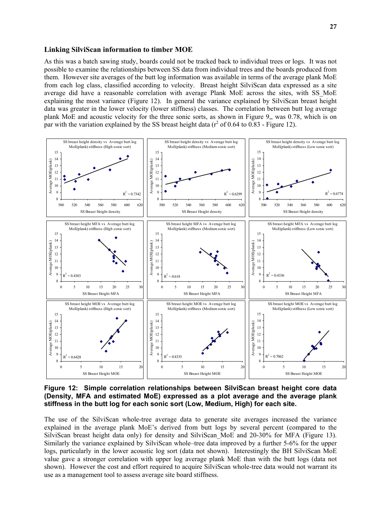#### **Linking SilviScan information to timber MOE**

As this was a batch sawing study, boards could not be tracked back to individual trees or logs. It was not possible to examine the relationships between SS data from individual trees and the boards produced from them. However site averages of the butt log information was available in terms of the average plank MoE from each log class, classified according to velocity. Breast height SilviScan data expressed as a site average did have a reasonable correlation with average Plank MoE across the sites, with SS\_MoE explaining the most variance (Figure 12). In general the variance explained by SilviScan breast height data was greater in the lower velocity (lower stiffness) classes. The correlation between butt log average plank MoE and acoustic velocity for the three sonic sorts, as shown in Figure 9,, was 0.78, which is on par with the variation explained by the SS breast height data ( $r^2$  of 0.64 to 0.83 - Figure 12).



**Figure 12: Simple correlation relationships between SilviScan breast height core data (Density, MFA and estimated MoE) expressed as a plot average and the average plank stiffness in the butt log for each sonic sort (Low, Medium, High) for each site.** 

The use of the SilviScan whole-tree average data to generate site averages increased the variance explained in the average plank MoE's derived from butt logs by several percent (compared to the SilviScan breast height data only) for density and SilviScan MoE and 20-30% for MFA (Figure 13). Similarly the variance explained by SilviScan whole–tree data improved by a further 5-6% for the upper logs, particularly in the lower acoustic log sort (data not shown). Interestingly the BH SilviScan MoE value gave a stronger correlation with upper log average plank MoE than with the butt logs (data not shown). However the cost and effort required to acquire SilviScan whole-tree data would not warrant its use as a management tool to assess average site board stiffness.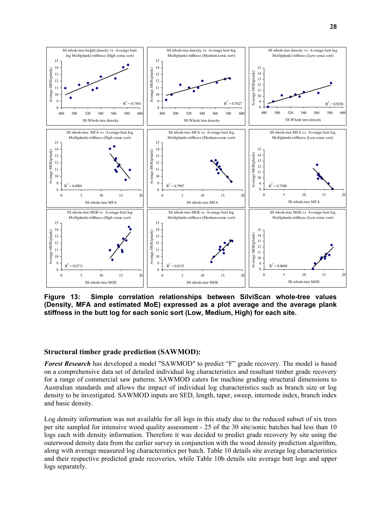

**Figure 13: Simple correlation relationships between SilviScan whole-tree values (Density, MFA and estimated MoE) expressed as a plot average and the average plank stiffness in the butt log for each sonic sort (Low, Medium, High) for each site.** 

#### **Structural timber grade prediction (SAWMOD):**

*Forest Research* has developed a model "SAWMOD" to predict "F" grade recovery. The model is based on a comprehensive data set of detailed individual log characteristics and resultant timber grade recovery for a range of commercial saw patterns. SAWMOD caters for machine grading structural dimensions to Australian standards and allows the impact of individual log characteristics such as branch size or log density to be investigated. SAWMOD inputs are SED, length, taper, sweep, internode index, branch index and basic density.

Log density information was not available for all logs in this study due to the reduced subset of six trees per site sampled for intensive wood quality assessment - 25 of the 30 site/sonic batches had less than 10 logs each with density information. Therefore it was decided to predict grade recovery by site using the outerwood density data from the earlier survey in conjunction with the wood density prediction algorithm, along with average measured log characteristics per batch. Table 10 details site average log characteristics and their respective predicted grade recoveries, while Table 10b details site average butt logs and upper logs separately.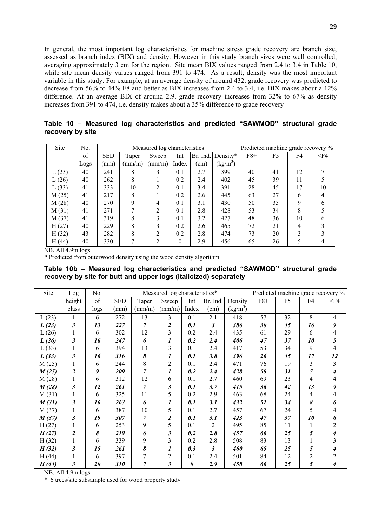In general, the most important log characteristics for machine stress grade recovery are branch size, assessed as branch index (BIX) and density. However in this study branch sizes were well controlled, averaging approximately 3 cm for the region. Site mean BIX values ranged from 2.4 to 3.4 in Table 10, while site mean density values ranged from 391 to 474. As a result, density was the most important variable in this study. For example, at an average density of around 432, grade recovery was predicted to decrease from 56% to 44% F8 and better as BIX increases from 2.4 to 3.4, i.e. BIX makes about a 12% difference. At an average BIX of around 2.9, grade recovery increases from 32% to 67% as density increases from 391 to 474, i.e. density makes about a 35% difference to grade recovery

**Table 10 – Measured log characteristics and predicted "SAWMOD" structural grade recovery by site** 

| <b>Site</b> | N <sub>0</sub> |            |                 | Measured log characteristics |          |          |                   |       | Predicted machine grade recovery % |    |        |
|-------------|----------------|------------|-----------------|------------------------------|----------|----------|-------------------|-------|------------------------------------|----|--------|
|             | of             | <b>SED</b> | Taper           | Sweep                        | Int      | Br. Ind. | Density*          | $F8+$ | F5                                 | F4 | $<$ F4 |
|             | Logs           | (mm)       | $\text{(mm/m)}$ | $\text{(mm/m)}$              | Index    | (cm)     | $\text{(kg/m}^3)$ |       |                                    |    |        |
| L(23)       | 40             | 241        | 8               | 3                            | 0.1      | 2.7      | 399               | 40    | 41                                 | 12 | 7      |
| L(26)       | 40             | 262        | 8               |                              | 0.2      | 2.4      | 402               | 45    | 39                                 | 11 |        |
| L(33)       | 41             | 333        | 10              | 2                            | 0.1      | 3.4      | 391               | 28    | 45                                 | 17 | 10     |
| M(25)       | 41             | 217        | 8               |                              | 0.2      | 2.6      | 445               | 63    | 27                                 | 6  | 4      |
| M(28)       | 40             | 270        | 9               |                              | 0.1      | 3.1      | 430               | 50    | 35                                 | 9  | 6      |
| M(31)       | 41             | 271        |                 | ↑                            | 0.1      | 2.8      | 428               | 53    | 34                                 | 8  |        |
| M(37)       | 41             | 319        | 8               | 3                            | 0.1      | 3.2      | 427               | 48    | 36                                 | 10 | h      |
| H(27)       | 40             | 229        | 8               | 3                            | 0.2      | 2.6      | 465               | 72    | 21                                 | 4  |        |
| H(32)       | 43             | 282        | 8               | ◠                            | 0.2      | 2.8      | 474               | 73    | 20                                 | 3  |        |
| H(44)       | 40             | 330        | Η               | າ                            | $\Omega$ | 2.9      | 456               | 65    | 26                                 | 5  |        |

NB. All 4.9m logs

\* Predicted from outerwood density using the wood density algorithm

**Table 10b – Measured log characteristics and predicted "SAWMOD" structural grade recovery by site for butt and upper logs (italicized) separately** 

| Site  | Log            | No.  | Measured log characteristics* |                 |                         |                       |                |            | Predicted machine grade recovery % |                |                |                |
|-------|----------------|------|-------------------------------|-----------------|-------------------------|-----------------------|----------------|------------|------------------------------------|----------------|----------------|----------------|
|       | height         | of   | <b>SED</b>                    | Taper           | Sweep                   | Int                   | Br. Ind.       | Density    | $F8+$                              | F <sub>5</sub> | F4             | $<$ F4         |
|       | class          | logs | (mm)                          | $\text{(mm/m)}$ | (mm/m)                  | Index                 | (cm)           | $(kg/m^3)$ |                                    |                |                |                |
| L(23) | 1              | 6    | 272                           | 13              | 3                       | 0.1                   | 2.1            | 418        | 57                                 | 32             | 8              | $\overline{4}$ |
| L(23) | 3              | 13   | 227                           | $\overline{7}$  | $\overline{\mathbf{c}}$ | 0.1                   | 3              | 386        | 30                                 | 45             | 16             | 9              |
| L(26) |                | 6    | 302                           | 12              | 3                       | 0.2                   | 2.4            | 435        | 61                                 | 29             | 6              | 4              |
| L(26) | 3              | 16   | 247                           | 6               | 1                       | 0.2                   | 2.4            | 406        | 47                                 | 37             | 10             | 5              |
| L(33) |                | 6    | 394                           | 13              | 3                       | 0.1                   | 2.4            | 417        | 53                                 | 34             | 9              | 4              |
| L(33) | 3              | 16   | 316                           | 8               | 1                       | 0.1                   | 3.8            | 396        | 26                                 | 45             | 17             | 12             |
| M(25) |                | 6    | 244                           | 8               | $\overline{c}$          | 0.1                   | 2.4            | 471        | 76                                 | 19             | 3              | 3              |
| M(25) | $\overline{2}$ | 9    | 209                           | 7               | 1                       | 0.2                   | 2.4            | 428        | 58                                 | 31             | $\overline{7}$ | 4              |
| M(28) |                | 6    | 312                           | 12              | 6                       | 0.1                   | 2.7            | 460        | 69                                 | 23             | 4              | 4              |
| M(28) | $\mathfrak{z}$ | 12   | 261                           | 7               | 3                       | 0.1                   | 3.7            | 415        | 36                                 | 42             | 13             | 9              |
| M(31) |                | 6    | 325                           | 11              | 5                       | 0.2                   | 2.9            | 463        | 68                                 | 24             | 4              | 4              |
| M(31) | 3              | 16   | 263                           | 6               | 1                       | 0.1                   | 3.1            | 432        | 51                                 | 34             | 8              | 6              |
| M(37) |                | 6    | 387                           | 10              | 5                       | 0.1                   | 2.7            | 457        | 67                                 | 24             | 5              | 4              |
| M(37) | 3              | 19   | 307                           | 7               | $\boldsymbol{2}$        | 0.1                   | 3.1            | 423        | 47                                 | 37             | 10             | 6              |
| H(27) |                | 6    | 253                           | 9               | 5                       | 0.1                   | $\overline{c}$ | 495        | 85                                 | 11             |                | $\overline{2}$ |
| H(27) | $\overline{2}$ | 8    | 219                           | 6               | 3                       | 0.2                   | 2.8            | 457        | 66                                 | 25             | 5              | 4              |
| H(32) |                | 6    | 339                           | 9               | 3                       | 0.2                   | 2.8            | 508        | 83                                 | 13             |                | 3              |
| H(32) | 3              | 15   | 261                           | 8               | 1                       | 0.3                   | $\mathfrak{Z}$ | 460        | 65                                 | 25             | 5              | 4              |
| H(44) |                | 6    | 397                           | 7               | $\overline{c}$          | 0.1                   | 2.4            | 501        | 84                                 | 12             | $\overline{c}$ | 2              |
| H(44) | 3              | 20   | 310                           | 7               | 3                       | $\boldsymbol{\theta}$ | 2.9            | 458        | 66                                 | 25             | 5              | 4              |

NB. All 4.9m logs

\* 6 trees/site subsample used for wood property study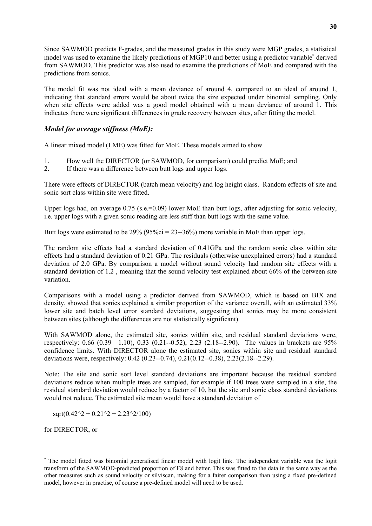Since SAWMOD predicts F-grades, and the measured grades in this study were MGP grades, a statistical model was used to examine the likely predictions of MGP10 and better using a predictor variable<sup>∗</sup> derived from SAWMOD. This predictor was also used to examine the predictions of MoE and compared with the predictions from sonics.

The model fit was not ideal with a mean deviance of around 4, compared to an ideal of around 1, indicating that standard errors would be about twice the size expected under binomial sampling. Only when site effects were added was a good model obtained with a mean deviance of around 1. This indicates there were significant differences in grade recovery between sites, after fitting the model.

# *Model for average stiffness (MoE):*

A linear mixed model (LME) was fitted for MoE. These models aimed to show

- 1. How well the DIRECTOR (or SAWMOD, for comparison) could predict MoE; and
- 2. If there was a difference between butt logs and upper logs.

There were effects of DIRECTOR (batch mean velocity) and log height class. Random effects of site and sonic sort class within site were fitted.

Upper logs had, on average  $0.75$  (s.e.=0.09) lower MoE than butt logs, after adjusting for sonic velocity, i.e. upper logs with a given sonic reading are less stiff than butt logs with the same value.

Butt logs were estimated to be  $29\%$  ( $95\%$ ci =  $23$ --36%) more variable in MoE than upper logs.

The random site effects had a standard deviation of 0.41GPa and the random sonic class within site effects had a standard deviation of 0.21 GPa. The residuals (otherwise unexplained errors) had a standard deviation of 2.0 GPa. By comparison a model without sound velocity had random site effects with a standard deviation of 1.2 , meaning that the sound velocity test explained about 66% of the between site variation.

Comparisons with a model using a predictor derived from SAWMOD, which is based on BIX and density, showed that sonics explained a similar proportion of the variance overall, with an estimated 33% lower site and batch level error standard deviations, suggesting that sonics may be more consistent between sites (although the differences are not statistically significant).

With SAWMOD alone, the estimated site, sonics within site, and residual standard deviations were, respectively: 0.66 (0.39—1.10), 0.33 (0.21--0.52), 2.23 (2.18--2.90). The values in brackets are 95% confidence limits. With DIRECTOR alone the estimated site, sonics within site and residual standard deviations were, respectively: 0.42 (0.23--0.74), 0.21(0.12--0.38), 2.23(2.18--2.29).

Note: The site and sonic sort level standard deviations are important because the residual standard deviations reduce when multiple trees are sampled, for example if 100 trees were sampled in a site, the residual standard deviation would reduce by a factor of 10, but the site and sonic class standard deviations would not reduce. The estimated site mean would have a standard deviation of

 $sqrt(0.42^2 + 0.21^2 + 2.23^2/100)$ 

for DIRECTOR, or

l

<sup>∗</sup> The model fitted was binomial generalised linear model with logit link. The independent variable was the logit transform of the SAWMOD-predicted proportion of F8 and better. This was fitted to the data in the same way as the other measures such as sound velocity or silviscan, making for a fairer comparison than using a fixed pre-defined model, however in practise, of course a pre-defined model will need to be used.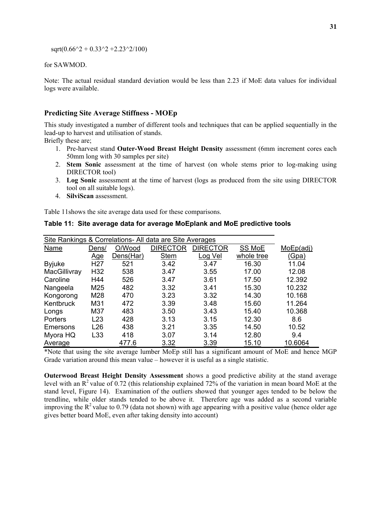$sqrt(0.66^2 + 0.33^2 + 2.23^2)/100)$ 

for SAWMOD.

Note: The actual residual standard deviation would be less than 2.23 if MoE data values for individual logs were available.

## **Predicting Site Average Stiffness - MOEp**

This study investigated a number of different tools and techniques that can be applied sequentially in the lead-up to harvest and utilisation of stands.

Briefly these are;

- 1. Pre-harvest stand **Outer-Wood Breast Height Density** assessment (6mm increment cores each 50mm long with 30 samples per site)
- 2. **Stem Sonic** assessment at the time of harvest (on whole stems prior to log-making using DIRECTOR tool)
- 3. **Log Sonic** assessment at the time of harvest (logs as produced from the site using DIRECTOR tool on all suitable logs).
- 4. **SilviScan** assessment.

Table 11shows the site average data used for these comparisons.

| Site Rankings & Correlations- All data are Site Averages |                 |           |                 |          |               |           |  |  |
|----------------------------------------------------------|-----------------|-----------|-----------------|----------|---------------|-----------|--|--|
| <b>Name</b>                                              | Dens/           | O/Wood    | <b>DIRECTOR</b> | DIRECTOR | <b>SS MoE</b> | MoEp(adj) |  |  |
|                                                          | <u>Age</u>      | Dens(Har) | <b>Stem</b>     | Log Vel  | whole tree    | (Gpa)     |  |  |
| <b>Byjuke</b>                                            | H <sub>27</sub> | 521       | 3.42            | 3.47     | 16.30         | 11.04     |  |  |
| MacGillivray                                             | H <sub>32</sub> | 538       | 3.47            | 3.55     | 17.00         | 12.08     |  |  |
| Caroline                                                 | H44             | 526       | 3.47            | 3.61     | 17.50         | 12.392    |  |  |
| Nangeela                                                 | M25             | 482       | 3.32            | 3.41     | 15.30         | 10.232    |  |  |
| Kongorong                                                | M28             | 470       | 3.23            | 3.32     | 14.30         | 10.168    |  |  |
| Kentbruck                                                | M31             | 472       | 3.39            | 3.48     | 15.60         | 11.264    |  |  |
| Longs                                                    | M37             | 483       | 3.50            | 3.43     | 15.40         | 10.368    |  |  |
| Porters                                                  | L23             | 428       | 3.13            | 3.15     | 12.30         | 8.6       |  |  |
| Emersons                                                 | L26             | 438       | 3.21            | 3.35     | 14.50         | 10.52     |  |  |
| Myora HQ                                                 | L33             | 418       | 3.07            | 3.14     | 12.80         | 9.4       |  |  |
| Average                                                  |                 | 477.6     | 3.32            | 3.39     | 15.10         | 10.6064   |  |  |

**Table 11: Site average data for average MoEplank and MoE predictive tools** 

\*Note that using the site average lumber MoEp still has a significant amount of MoE and hence MGP Grade variation around this mean value – however it is useful as a single statistic.

**Outerwood Breast Height Density Assessment** shows a good predictive ability at the stand average level with an  $R^2$  value of 0.72 (this relationship explained 72% of the variation in mean board MoE at the stand level, Figure 14). Examination of the outliers showed that younger ages tended to be below the trendline, while older stands tended to be above it. Therefore age was added as a second variable improving the  $R^2$  value to 0.79 (data not shown) with age appearing with a positive value (hence older age gives better board MoE, even after taking density into account)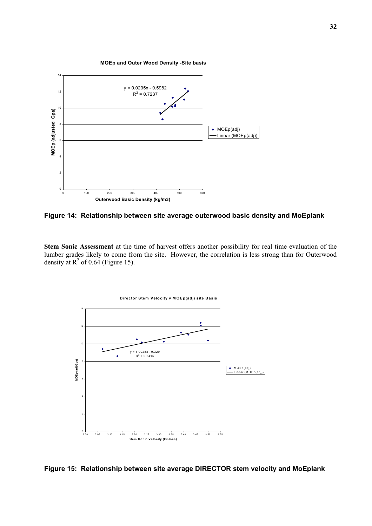

**Figure 14: Relationship between site average outerwood basic density and MoEplank** 

**Stem Sonic Assessment** at the time of harvest offers another possibility for real time evaluation of the lumber grades likely to come from the site. However, the correlation is less strong than for Outerwood density at  $R^2$  of 0.64 (Figure 15).



**Figure 15: Relationship between site average DIRECTOR stem velocity and MoEplank**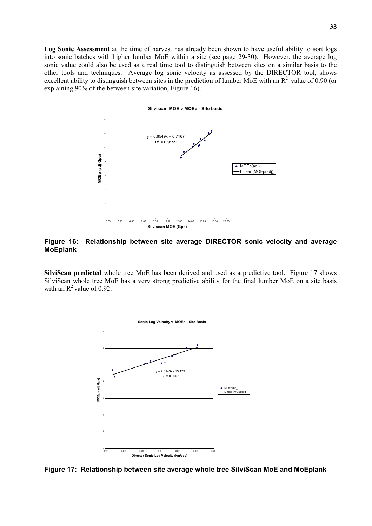**Log Sonic Assessment** at the time of harvest has already been shown to have useful ability to sort logs into sonic batches with higher lumber MoE within a site (see page 29-30). However, the average log sonic value could also be used as a real time tool to distinguish between sites on a similar basis to the other tools and techniques. Average log sonic velocity as assessed by the DIRECTOR tool, shows excellent ability to distinguish between sites in the prediction of lumber MoE with an  $R^2$  value of 0.90 (or explaining 90% of the between site variation, Figure 16).



## **Figure 16: Relationship between site average DIRECTOR sonic velocity and average MoEplank**

**SilviScan predicted** whole tree MoE has been derived and used as a predictive tool. Figure 17 shows SilviScan whole tree MoE has a very strong predictive ability for the final lumber MoE on a site basis with an  $R^2$  value of 0.92.



**Figure 17: Relationship between site average whole tree SilviScan MoE and MoEplank**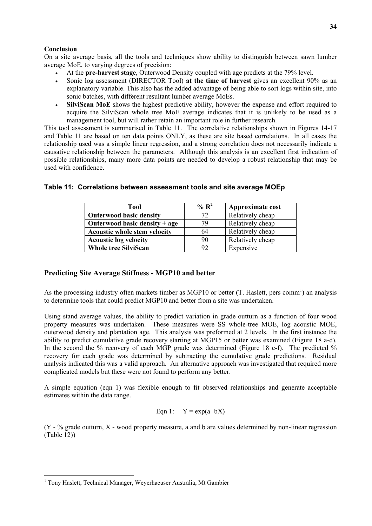#### **Conclusion**

On a site average basis, all the tools and techniques show ability to distinguish between sawn lumber average MoE, to varying degrees of precision:

- At the **pre-harvest stage**, Outerwood Density coupled with age predicts at the 79% level.
- Sonic log assessment (DIRECTOR Tool) **at the time of harvest** gives an excellent 90% as an explanatory variable. This also has the added advantage of being able to sort logs within site, into sonic batches, with different resultant lumber average MoEs.
- **SilviScan MoE** shows the highest predictive ability, however the expense and effort required to acquire the SilviScan whole tree MoE average indicates that it is unlikely to be used as a management tool, but will rather retain an important role in further research.

This tool assessment is summarised in Table 11. The correlative relationships shown in Figures 14-17 and Table 11 are based on ten data points ONLY, as these are site based correlations. In all cases the relationship used was a simple linear regression, and a strong correlation does not necessarily indicate a causative relationship between the parameters. Although this analysis is an excellent first indication of possible relationships, many more data points are needed to develop a robust relationship that may be used with confidence.

| Tool                                | % $\mathbf{R}^2$ | Approximate cost |
|-------------------------------------|------------------|------------------|
| <b>Outerwood basic density</b>      | 72               | Relatively cheap |
| Outerwood basic density $+$ age     | 79               | Relatively cheap |
| <b>Acoustic whole stem velocity</b> | 64               | Relatively cheap |
| <b>Acoustic log velocity</b>        | 90               | Relatively cheap |
| <b>Whole tree SilviScan</b>         | 92               | Expensive        |

# **Table 11: Correlations between assessment tools and site average MOEp**

# **Predicting Site Average Stiffness - MGP10 and better**

As the processing industry often markets timber as MGP10 or better  $(T.$  Haslett, pers comm<sup>1</sup>) an analysis to determine tools that could predict MGP10 and better from a site was undertaken.

Using stand average values, the ability to predict variation in grade outturn as a function of four wood property measures was undertaken. These measures were SS whole-tree MOE, log acoustic MOE, outerwood density and plantation age. This analysis was preformed at 2 levels. In the first instance the ability to predict cumulative grade recovery starting at MGP15 or better was examined (Figure 18 a-d). In the second the % recovery of each MGP grade was determined (Figure 18 e-f). The predicted % recovery for each grade was determined by subtracting the cumulative grade predictions. Residual analysis indicated this was a valid approach. An alternative approach was investigated that required more complicated models but these were not found to perform any better.

A simple equation (eqn 1) was flexible enough to fit observed relationships and generate acceptable estimates within the data range.

# Eqn 1:  $Y = exp(a+bX)$

 $(Y - %)$  grade outturn,  $X - wood$  property measure, a and b are values determined by non-linear regression (Table 12))

 $\overline{\phantom{a}}$ 

<sup>&</sup>lt;sup>1</sup> Tony Haslett, Technical Manager, Weyerhaeuser Australia, Mt Gambier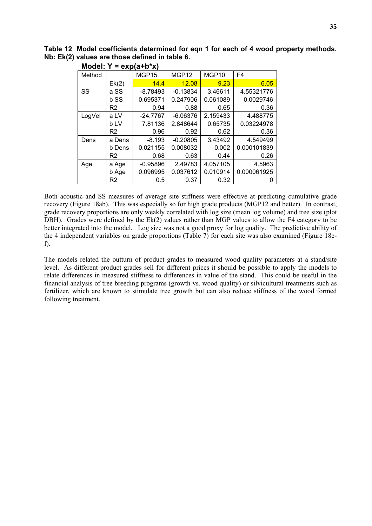**Table 12 Model coefficients determined for eqn 1 for each of 4 wood property methods. Nb: Ek(2) values are those defined in table 6.** 

|        |        | $V^{\mu}$  |            |          |             |
|--------|--------|------------|------------|----------|-------------|
| Method |        | MGP15      | MGP12      | MGP10    | F4          |
|        | Ek(2)  | 14.4       | 12.08      | 9.23     | 6.05        |
| SS     | a SS   | $-8.78493$ | $-0.13834$ | 3.46611  | 4.55321776  |
|        | b SS   | 0.695371   | 0.247906   | 0.061089 | 0.0029746   |
|        | R2     | 0.94       | 0.88       | 0.65     | 0.36        |
| LogVel | a LV   | $-24.7767$ | $-6.06376$ | 2.159433 | 4.488775    |
|        | b LV   | 7.81136    | 2.848644   | 0.65735  | 0.03224978  |
|        | R2     | 0.96       | 0.92       | 0.62     | 0.36        |
| Dens   | a Dens | $-8.193$   | $-0.20805$ | 3.43492  | 4.549499    |
|        | b Dens | 0.021155   | 0.008032   | 0.002    | 0.000101839 |
|        | R2     | 0.68       | 0.63       | 0.44     | 0.26        |
| Age    | a Age  | $-0.95896$ | 2.49783    | 4.057105 | 4.5963      |
|        | b Age  | 0.096995   | 0.037612   | 0.010914 | 0.000061925 |
|        | R2     | 0.5        | 0.37       | 0.32     |             |

**Model: Y = exp(a+b\*x)** 

Both acoustic and SS measures of average site stiffness were effective at predicting cumulative grade recovery (Figure 18ab). This was especially so for high grade products (MGP12 and better). In contrast, grade recovery proportions are only weakly correlated with log size (mean log volume) and tree size (plot DBH). Grades were defined by the Ek(2) values rather than MGP values to allow the F4 category to be better integrated into the model. Log size was not a good proxy for log quality. The predictive ability of the 4 independent variables on grade proportions (Table 7) for each site was also examined (Figure 18ef).

The models related the outturn of product grades to measured wood quality parameters at a stand/site level. As different product grades sell for different prices it should be possible to apply the models to relate differences in measured stiffness to differences in value of the stand. This could be useful in the financial analysis of tree breeding programs (growth vs. wood quality) or silvicultural treatments such as fertilizer, which are known to stimulate tree growth but can also reduce stiffness of the wood formed following treatment.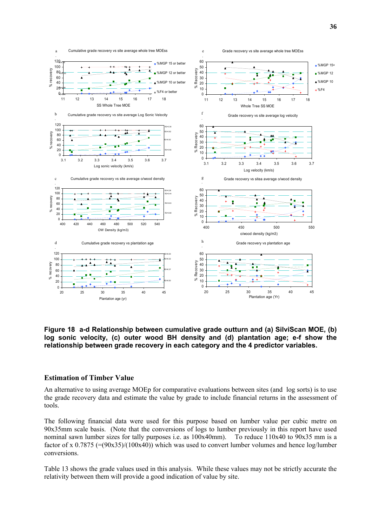

**Figure 18 a-d Relationship between cumulative grade outturn and (a) SilviScan MOE, (b) log sonic velocity, (c) outer wood BH density and (d) plantation age; e-f show the relationship between grade recovery in each category and the 4 predictor variables.** 

#### **Estimation of Timber Value**

An alternative to using average MOEp for comparative evaluations between sites (and log sorts) is to use the grade recovery data and estimate the value by grade to include financial returns in the assessment of tools.

The following financial data were used for this purpose based on lumber value per cubic metre on 90x35mm scale basis. (Note that the conversions of logs to lumber previously in this report have used nominal sawn lumber sizes for tally purposes i.e. as 100x40mm). To reduce 110x40 to 90x35 mm is a factor of x  $0.7875$  (=(90x35)/(100x40)) which was used to convert lumber volumes and hence log/lumber conversions.

Table 13 shows the grade values used in this analysis. While these values may not be strictly accurate the relativity between them will provide a good indication of value by site.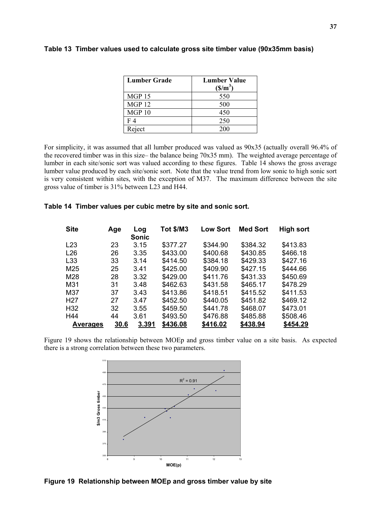| <b>Lumber Grade</b> | <b>Lumber Value</b><br>(S/m <sup>3</sup> ) |
|---------------------|--------------------------------------------|
| <b>MGP 15</b>       | 550                                        |
| MGP <sub>12</sub>   | 500                                        |
| MGP <sub>10</sub>   | 450                                        |
| F 4                 | 250                                        |
| Reject              | 200                                        |

#### **Table 13 Timber values used to calculate gross site timber value (90x35mm basis)**

For simplicity, it was assumed that all lumber produced was valued as 90x35 (actually overall 96.4% of the recovered timber was in this size– the balance being 70x35 mm). The weighted average percentage of lumber in each site/sonic sort was valued according to these figures. Table 14 shows the gross average lumber value produced by each site/sonic sort. Note that the value trend from low sonic to high sonic sort is very consistent within sites, with the exception of M37. The maximum difference between the site gross value of timber is 31% between L23 and H44.

#### **Table 14 Timber values per cubic metre by site and sonic sort.**

| <b>Site</b>      | Age  | Log   | <b>Tot \$/M3</b> | <b>Low Sort</b> | <b>Med Sort</b> | High sort |
|------------------|------|-------|------------------|-----------------|-----------------|-----------|
|                  |      | Sonic |                  |                 |                 |           |
| L23              | 23   | 3.15  | \$377.27         | \$344.90        | \$384.32        | \$413.83  |
| L26              | 26   | 3.35  | \$433.00         | \$400.68        | \$430.85        | \$466.18  |
| L <sub>33</sub>  | 33   | 3.14  | \$414.50         | \$384.18        | \$429.33        | \$427.16  |
| M25              | 25   | 3.41  | \$425.00         | \$409.90        | \$427.15        | \$444.66  |
| M28              | 28   | 3.32  | \$429.00         | \$411.76        | \$431.33        | \$450.69  |
| M31              | 31   | 3.48  | \$462.63         | \$431.58        | \$465.17        | \$478.29  |
| M37              | 37   | 3.43  | \$413.86         | \$418.51        | \$415.52        | \$411.53  |
| H <sub>2</sub> 7 | 27   | 3.47  | \$452.50         | \$440.05        | \$451.82        | \$469.12  |
| H <sub>32</sub>  | 32   | 3.55  | \$459.50         | \$441.78        | \$468.07        | \$473.01  |
| H44              | 44   | 3.61  | \$493.50         | \$476.88        | \$485.88        | \$508.46  |
| <b>Averages</b>  | 30.6 | 3.391 | \$436.08         | \$416.02        | \$438.94        | \$454.29  |

Figure 19 shows the relationship between MOEp and gross timber value on a site basis. As expected there is a strong correlation between these two parameters.



**Figure 19 Relationship between MOEp and gross timber value by site**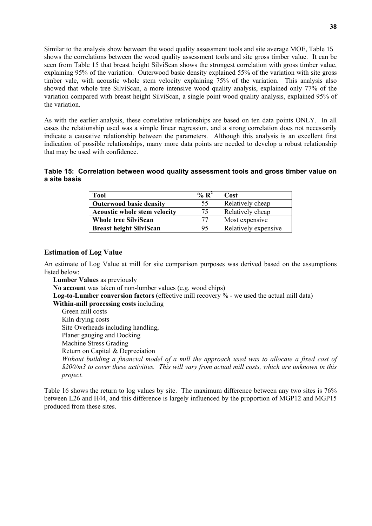Similar to the analysis show between the wood quality assessment tools and site average MOE, Table 15 shows the correlations between the wood quality assessment tools and site gross timber value. It can be seen from Table 15 that breast height SilviScan shows the strongest correlation with gross timber value, explaining 95% of the variation. Outerwood basic density explained 55% of the variation with site gross timber vale, with acoustic whole stem velocity explaining 75% of the variation. This analysis also showed that whole tree SilviScan, a more intensive wood quality analysis, explained only 77% of the variation compared with breast height SilviScan, a single point wood quality analysis, explained 95% of the variation.

As with the earlier analysis, these correlative relationships are based on ten data points ONLY. In all cases the relationship used was a simple linear regression, and a strong correlation does not necessarily indicate a causative relationship between the parameters. Although this analysis is an excellent first indication of possible relationships, many more data points are needed to develop a robust relationship that may be used with confidence.

# **Table 15: Correlation between wood quality assessment tools and gross timber value on a site basis**

| Tool                                | $\% R^2$ | Cost                 |
|-------------------------------------|----------|----------------------|
| <b>Outerwood basic density</b>      | 55       | Relatively cheap     |
| <b>Acoustic whole stem velocity</b> | 75       | Relatively cheap     |
| <b>Whole tree SilviScan</b>         | 77       | Most expensive       |
| <b>Breast height SilviScan</b>      | 95       | Relatively expensive |

## **Estimation of Log Value**

An estimate of Log Value at mill for site comparison purposes was derived based on the assumptions listed below:

**Lumber Values** as previously **No account** was taken of non-lumber values (e.g. wood chips) **Log-to-Lumber conversion factors** (effective mill recovery % - we used the actual mill data) **Within-mill processing costs** including Green mill costs Kiln drying costs Site Overheads including handling, Planer gauging and Docking Machine Stress Grading Return on Capital & Depreciation *Without building a financial model of a mill the approach used was to allocate a fixed cost of \$200/m3 to cover these activities. This will vary from actual mill costs, which are unknown in this project.* 

Table 16 shows the return to log values by site. The maximum difference between any two sites is 76% between L26 and H44, and this difference is largely influenced by the proportion of MGP12 and MGP15 produced from these sites.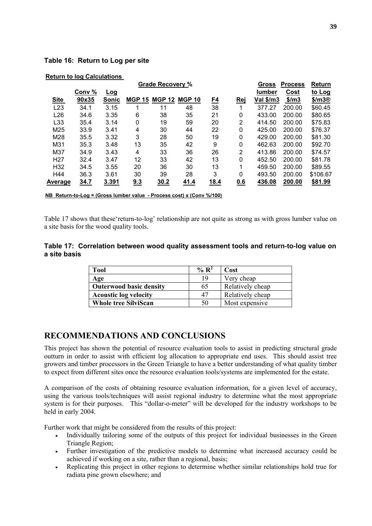# **Table 16: Return to Log per site**

|                 |                                                                                   |       |               | <b>Grade Recovery %</b> |               |           |                | Gross         | <b>Process</b> | Return             |  |  |  |
|-----------------|-----------------------------------------------------------------------------------|-------|---------------|-------------------------|---------------|-----------|----------------|---------------|----------------|--------------------|--|--|--|
|                 | Conv %                                                                            | Log   |               |                         |               |           |                | <b>lumber</b> | Cost           | to Log             |  |  |  |
| <b>Site</b>     | 90x35                                                                             | Sonic | <b>MGP 15</b> | <b>MGP 12</b>           | <b>MGP 10</b> | <u>F4</u> | <u>Rej</u>     | Val \$/m3     | \$/m3          | \$/m3 <sup>®</sup> |  |  |  |
| L23             | 34.1                                                                              | 3.15  |               | 11                      | 48            | 38        |                | 377.27        | 200.00         | \$60.45            |  |  |  |
| L26             | 34.6                                                                              | 3.35  | 6             | 38                      | 35            | 21        | 0              | 433.00        | 200.00         | \$80.65            |  |  |  |
| L <sub>33</sub> | 35.4                                                                              | 3.14  | 0             | 19                      | 59            | 20        | 2              | 414.50        | 200.00         | \$75.83            |  |  |  |
| M25             | 33.9                                                                              | 3.41  | 4             | 30                      | 44            | 22        | 0              | 425.00        | 200.00         | \$76.37            |  |  |  |
| M28             | 35.5                                                                              | 3.32  | 3             | 28                      | 50            | 19        | 0              | 429.00        | 200.00         | \$81.30            |  |  |  |
| M31             | 35.3                                                                              | 3.48  | 13            | 35                      | 42            | 9         | 0              | 462.63        | 200.00         | \$92.70            |  |  |  |
| M37             | 34.9                                                                              | 3.43  | 4             | 33                      | 36            | 26        | $\overline{2}$ | 413.86        | 200.00         | \$74.57            |  |  |  |
| H <sub>27</sub> | 32.4                                                                              | 3.47  | 12            | 33                      | 42            | 13        | $\mathbf 0$    | 452.50        | 200.00         | \$81.78            |  |  |  |
| H <sub>32</sub> | 34.5                                                                              | 3.55  | 20            | 36                      | 30            | 13        |                | 459.50        | 200.00         | \$89.55            |  |  |  |
| H44             | 36.3                                                                              | 3.61  | 30            | 39                      | 28            | 3         | $\mathbf 0$    | 493.50        | 200.00         | \$106.67           |  |  |  |
| <b>Average</b>  | 34.7                                                                              | 3.391 | 9.3           | 30.2                    | 41.4          | 18.4      | 0.6            | 436.08        | 200.00         | \$81.99            |  |  |  |
|                 | NB Return-to-Log = (Gross lumber value - Process cost) x (Conv $\frac{\%}{100}$ ) |       |               |                         |               |           |                |               |                |                    |  |  |  |

#### **Return to log Calculations**

Table 17 shows that these'return-to-log' relationship are not quite as strong as with gross lumber value on a site basis for the wood quality tools.

## **Table 17: Correlation between wood quality assessment tools and return-to-log value on a site basis**

| Tool                           | % $\mathbf{R}^2$ | Cost             |
|--------------------------------|------------------|------------------|
| Age                            | 19               | Very cheap       |
| <b>Outerwood basic density</b> | 65               | Relatively cheap |
| <b>Acoustic log velocity</b>   | 47               | Relatively cheap |
| <b>Whole tree SilviScan</b>    | 50               | Most expensive   |

# **RECOMMENDATIONS AND CONCLUSIONS**

This project has shown the potential of resource evaluation tools to assist in predicting structural grade outturn in order to assist with efficient log allocation to appropriate end uses. This should assist tree growers and timber processors in the Green Triangle to have a better understanding of what quality timber to expect from different sites once the resource evaluation tools/systems are implemented for the estate.

A comparison of the costs of obtaining resource evaluation information, for a given level of accuracy, using the various tools/techniques will assist regional industry to determine what the most appropriate system is for their purposes. This "dollar-o-meter" will be developed for the industry workshops to be held in early 2004.

Further work that might be considered from the results of this project:

- Individually tailoring some of the outputs of this project for individual businesses in the Green Triangle Region;
- Further investigation of the predictive models to determine what increased accuracy could be achieved if working on a site, rather than a regional, basis;
- Replicating this project in other regions to determine whether similar relationships hold true for radiata pine grown elsewhere; and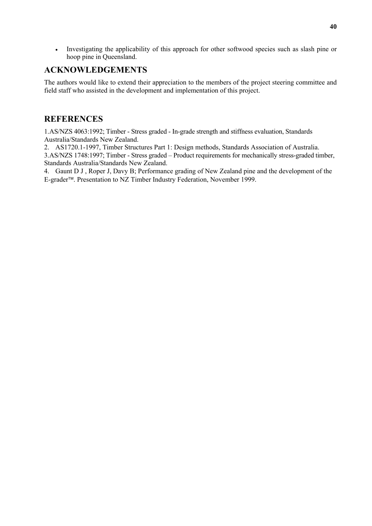• Investigating the applicability of this approach for other softwood species such as slash pine or hoop pine in Queensland.

# **ACKNOWLEDGEMENTS**

The authors would like to extend their appreciation to the members of the project steering committee and field staff who assisted in the development and implementation of this project.

# **REFERENCES**

1.AS/NZS 4063:1992; Timber - Stress graded - In-grade strength and stiffness evaluation, Standards Australia/Standards New Zealand.

2. AS1720.1-1997, Timber Structures Part 1: Design methods, Standards Association of Australia. 3.AS/NZS 1748:1997; Timber - Stress graded – Product requirements for mechanically stress-graded timber, Standards Australia/Standards New Zealand.

4. Gaunt D J , Roper J, Davy B; Performance grading of New Zealand pine and the development of the E-grader<sup>™</sup>. Presentation to NZ Timber Industry Federation, November 1999.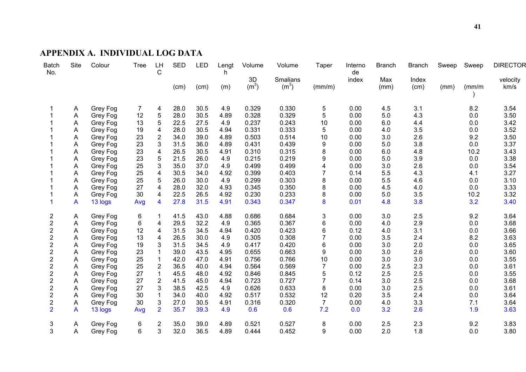### **APPENDIX A. INDIVIDUAL LOG DATA**

| <b>Batch</b><br>No.     | Site | Colour   | <b>Tree</b>    | LH<br>C        | <b>SED</b> | LED  | Lengt<br>h | Volume            | Volume            | Taper           | Interno<br>de | <b>Branch</b> | <b>Branch</b> | Sweep | Sweep  | <b>DIRECTOR</b> |
|-------------------------|------|----------|----------------|----------------|------------|------|------------|-------------------|-------------------|-----------------|---------------|---------------|---------------|-------|--------|-----------------|
|                         |      |          |                |                |            |      |            | 3D                | <b>Smalians</b>   |                 | index         | Max           | Index         |       |        | velocity        |
|                         |      |          |                |                | (cm)       | (cm) | (m)        | (m <sup>3</sup> ) | (m <sup>3</sup> ) | (mm/m)          |               | (mm)          | (cm)          | (mm)  | (mm/m) | km/s            |
| 1                       | A    | Grey Fog | $\overline{7}$ | 4              | 28.0       | 30.5 | 4.9        | 0.329             | 0.330             | 5               | 0.00          | 4.5           | 3.1           |       | 8.2    | 3.54            |
|                         | Α    | Grey Fog | 12             | 5              | 28.0       | 30.5 | 4.89       | 0.328             | 0.329             | 5               | 0.00          | 5.0           | 4.3           |       | 0.0    | 3.50            |
|                         | A    | Grey Fog | 13             | 5              | 22.5       | 27.5 | 4.9        | 0.237             | 0.243             | 10              | 0.00          | 6.0           | 4.4           |       | 0.0    | 3.42            |
|                         | A    | Grey Fog | 19             | 4              | 28.0       | 30.5 | 4.94       | 0.331             | 0.333             | 5               | 0.00          | 4.0           | 3.5           |       | 0.0    | 3.52            |
|                         | Α    | Grey Fog | 23             | $\overline{2}$ | 34.0       | 39.0 | 4.89       | 0.503             | 0.514             | 10              | 0.00          | 3.0           | 2.6           |       | 9.2    | 3.50            |
|                         | Α    | Grey Fog | 23             | 3              | 31.5       | 36.0 | 4.89       | 0.431             | 0.439             | 9               | 0.00          | 5.0           | 3.8           |       | 0.0    | 3.37            |
|                         | Α    | Grey Fog | 23             | 4              | 26.5       | 30.5 | 4.91       | 0.310             | 0.315             | 8               | 0.00          | 6.0           | 4.8           |       | 10.2   | 3.43            |
|                         | Α    | Grey Fog | 23             | 5              | 21.5       | 26.0 | 4.9        | 0.215             | 0.219             | 9               | 0.00          | 5.0           | 3.9           |       | 0.0    | 3.38            |
|                         | Α    | Grey Fog | 25             | 3              | 35.0       | 37.0 | 4.9        | 0.499             | 0.499             | 4               | 0.00          | 3.0           | 2.6           |       | 0.0    | 3.54            |
|                         | A    | Grey Fog | 25             | 4              | 30.5       | 34.0 | 4.92       | 0.399             | 0.403             | $\overline{7}$  | 0.14          | 5.5           | 4.3           |       | 4.1    | 3.27            |
|                         | A    | Grey Fog | 25             | 5              | 26.0       | 30.0 | 4.9        | 0.299             | 0.303             | 8               | 0.00          | 5.5           | 4.6           |       | 0.0    | 3.10            |
|                         | A    | Grey Fog | 27             | 4              | 28.0       | 32.0 | 4.93       | 0.345             | 0.350             | 8               | 0.00          | 4.5           | 4.0           |       | 0.0    | 3.33            |
|                         | A    | Grey Fog | 30             | 4              | 22.5       | 26.5 | 4.92       | 0.230             | 0.233             | 8               | 0.00          | 5.0           | 3.5           |       | 10.2   | 3.32            |
| 1                       | A    | 13 logs  | Avg            | 4              | 27.8       | 31.5 | 4.91       | 0.343             | 0.347             | 8               | 0.01          | 4.8           | 3.8           |       | 3.2    | 3.40            |
| 2                       | Α    | Grey Fog | 6              |                | 41.5       | 43.0 | 4.88       | 0.686             | 0.684             | 3               | 0.00          | 3.0           | 2.5           |       | 9.2    | 3.64            |
| $\overline{c}$          | Α    | Grey Fog | 6              | 4              | 29.5       | 32.2 | 4.9        | 0.365             | 0.367             | $6\phantom{1}6$ | 0.00          | 4.0           | 2.9           |       | 0.0    | 3.68            |
| $\overline{\mathbf{c}}$ | A    | Grey Fog | 12             | 4              | 31.5       | 34.5 | 4.94       | 0.420             | 0.423             | 6               | 0.12          | 4.0           | 3.1           |       | 0.0    | 3.66            |
| $\overline{\mathbf{c}}$ | A    | Grey Fog | 13             | 4              | 26.5       | 30.0 | 4.9        | 0.305             | 0.308             | $\overline{7}$  | 0.00          | 3.5           | 2.4           |       | 8.2    | 3.63            |
| $\sqrt{2}$              | A    | Grey Fog | 19             | 3              | 31.5       | 34.5 | 4.9        | 0.417             | 0.420             | 6               | 0.00          | 3.0           | 2.0           |       | 0.0    | 3.65            |
| $\mathbf 2$             | A    | Grey Fog | 23             |                | 39.0       | 43.5 | 4.95       | 0.655             | 0.663             | 9               | 0.00          | 3.0           | 2.6           |       | 0.0    | 3.60            |
| $\sqrt{2}$              | A    | Grey Fog | 25             |                | 42.0       | 47.0 | 4.91       | 0.756             | 0.766             | 10              | 0.00          | 3.0           | 3.0           |       | 0.0    | 3.55            |
| $\overline{\mathbf{c}}$ | A    | Grey Fog | 25             | $\overline{2}$ | 36.5       | 40.0 | 4.94       | 0.564             | 0.569             | $\overline{7}$  | 0.00          | 2.5           | 2.3           |       | 0.0    | 3.61            |
| $\overline{\mathbf{c}}$ | A    | Grey Fog | 27             |                | 45.5       | 48.0 | 4.92       | 0.846             | 0.845             | 5               | 0.12          | 2.5           | 2.5           |       | 0.0    | 3.55            |
| $\overline{\mathbf{c}}$ | A    | Grey Fog | 27             | $\overline{2}$ | 41.5       | 45.0 | 4.94       | 0.723             | 0.727             | $\overline{7}$  | 0.14          | 3.0           | 2.5           |       | 0.0    | 3.68            |
| $\overline{\mathbf{c}}$ | Α    | Grey Fog | 27             | 3              | 38.5       | 42.5 | 4.9        | 0.626             | 0.633             | 8               | 0.00          | 3.0           | 2.5           |       | 0.0    | 3.61            |
| $\overline{2}$          | A    | Grey Fog | 30             |                | 34.0       | 40.0 | 4.92       | 0.517             | 0.532             | 12              | 0.20          | 3.5           | 2.4           |       | 0.0    | 3.64            |
| $\overline{c}$          | Α    | Grey Fog | 30             | 3              | 27.0       | 30.5 | 4.91       | 0.316             | 0.320             | $\overline{7}$  | 0.00          | 4.0           | 3.3           |       | 7.1    | 3.64            |
| $\overline{2}$          | A    | 13 logs  | Avg            | $\overline{2}$ | 35.7       | 39.3 | 4.9        | 0.6               | 0.6               | 7.2             | 0.0           | 3.2           | 2.6           |       | 1.9    | 3.63            |
| 3                       | Α    | Grey Fog | 6              | 2              | 35.0       | 39.0 | 4.89       | 0.521             | 0.527             | 8               | 0.00          | 2.5           | 2.3           |       | 9.2    | 3.83            |
| 3                       | Α    | Grey Fog | 6              | 3              | 32.0       | 36.5 | 4.89       | 0.444             | 0.452             | 9               | 0.00          | 2.0           | 1.8           |       | 0.0    | 3.80            |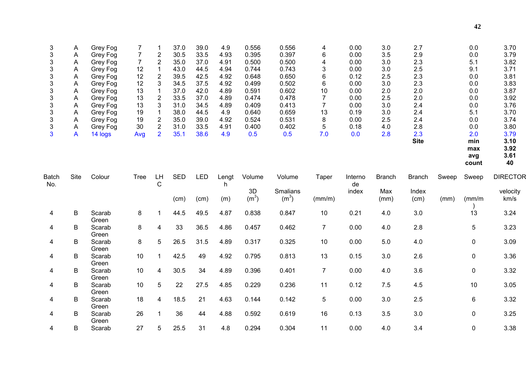| 3<br>3<br>3<br>3<br>3<br>3<br>3<br>3<br>3<br>3<br>3<br>3<br>3 | A<br>Α<br>Α<br>Α<br>Α<br>Α<br>Α<br>Α<br>Α<br>Α<br>Α<br>A<br>A | Grey Fog<br>Grey Fog<br>Grey Fog<br>Grey Fog<br>Grey Fog<br>Grey Fog<br>Grey Fog<br>Grey Fog<br>Grey Fog<br>Grey Fog<br>Grey Fog<br>Grey Fog<br>14 logs | 7<br>$\overline{7}$<br>$\overline{7}$<br>12<br>12<br>12<br>13<br>13<br>13<br>19<br>19<br>30<br>Avg | -1<br>$\overline{c}$<br>$\overline{c}$<br>$\mathbf{1}$<br>$\boldsymbol{2}$<br>3<br>1<br>$\overline{\mathbf{c}}$<br>3<br>$\mathbf 1$<br>$\boldsymbol{2}$<br>$\overline{2}$<br>$\overline{2}$ | 37.0<br>30.5<br>35.0<br>43.0<br>39.5<br>34.5<br>37.0<br>33.5<br>31.0<br>38.0<br>35.0<br>31.0<br>35.1 | 39.0<br>33.5<br>37.0<br>44.5<br>42.5<br>37.5<br>42.0<br>37.0<br>34.5<br>44.5<br>39.0<br>33.5<br>38.6 | 4.9<br>4.93<br>4.91<br>4.94<br>4.92<br>4.92<br>4.89<br>4.89<br>4.89<br>4.9<br>4.92<br>4.91<br>4.9 | 0.556<br>0.395<br>0.500<br>0.744<br>0.648<br>0.499<br>0.591<br>0.474<br>0.409<br>0.640<br>0.524<br>0.400<br>0.5 | 0.556<br>0.397<br>0.500<br>0.743<br>0.650<br>0.502<br>0.602<br>0.478<br>0.413<br>0.659<br>0.531<br>0.402<br>0.5 | 4<br>6<br>4<br>3<br>6<br>6<br>10<br>$\overline{7}$<br>$\overline{7}$<br>13<br>8<br>5<br>7.0 | 0.00<br>0.00<br>0.00<br>0.00<br>0.12<br>0.00<br>0.00<br>0.00<br>0.00<br>0.19<br>0.00<br>0.18<br>0.0 | 3.0<br>3.5<br>3.0<br>3.0<br>2.5<br>3.0<br>2.0<br>2.5<br>3.0<br>3.0<br>2.5<br>4.0<br>2.8 | 2.7<br>2.9<br>2.3<br>2.5<br>2.3<br>2.3<br>2.0<br>2.0<br>2.4<br>2.4<br>2.4<br>2.8<br>2.3<br><b>Site</b> |       | 0.0<br>0.0<br>5.1<br>9.1<br>0.0<br>0.0<br>0.0<br>0.0<br>0.0<br>5.1<br>0.0<br>0.0<br>2.0<br>min | 3.70<br>3.79<br>3.82<br>3.71<br>3.81<br>3.83<br>3.87<br>3.92<br>3.76<br>3.70<br>3.74<br>3.80<br>3.79<br>3.10 |
|---------------------------------------------------------------|---------------------------------------------------------------|---------------------------------------------------------------------------------------------------------------------------------------------------------|----------------------------------------------------------------------------------------------------|---------------------------------------------------------------------------------------------------------------------------------------------------------------------------------------------|------------------------------------------------------------------------------------------------------|------------------------------------------------------------------------------------------------------|---------------------------------------------------------------------------------------------------|-----------------------------------------------------------------------------------------------------------------|-----------------------------------------------------------------------------------------------------------------|---------------------------------------------------------------------------------------------|-----------------------------------------------------------------------------------------------------|-----------------------------------------------------------------------------------------|--------------------------------------------------------------------------------------------------------|-------|------------------------------------------------------------------------------------------------|--------------------------------------------------------------------------------------------------------------|
|                                                               |                                                               |                                                                                                                                                         |                                                                                                    |                                                                                                                                                                                             |                                                                                                      |                                                                                                      |                                                                                                   |                                                                                                                 |                                                                                                                 |                                                                                             |                                                                                                     |                                                                                         |                                                                                                        |       | max<br>avg<br>count                                                                            | 3.92<br>3.61<br>40                                                                                           |
| <b>Batch</b>                                                  | Site                                                          | Colour                                                                                                                                                  | <b>Tree</b>                                                                                        | LH                                                                                                                                                                                          | <b>SED</b>                                                                                           | <b>LED</b>                                                                                           | Lengt                                                                                             | Volume                                                                                                          | Volume                                                                                                          | Taper                                                                                       | Interno                                                                                             | <b>Branch</b>                                                                           | <b>Branch</b>                                                                                          | Sweep | Sweep                                                                                          | <b>DIRECTOR</b>                                                                                              |
| No.                                                           |                                                               |                                                                                                                                                         |                                                                                                    | C                                                                                                                                                                                           | (cm)                                                                                                 | (cm)                                                                                                 | h.<br>(m)                                                                                         | 3D<br>(m <sup>3</sup> )                                                                                         | Smalians<br>(m <sup>3</sup> )                                                                                   | (mm/m)                                                                                      | de<br>index                                                                                         | Max<br>(mm)                                                                             | Index<br>(cm)                                                                                          | (mm)  | (mm/m)                                                                                         | velocity<br>km/s                                                                                             |
| $\overline{4}$                                                | B                                                             | Scarab<br>Green                                                                                                                                         | 8                                                                                                  | $\mathbf 1$                                                                                                                                                                                 | 44.5                                                                                                 | 49.5                                                                                                 | 4.87                                                                                              | 0.838                                                                                                           | 0.847                                                                                                           | 10                                                                                          | 0.21                                                                                                | 4.0                                                                                     | 3.0                                                                                                    |       | 13                                                                                             | 3.24                                                                                                         |
| 4                                                             | В                                                             | Scarab<br>Green                                                                                                                                         | 8                                                                                                  | 4                                                                                                                                                                                           | 33                                                                                                   | 36.5                                                                                                 | 4.86                                                                                              | 0.457                                                                                                           | 0.462                                                                                                           | $\overline{7}$                                                                              | 0.00                                                                                                | 4.0                                                                                     | 2.8                                                                                                    |       | 5                                                                                              | 3.23                                                                                                         |
| 4                                                             | В                                                             | Scarab<br>Green                                                                                                                                         | 8                                                                                                  | 5                                                                                                                                                                                           | 26.5                                                                                                 | 31.5                                                                                                 | 4.89                                                                                              | 0.317                                                                                                           | 0.325                                                                                                           | 10                                                                                          | 0.00                                                                                                | 5.0                                                                                     | 4.0                                                                                                    |       | 0                                                                                              | 3.09                                                                                                         |
| 4                                                             | B                                                             | Scarab<br>Green                                                                                                                                         | 10                                                                                                 | $\mathbf{1}$                                                                                                                                                                                | 42.5                                                                                                 | 49                                                                                                   | 4.92                                                                                              | 0.795                                                                                                           | 0.813                                                                                                           | 13                                                                                          | 0.15                                                                                                | 3.0                                                                                     | 2.6                                                                                                    |       | 0                                                                                              | 3.36                                                                                                         |
| 4                                                             | B                                                             | Scarab<br>Green                                                                                                                                         | 10                                                                                                 | $\overline{4}$                                                                                                                                                                              | 30.5                                                                                                 | 34                                                                                                   | 4.89                                                                                              | 0.396                                                                                                           | 0.401                                                                                                           | $\overline{7}$                                                                              | 0.00                                                                                                | 4.0                                                                                     | 3.6                                                                                                    |       | 0                                                                                              | 3.32                                                                                                         |
| 4                                                             | B                                                             | Scarab<br>Green                                                                                                                                         | 10                                                                                                 | 5                                                                                                                                                                                           | 22                                                                                                   | 27.5                                                                                                 | 4.85                                                                                              | 0.229                                                                                                           | 0.236                                                                                                           | 11                                                                                          | 0.12                                                                                                | 7.5                                                                                     | 4.5                                                                                                    |       | 10                                                                                             | 3.05                                                                                                         |
| 4                                                             | B                                                             | Scarab<br>Green                                                                                                                                         | 18                                                                                                 | 4                                                                                                                                                                                           | 18.5                                                                                                 | 21                                                                                                   | 4.63                                                                                              | 0.144                                                                                                           | 0.142                                                                                                           | 5                                                                                           | 0.00                                                                                                | 3.0                                                                                     | 2.5                                                                                                    |       | 6                                                                                              | 3.32                                                                                                         |
| 4                                                             | B                                                             | Scarab<br>Green                                                                                                                                         | 26                                                                                                 | $\mathbf 1$                                                                                                                                                                                 | 36                                                                                                   | 44                                                                                                   | 4.88                                                                                              | 0.592                                                                                                           | 0.619                                                                                                           | 16                                                                                          | 0.13                                                                                                | 3.5                                                                                     | 3.0                                                                                                    |       | $\mathbf 0$                                                                                    | 3.25                                                                                                         |
| 4                                                             | B                                                             | Scarab                                                                                                                                                  | 27                                                                                                 | 5                                                                                                                                                                                           | 25.5                                                                                                 | 31                                                                                                   | 4.8                                                                                               | 0.294                                                                                                           | 0.304                                                                                                           | 11                                                                                          | 0.00                                                                                                | 4.0                                                                                     | 3.4                                                                                                    |       | 0                                                                                              | 3.38                                                                                                         |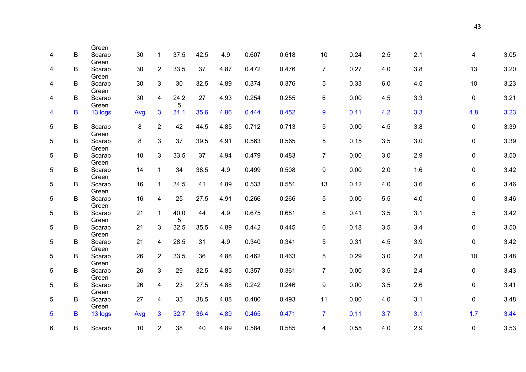| 4 | B | Green<br>Scarab | 30              | $\mathbf{1}$            | 37.5      | 42.5 | 4.9  | 0.607 | 0.618 | 10             | 0.24 | 2.5 | 2.1 | 4            | 3.05 |
|---|---|-----------------|-----------------|-------------------------|-----------|------|------|-------|-------|----------------|------|-----|-----|--------------|------|
| 4 | B | Green<br>Scarab | 30              | $\overline{2}$          | 33.5      | 37   | 4.87 | 0.472 | 0.476 | $\overline{7}$ | 0.27 | 4.0 | 3.8 | 13           | 3.20 |
|   |   | Green           |                 |                         |           |      |      |       |       |                |      |     |     |              |      |
| 4 | B | Scarab<br>Green | 30              | $\mathbf{3}$            | 30        | 32.5 | 4.89 | 0.374 | 0.376 | 5              | 0.33 | 6.0 | 4.5 | 10           | 3.23 |
| 4 | B | Scarab<br>Green | 30              | $\overline{\mathbf{4}}$ | 24.2<br>5 | 27   | 4.93 | 0.254 | 0.255 | 6              | 0.00 | 4.5 | 3.3 | $\mathbf 0$  | 3.21 |
| 4 | В | 13 logs         | Avg             | 3                       | 31.1      | 35.6 | 4.86 | 0.444 | 0.452 | 9              | 0.11 | 4.2 | 3.3 | 4.8          | 3.23 |
| 5 | B | Scarab<br>Green | 8               | $\overline{2}$          | 42        | 44.5 | 4.85 | 0.712 | 0.713 | 5              | 0.00 | 4.5 | 3.8 | 0            | 3.39 |
| 5 | B | Scarab<br>Green | 8               | $\mathbf{3}$            | 37        | 39.5 | 4.91 | 0.563 | 0.565 | 5              | 0.15 | 3.5 | 3.0 | $\mathbf{0}$ | 3.39 |
| 5 | В | Scarab<br>Green | 10 <sup>°</sup> | 3                       | 33.5      | 37   | 4.94 | 0.479 | 0.483 | $\overline{7}$ | 0.00 | 3.0 | 2.9 | $\mathbf{0}$ | 3.50 |
| 5 | B | Scarab<br>Green | 14              | $\mathbf{1}$            | 34        | 38.5 | 4.9  | 0.499 | 0.508 | 9              | 0.00 | 2.0 | 1.6 | $\mathbf{0}$ | 3.42 |
| 5 | B | Scarab<br>Green | 16              | $\mathbf{1}$            | 34.5      | 41   | 4.89 | 0.533 | 0.551 | 13             | 0.12 | 4.0 | 3.6 | 6            | 3.46 |
| 5 | В | Scarab<br>Green | 16              | 4                       | 25        | 27.5 | 4.91 | 0.266 | 0.266 | 5              | 0.00 | 5.5 | 4.0 | 0            | 3.46 |
| 5 | B | Scarab<br>Green | 21              | $\mathbf{1}$            | 40.0<br>5 | 44   | 4.9  | 0.675 | 0.681 | 8              | 0.41 | 3.5 | 3.1 | 5            | 3.42 |
| 5 | B | Scarab<br>Green | 21              | 3                       | 32.5      | 35.5 | 4.89 | 0.442 | 0.445 | 6              | 0.18 | 3.5 | 3.4 | 0            | 3.50 |
| 5 | B | Scarab<br>Green | 21              | $\overline{4}$          | 28.5      | 31   | 4.9  | 0.340 | 0.341 | 5              | 0.31 | 4.5 | 3.9 | $\mathbf{0}$ | 3.42 |
| 5 | В | Scarab<br>Green | 26              | $\overline{2}$          | 33.5      | 36   | 4.88 | 0.462 | 0.463 | 5              | 0.29 | 3.0 | 2.8 | 10           | 3.48 |
| 5 | B | Scarab<br>Green | 26              | $\mathbf{3}$            | 29        | 32.5 | 4.85 | 0.357 | 0.361 | $\overline{7}$ | 0.00 | 3.5 | 2.4 | $\mathbf{0}$ | 3.43 |
| 5 | B | Scarab<br>Green | 26              | $\overline{4}$          | 23        | 27.5 | 4.88 | 0.242 | 0.246 | 9              | 0.00 | 3.5 | 2.6 | 0            | 3.41 |
| 5 | В | Scarab<br>Green | 27              | 4                       | 33        | 38.5 | 4.88 | 0.480 | 0.493 | 11             | 0.00 | 4.0 | 3.1 | 0            | 3.48 |
| 5 | B | 13 logs         | Avg             | 3                       | 32.7      | 36.4 | 4.89 | 0.465 | 0.471 | $\mathbf{7}$   | 0.11 | 3.7 | 3.1 | 1.7          | 3.44 |
| 6 | B | Scarab          | 10              | $\overline{2}$          | 38        | 40   | 4.89 | 0.584 | 0.585 | 4              | 0.55 | 4.0 | 2.9 | $\mathbf{0}$ | 3.53 |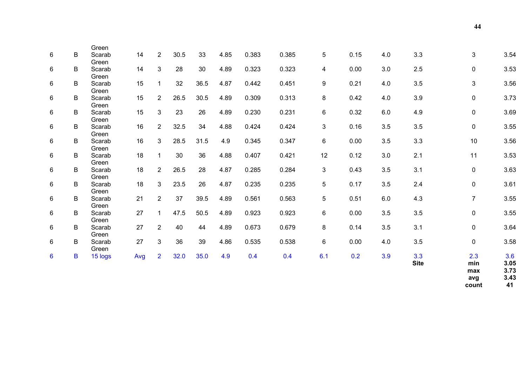| Green<br>0.385<br>3<br>B<br>$\overline{2}$<br>30.5<br>33<br>4.85<br>0.383<br>5<br>0.15<br>3.3<br>3.54<br>6<br>14<br>4.0<br>Scarab<br>Green<br>3<br>3.53<br>14<br>28<br>30<br>4.89<br>0.323<br>0.323<br>3.0<br>2.5<br>6<br>B<br>0.00<br>$\mathbf 0$<br>Scarab<br>4<br>Green<br>15<br>32<br>36.5<br>0.451<br>9<br>3.5<br>3<br>3.56<br>6<br>$\mathbf{1}$<br>4.87<br>0.442<br>0.21<br>4.0<br>B<br>Scarab<br>Green<br>$\overline{2}$<br>0.42<br>3.9<br>15<br>26.5<br>30.5<br>4.89<br>0.313<br>8<br>4.0<br>3.73<br>6<br>B<br>0.309<br>$\mathbf 0$<br>Scarab<br>Green<br>15<br>3<br>23<br>26<br>0.231<br>4.9<br>3.69<br>6<br>4.89<br>0.230<br>6<br>0.32<br>6.0<br>$\mathbf 0$<br>B<br>Scarab<br>Green<br>$\overline{2}$<br>3.5<br>16<br>32.5<br>34<br>4.88<br>0.424<br>3<br>0.16<br>3.5<br>3.55<br>B<br>0.424<br>$\mathbf 0$<br>6<br>Scarab<br>Green<br>$\mathbf{3}$<br>3.3<br>3.56<br>16<br>28.5<br>31.5<br>4.9<br>0.347<br>6<br>0.00<br>3.5<br>10<br>6<br>B<br>0.345<br>Scarab<br>Green<br>36<br>2.1<br>3.53<br>18<br>$\mathbf{1}$<br>30<br>4.88<br>0.421<br>12<br>0.12<br>3.0<br>11<br>6<br>B<br>0.407<br>Scarab<br>Green<br>3.1<br>3.63<br>18<br>$\overline{2}$<br>26.5<br>28<br>4.87<br>0.284<br>3<br>0.43<br>3.5<br>6<br>B<br>0.285<br>$\mathbf 0$<br>Scarab<br>Green<br>$\mathbf{3}$<br>18<br>23.5<br>26<br>4.87<br>0.235<br>5<br>0.17<br>3.5<br>2.4<br>3.61<br>6<br>B<br>0.235<br>$\mathbf 0$<br>Scarab<br>Green<br>$\overline{2}$<br>37<br>39.5<br>0.563<br>5<br>4.3<br>$\overline{7}$<br>3.55<br>6<br>21<br>4.89<br>0.561<br>0.51<br>6.0<br>B<br>Scarab<br>Green<br>27<br>0.923<br>6<br>0.00<br>3.5<br>$\mathbf 0$<br>3.55<br>6<br>B<br>$\mathbf{1}$<br>47.5<br>50.5<br>4.89<br>0.923<br>3.5<br>Scarab<br>Green<br>27<br>$\overline{2}$<br>40<br>4.89<br>0.673<br>0.679<br>8<br>3.5<br>3.1<br>3.64<br>6<br>B<br>44<br>0.14<br>$\mathbf 0$<br>Scarab<br>Green<br>27<br>3<br>39<br>3.5<br>3.58<br>B<br>36<br>4.86<br>0.535<br>0.538<br>6<br>0.00<br>6<br>4.0<br>$\mathbf 0$<br>Scarab<br>Green<br>3.3<br>$\overline{2}$<br>32.0<br>35.0<br>6.1<br>0.2<br>3.9<br>2.3<br>3.6<br>4.9<br>0.4<br>0.4<br>$6\phantom{1}$<br>B<br>15 logs<br>Avg<br><b>Site</b><br>3.05<br>min |
|-------------------------------------------------------------------------------------------------------------------------------------------------------------------------------------------------------------------------------------------------------------------------------------------------------------------------------------------------------------------------------------------------------------------------------------------------------------------------------------------------------------------------------------------------------------------------------------------------------------------------------------------------------------------------------------------------------------------------------------------------------------------------------------------------------------------------------------------------------------------------------------------------------------------------------------------------------------------------------------------------------------------------------------------------------------------------------------------------------------------------------------------------------------------------------------------------------------------------------------------------------------------------------------------------------------------------------------------------------------------------------------------------------------------------------------------------------------------------------------------------------------------------------------------------------------------------------------------------------------------------------------------------------------------------------------------------------------------------------------------------------------------------------------------------------------------------------------------------------------------------------------------------------------------------------------------------------------------------------------------------------------------------------------------------------------------------------------------------------------------------------------------------------------------------|
|                                                                                                                                                                                                                                                                                                                                                                                                                                                                                                                                                                                                                                                                                                                                                                                                                                                                                                                                                                                                                                                                                                                                                                                                                                                                                                                                                                                                                                                                                                                                                                                                                                                                                                                                                                                                                                                                                                                                                                                                                                                                                                                                                                         |
|                                                                                                                                                                                                                                                                                                                                                                                                                                                                                                                                                                                                                                                                                                                                                                                                                                                                                                                                                                                                                                                                                                                                                                                                                                                                                                                                                                                                                                                                                                                                                                                                                                                                                                                                                                                                                                                                                                                                                                                                                                                                                                                                                                         |
|                                                                                                                                                                                                                                                                                                                                                                                                                                                                                                                                                                                                                                                                                                                                                                                                                                                                                                                                                                                                                                                                                                                                                                                                                                                                                                                                                                                                                                                                                                                                                                                                                                                                                                                                                                                                                                                                                                                                                                                                                                                                                                                                                                         |
|                                                                                                                                                                                                                                                                                                                                                                                                                                                                                                                                                                                                                                                                                                                                                                                                                                                                                                                                                                                                                                                                                                                                                                                                                                                                                                                                                                                                                                                                                                                                                                                                                                                                                                                                                                                                                                                                                                                                                                                                                                                                                                                                                                         |
|                                                                                                                                                                                                                                                                                                                                                                                                                                                                                                                                                                                                                                                                                                                                                                                                                                                                                                                                                                                                                                                                                                                                                                                                                                                                                                                                                                                                                                                                                                                                                                                                                                                                                                                                                                                                                                                                                                                                                                                                                                                                                                                                                                         |
|                                                                                                                                                                                                                                                                                                                                                                                                                                                                                                                                                                                                                                                                                                                                                                                                                                                                                                                                                                                                                                                                                                                                                                                                                                                                                                                                                                                                                                                                                                                                                                                                                                                                                                                                                                                                                                                                                                                                                                                                                                                                                                                                                                         |
|                                                                                                                                                                                                                                                                                                                                                                                                                                                                                                                                                                                                                                                                                                                                                                                                                                                                                                                                                                                                                                                                                                                                                                                                                                                                                                                                                                                                                                                                                                                                                                                                                                                                                                                                                                                                                                                                                                                                                                                                                                                                                                                                                                         |
|                                                                                                                                                                                                                                                                                                                                                                                                                                                                                                                                                                                                                                                                                                                                                                                                                                                                                                                                                                                                                                                                                                                                                                                                                                                                                                                                                                                                                                                                                                                                                                                                                                                                                                                                                                                                                                                                                                                                                                                                                                                                                                                                                                         |
|                                                                                                                                                                                                                                                                                                                                                                                                                                                                                                                                                                                                                                                                                                                                                                                                                                                                                                                                                                                                                                                                                                                                                                                                                                                                                                                                                                                                                                                                                                                                                                                                                                                                                                                                                                                                                                                                                                                                                                                                                                                                                                                                                                         |
|                                                                                                                                                                                                                                                                                                                                                                                                                                                                                                                                                                                                                                                                                                                                                                                                                                                                                                                                                                                                                                                                                                                                                                                                                                                                                                                                                                                                                                                                                                                                                                                                                                                                                                                                                                                                                                                                                                                                                                                                                                                                                                                                                                         |
|                                                                                                                                                                                                                                                                                                                                                                                                                                                                                                                                                                                                                                                                                                                                                                                                                                                                                                                                                                                                                                                                                                                                                                                                                                                                                                                                                                                                                                                                                                                                                                                                                                                                                                                                                                                                                                                                                                                                                                                                                                                                                                                                                                         |
|                                                                                                                                                                                                                                                                                                                                                                                                                                                                                                                                                                                                                                                                                                                                                                                                                                                                                                                                                                                                                                                                                                                                                                                                                                                                                                                                                                                                                                                                                                                                                                                                                                                                                                                                                                                                                                                                                                                                                                                                                                                                                                                                                                         |
|                                                                                                                                                                                                                                                                                                                                                                                                                                                                                                                                                                                                                                                                                                                                                                                                                                                                                                                                                                                                                                                                                                                                                                                                                                                                                                                                                                                                                                                                                                                                                                                                                                                                                                                                                                                                                                                                                                                                                                                                                                                                                                                                                                         |
|                                                                                                                                                                                                                                                                                                                                                                                                                                                                                                                                                                                                                                                                                                                                                                                                                                                                                                                                                                                                                                                                                                                                                                                                                                                                                                                                                                                                                                                                                                                                                                                                                                                                                                                                                                                                                                                                                                                                                                                                                                                                                                                                                                         |
|                                                                                                                                                                                                                                                                                                                                                                                                                                                                                                                                                                                                                                                                                                                                                                                                                                                                                                                                                                                                                                                                                                                                                                                                                                                                                                                                                                                                                                                                                                                                                                                                                                                                                                                                                                                                                                                                                                                                                                                                                                                                                                                                                                         |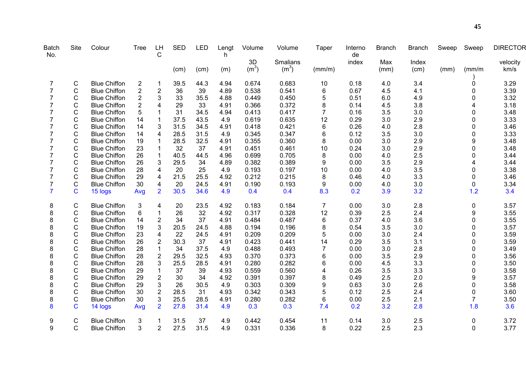| <b>Batch</b><br>No. | Site           | Colour              | <b>Tree</b>             | LH<br>C                 | <b>SED</b> | <b>LED</b> | Lengt<br>h | Volume            | Volume            | Taper          | Interno<br>de | <b>Branch</b> | <b>Branch</b> | Sweep | Sweep          | <b>DIRECTOR</b> |
|---------------------|----------------|---------------------|-------------------------|-------------------------|------------|------------|------------|-------------------|-------------------|----------------|---------------|---------------|---------------|-------|----------------|-----------------|
|                     |                |                     |                         |                         |            |            |            | 3D                | Smalians          |                | index         | Max           | Index         |       |                | velocity        |
|                     |                |                     |                         |                         | (cm)       | (cm)       | (m)        | (m <sup>3</sup> ) | (m <sup>3</sup> ) | (mm/m)         |               | (mm)          | (cm)          | (mm)  | $\frac{mm}{m}$ | km/s            |
| 7                   | C              | <b>Blue Chiffon</b> | 2                       |                         | 39.5       | 44.3       | 4.94       | 0.674             | 0.683             | 10             | 0.18          | 4.0           | 3.4           |       | 0              | 3.29            |
| $\overline{7}$      | $\mathsf{C}$   | <b>Blue Chiffon</b> | $\overline{\mathbf{c}}$ | $\boldsymbol{2}$        | 36         | 39         | 4.89       | 0.538             | 0.541             | 6              | 0.67          | 4.5           | 4.1           |       | 0              | 3.39            |
| 7                   | $\mathsf C$    | <b>Blue Chiffon</b> | $\overline{2}$          | 3                       | 33         | 35.5       | 4.88       | 0.449             | 0.450             | 5              | 0.51          | 6.0           | 4.9           |       | 0              | 3.32            |
| 7                   | $\mathsf{C}$   | <b>Blue Chiffon</b> | 2                       | 4                       | 29         | 33         | 4.91       | 0.366             | 0.372             | 8              | 0.14          | 4.5           | 3.8           |       |                | 3.18            |
|                     | C              | <b>Blue Chiffon</b> | 5                       |                         | 31         | 34.5       | 4.94       | 0.413             | 0.417             | $\overline{7}$ | 0.16          | 3.5           | 3.0           |       | 0              | 3.48            |
|                     | C              | <b>Blue Chiffon</b> | 14                      | 1                       | 37.5       | 43.5       | 4.9        | 0.619             | 0.635             | 12             | 0.29          | 3.0           | 2.9           |       | $\Omega$       | 3.33            |
|                     | C              | <b>Blue Chiffon</b> | 14                      | 3                       | 31.5       | 34.5       | 4.91       | 0.418             | 0.421             | 6              | 0.26          | 4.0           | 2.8           |       | 0              | 3.46            |
|                     | $\mathsf{C}$   | <b>Blue Chiffon</b> | 14                      | 4                       | 28.5       | 31.5       | 4.9        | 0.345             | 0.347             | 6              | 0.12          | 3.5           | 3.0           |       | 0              | 3.33            |
|                     | $\mathsf{C}$   | <b>Blue Chiffon</b> | 19                      |                         | 28.5       | 32.5       | 4.91       | 0.355             | 0.360             | 8              | 0.00          | 3.0           | 2.9           |       | 9              | 3.48            |
|                     | $\mathsf C$    | <b>Blue Chiffon</b> | 23                      |                         | 32         | 37         | 4.91       | 0.451             | 0.461             | 10             | 0.24          | 3.0           | 2.9           |       | 0              | 3.48            |
| 7                   | $\mathsf C$    | <b>Blue Chiffon</b> | 26                      |                         | 40.5       | 44.5       | 4.96       | 0.699             | 0.705             | 8              | 0.00          | 4.0           | 2.5           |       | $\Omega$       | 3.44            |
|                     | $\mathsf C$    | <b>Blue Chiffon</b> | 26                      | 3                       | 29.5       | 34         | 4.89       | 0.382             | 0.389             | 9              | 0.00          | 3.5           | 2.9           |       | 4              | 3.44            |
|                     | C              | <b>Blue Chiffon</b> | 28                      | 4                       | 20         | 25         | 4.9        | 0.193             | 0.197             | 10             | 0.00          | 4.0           | 3.5           |       | $\Omega$       | 3.38            |
|                     | $\mathsf{C}$   | <b>Blue Chiffon</b> | 29                      | $\overline{\mathbf{4}}$ | 21.5       | 25.5       | 4.92       | 0.212             | 0.215             | 8              | 0.46          | 4.0           | 3.3           |       | 0              | 3.46            |
|                     | $\mathsf{C}$   | <b>Blue Chiffon</b> | 30                      | 4                       | 20         | 24.5       | 4.91       | 0.190             | 0.193             | 9              | 0.00          | 4.0           | 3.0           |       | $\mathbf{0}$   | 3.34            |
| $\overline{7}$      | $\overline{C}$ | 15 logs             | Avg                     | $\overline{2}$          | 30.5       | 34.6       | 4.9        | 0.4               | 0.4               | 8.3            | 0.2           | 3.9           | 3.2           |       | 1.2            | 3.4             |
| 8                   | $\mathsf C$    | <b>Blue Chiffon</b> | 3                       | $\overline{\mathbf{4}}$ | 20         | 23.5       | 4.92       | 0.183             | 0.184             | $\overline{7}$ | 0.00          | 3.0           | 2.8           |       | $\mathbf 0$    | 3.57            |
| 8                   | $\mathsf C$    | <b>Blue Chiffon</b> | 6                       |                         | 26         | 32         | 4.92       | 0.317             | 0.328             | 12             | 0.39          | 2.5           | 2.4           |       | 9              | 3.55            |
| 8                   | C              | <b>Blue Chiffon</b> | 14                      | $\boldsymbol{2}$        | 34         | 37         | 4.91       | 0.484             | 0.487             | 6              | 0.37          | 4.0           | 3.6           |       | 0              | 3.55            |
| 8                   | C              | <b>Blue Chiffon</b> | 19                      | 3                       | 20.5       | 24.5       | 4.88       | 0.194             | 0.196             | 8              | 0.54          | 3.5           | 3.0           |       | 0              | 3.57            |
| 8                   | C              | <b>Blue Chiffon</b> | 23                      | 4                       | 22         | 24.5       | 4.91       | 0.209             | 0.209             | 5              | 0.00          | 3.0           | 2.4           |       | 0              | 3.59            |
| 8                   | $\mathsf{C}$   | <b>Blue Chiffon</b> | 26                      | $\overline{c}$          | 30.3       | 37         | 4.91       | 0.423             | 0.441             | 14             | 0.29          | 3.5           | 3.1           |       | $\Omega$       | 3.59            |
| 8                   | $\mathsf{C}$   | <b>Blue Chiffon</b> | 28                      | 1                       | 34         | 37.5       | 4.9        | 0.488             | 0.493             | $\overline{7}$ | 0.00          | 3.0           | 2.8           |       | 0              | 3.49            |
| 8                   | C              | <b>Blue Chiffon</b> | 28                      | $\overline{c}$          | 29.5       | 32.5       | 4.93       | 0.370             | 0.373             | $\,6$          | 0.00          | 3.5           | 2.9           |       | 0              | 3.56            |
| 8                   | C              | <b>Blue Chiffon</b> | 28                      | 3                       | 25.5       | 28.5       | 4.91       | 0.280             | 0.282             | 6              | 0.00          | 4.5           | 3.3           |       | 0              | 3.50            |
| 8                   | C              | <b>Blue Chiffon</b> | 29                      |                         | 37         | 39         | 4.93       | 0.559             | 0.560             | 4              | 0.26          | 3.5           | 3.3           |       | 0              | 3.58            |
| 8                   | $\mathsf C$    | <b>Blue Chiffon</b> | 29                      | $\overline{c}$          | 30         | 34         | 4.92       | 0.391             | 0.397             | 8              | 0.49          | 2.5           | 2.0           |       | 9              | 3.57            |
| 8                   | $\mathsf C$    | <b>Blue Chiffon</b> | 29                      | 3                       | 26         | 30.5       | 4.9        | 0.303             | 0.309             | 9              | 0.63          | 3.0           | 2.6           |       | $\Omega$       | 3.58            |
| 8                   | $\mathsf{C}$   | <b>Blue Chiffon</b> | 30                      | $\overline{c}$          | 28.5       | 31         | 4.93       | 0.342             | 0.343             | 5              | 0.12          | 2.5           | 2.4           |       | 0              | 3.60            |
| 8                   | $\mathsf C$    | <b>Blue Chiffon</b> | 30                      | 3                       | 25.5       | 28.5       | 4.91       | 0.280             | 0.282             | 6              | 0.00          | 2.5           | 2.1           |       | $\overline{7}$ | 3.50            |
| 8                   | $\mathbf C$    | 14 logs             | Avg                     | $\overline{2}$          | 27.8       | 31.4       | 4.9        | 0.3               | 0.3               | 7.4            | 0.2           | 3.2           | 2.8           |       | 1.8            | 3.6             |
| 9                   | C              | <b>Blue Chiffon</b> | 3                       |                         | 31.5       | 37         | 4.9        | 0.442             | 0.454             | 11             | 0.14          | 3.0           | 2.5           |       | 0              | 3.72            |
| 9                   | C              | <b>Blue Chiffon</b> | 3                       | $\overline{2}$          | 27.5       | 31.5       | 4.9        | 0.331             | 0.336             | 8              | 0.22          | 2.5           | 2.3           |       | $\mathbf{0}$   | 3.77            |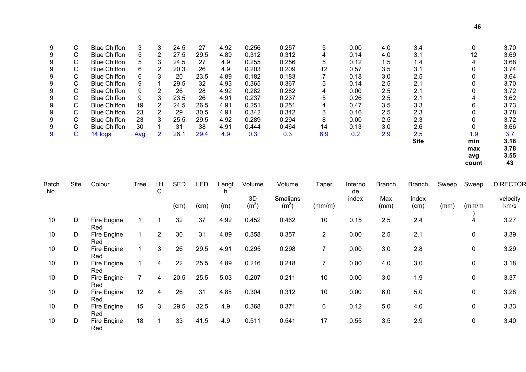| 9 | C. | <b>Blue Chiffon</b> | 3   | 3                     | 24.5 | 27   | 4.92 | 0.256 | 0.257 | 5   | 0.00 | 4.0 | 3.4         | 0   | 3.70 |
|---|----|---------------------|-----|-----------------------|------|------|------|-------|-------|-----|------|-----|-------------|-----|------|
| 9 | C. | <b>Blue Chiffon</b> |     | $\mathbf{2}^{\prime}$ | 27.5 | 29.5 | 4.89 | 0.312 | 0.312 | 4   | 0.14 | 4.0 | 3.1         | 12  | 3.69 |
| 9 | C. | <b>Blue Chiffon</b> |     | 3                     | 24.5 | 27   | 4.9  | 0.255 | 0.256 | 5   | 0.12 | 1.5 | 1.4         |     | 3.68 |
| 9 | C. | <b>Blue Chiffon</b> | 6   | 2                     | 20.3 | 26   | 4.9  | 0.203 | 0.209 | 12  | 0.57 | 3.5 | 3.1         |     | 3.74 |
| 9 | C  | <b>Blue Chiffon</b> | 6   | 3                     | 20   | 23.5 | 4.89 | 0.182 | 0.183 |     | 0.18 | 3.0 | 2.5         |     | 3.64 |
| 9 | C. | <b>Blue Chiffon</b> | 9   |                       | 29.5 | 32   | 4.93 | 0.365 | 0.367 | 5   | 0.14 | 2.5 | 2.1         |     | 3.70 |
| 9 | C. | <b>Blue Chiffon</b> |     | 2                     | 26   | 28   | 4.92 | 0.282 | 0.282 |     | 0.00 | 2.5 | 2.1         |     | 3.72 |
| 9 | C  | <b>Blue Chiffon</b> | 9   | 3                     | 23.5 | 26   | 4.91 | 0.237 | 0.237 | 5   | 0.26 | 2.5 | 2.1         |     | 3.62 |
| 9 | C. | <b>Blue Chiffon</b> | 19  | $\mathbf{2}^{\prime}$ | 24.5 | 26.5 | 4.91 | 0.251 | 0.251 | 4   | 0.47 | 3.5 | 3.3         | 6   | 3.73 |
| 9 | C. | <b>Blue Chiffon</b> | 23  | 2                     | 29   | 30.5 | 4.91 | 0.342 | 0.342 | 3   | 0.16 | 2.5 | 2.3         |     | 3.78 |
| 9 | C. | <b>Blue Chiffon</b> | 23  | 3                     | 25.5 | 29.5 | 4.92 | 0.289 | 0.294 | 8   | 0.00 | 2.5 | 2.3         |     | 3.72 |
| 9 | C. | <b>Blue Chiffon</b> | 30  |                       | 31   | 38   | 4.91 | 0.444 | 0.464 | 14  | 0.13 | 3.0 | 2.6         |     | 3.66 |
| 9 | С  | 14 logs             | Avg | $\overline{2}$        | 26.1 | 29.4 | 4.9  | 0.3   | 0.3   | 6.9 | 0.2  | 2.9 | 2.5         | 1.9 | 3.7  |
|   |    |                     |     |                       |      |      |      |       |       |     |      |     | <b>Site</b> | min | 3.18 |
|   |    |                     |     |                       |      |      |      |       |       |     |      |     |             | max | 3.78 |
|   |    |                     |     |                       |      |      |      |       |       |     |      |     |             | avg | 3.55 |

**count 43**  $\begin{array}{c} 3.55 \\ 43 \end{array}$ 

| <b>Batch</b><br>No. | Site | Colour             | Tree | LН<br>C        | <b>SED</b> | <b>LED</b> | Lengt<br>h. | Volume                  | Volume                        | Taper          | Interno<br>de | <b>Branch</b> | <b>Branch</b> | Sweep | Sweep        | <b>DIRECTOR</b>  |
|---------------------|------|--------------------|------|----------------|------------|------------|-------------|-------------------------|-------------------------------|----------------|---------------|---------------|---------------|-------|--------------|------------------|
|                     |      |                    |      |                | (cm)       | (cm)       | (m)         | 3D<br>(m <sup>3</sup> ) | Smalians<br>(m <sup>3</sup> ) | (mm/m)         | index         | Max<br>(mm)   | Index<br>(cm) | (mm)  | (mm/m        | velocity<br>km/s |
| 10                  | D    | Fire Engine<br>Red |      |                | 32         | 37         | 4.92        | 0.452                   | 0.462                         | 10             | 0.15          | 2.5           | 2.4           |       | 4            | 3.27             |
| 10                  | D    | Fire Engine<br>Red |      | $\overline{2}$ | 30         | 31         | 4.89        | 0.358                   | 0.357                         | $\overline{2}$ | 0.00          | 2.5           | 2.1           |       | 0            | 3.39             |
| 10                  | D    | Fire Engine<br>Red |      | 3              | 26         | 29.5       | 4.91        | 0.295                   | 0.298                         | $\overline{7}$ | 0.00          | 3.0           | 2.8           |       | 0            | 3.29             |
| 10                  | D    | Fire Engine<br>Red |      | 4              | 22         | 25.5       | 4.89        | 0.216                   | 0.218                         | 7              | 0.00          | 4.0           | 3.0           |       | 0            | 3.18             |
| 10                  | D    | Fire Engine<br>Red |      | 4              | 20.5       | 25.5       | 5.03        | 0.207                   | 0.211                         | 10             | 0.00          | 3.0           | 1.9           |       | 0            | 3.37             |
| 10                  | D    | Fire Engine<br>Red | 12   | 4              | 26         | 31         | 4.85        | 0.304                   | 0.312                         | 10             | 0.00          | 6.0           | 5.0           |       | 0            | 3.28             |
| 10                  | D    | Fire Engine<br>Red | 15   | 3              | 29.5       | 32.5       | 4.9         | 0.368                   | 0.371                         | 6              | 0.12          | 5.0           | 4.0           |       | $\mathbf{0}$ | 3.33             |
| 10                  | D    | Fire Engine<br>Red | 18   |                | 33         | 41.5       | 4.9         | 0.511                   | 0.541                         | 17             | 0.55          | 3.5           | 2.9           |       | 0            | 3.40             |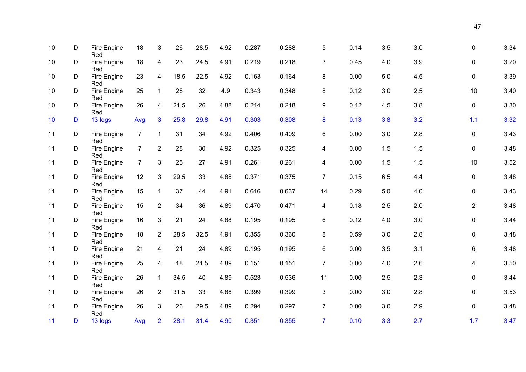| 10 | D | Fire Engine<br>Red | 18             | 3                       | 26   | 28.5 | 4.92 | 0.287 | 0.288 | 5              | 0.14 | 3.5 | 3.0 | 0              | 3.34 |
|----|---|--------------------|----------------|-------------------------|------|------|------|-------|-------|----------------|------|-----|-----|----------------|------|
| 10 | D | Fire Engine<br>Red | 18             | $\overline{\mathbf{4}}$ | 23   | 24.5 | 4.91 | 0.219 | 0.218 | 3              | 0.45 | 4.0 | 3.9 | 0              | 3.20 |
| 10 | D | Fire Engine<br>Red | 23             | $\overline{4}$          | 18.5 | 22.5 | 4.92 | 0.163 | 0.164 | 8              | 0.00 | 5.0 | 4.5 | 0              | 3.39 |
| 10 | D | Fire Engine<br>Red | 25             | $\mathbf 1$             | 28   | 32   | 4.9  | 0.343 | 0.348 | 8              | 0.12 | 3.0 | 2.5 | 10             | 3.40 |
| 10 | D | Fire Engine<br>Red | 26             | $\overline{4}$          | 21.5 | 26   | 4.88 | 0.214 | 0.218 | 9              | 0.12 | 4.5 | 3.8 | $\mathbf 0$    | 3.30 |
| 10 | D | 13 logs            | Avg            | $\overline{3}$          | 25.8 | 29.8 | 4.91 | 0.303 | 0.308 | 8              | 0.13 | 3.8 | 3.2 | 1.1            | 3.32 |
| 11 | D | Fire Engine        | $\overline{7}$ | $\mathbf{1}$            | 31   | 34   | 4.92 | 0.406 | 0.409 | 6              | 0.00 | 3.0 | 2.8 | $\mathbf 0$    | 3.43 |
| 11 | D | Red<br>Fire Engine | $\overline{7}$ | $\overline{2}$          | 28   | 30   | 4.92 | 0.325 | 0.325 | 4              | 0.00 | 1.5 | 1.5 | $\mathbf 0$    | 3.48 |
| 11 | D | Red<br>Fire Engine | $\overline{7}$ | 3                       | 25   | 27   | 4.91 | 0.261 | 0.261 | 4              | 0.00 | 1.5 | 1.5 | 10             | 3.52 |
| 11 | D | Red<br>Fire Engine | 12             | $\mathfrak{S}$          | 29.5 | 33   | 4.88 | 0.371 | 0.375 | $\overline{7}$ | 0.15 | 6.5 | 4.4 | $\mathbf 0$    | 3.48 |
| 11 | D | Red<br>Fire Engine | 15             | $\mathbf{1}$            | 37   | 44   | 4.91 | 0.616 | 0.637 | 14             | 0.29 | 5.0 | 4.0 | 0              | 3.43 |
| 11 | D | Red<br>Fire Engine | 15             | $\overline{2}$          | 34   | 36   | 4.89 | 0.470 | 0.471 | 4              | 0.18 | 2.5 | 2.0 | $\overline{2}$ | 3.48 |
| 11 | D | Red<br>Fire Engine | 16             | $\mathfrak{S}$          | 21   | 24   | 4.88 | 0.195 | 0.195 | 6              | 0.12 | 4.0 | 3.0 | 0              | 3.44 |
| 11 | D | Red<br>Fire Engine | 18             | $\overline{2}$          | 28.5 | 32.5 | 4.91 | 0.355 | 0.360 | 8              | 0.59 | 3.0 | 2.8 | $\mathbf 0$    | 3.48 |
| 11 | D | Red<br>Fire Engine | 21             | $\overline{\mathbf{4}}$ | 21   | 24   | 4.89 | 0.195 | 0.195 | 6              | 0.00 | 3.5 | 3.1 | 6              | 3.48 |
| 11 | D | Red<br>Fire Engine | 25             | $\overline{\mathbf{4}}$ | 18   | 21.5 | 4.89 | 0.151 | 0.151 | $\overline{7}$ | 0.00 | 4.0 | 2.6 | 4              | 3.50 |
| 11 | D | Red<br>Fire Engine | 26             | $\mathbf{1}$            | 34.5 | 40   | 4.89 | 0.523 | 0.536 | 11             | 0.00 | 2.5 | 2.3 | 0              | 3.44 |
| 11 | D | Red<br>Fire Engine | 26             | $\overline{2}$          | 31.5 | 33   | 4.88 | 0.399 | 0.399 | $\mathfrak{S}$ | 0.00 | 3.0 | 2.8 | $\mathbf 0$    | 3.53 |
| 11 | D | Red<br>Fire Engine | 26             | $\mathbf{3}$            | 26   | 29.5 | 4.89 | 0.294 | 0.297 | $\overline{7}$ | 0.00 | 3.0 | 2.9 | 0              | 3.48 |
| 11 | D | Red<br>13 logs     | Avg            | $\overline{2}$          | 28.1 | 31.4 | 4.90 | 0.351 | 0.355 | $\overline{7}$ | 0.10 | 3.3 | 2.7 | 1.7            | 3.47 |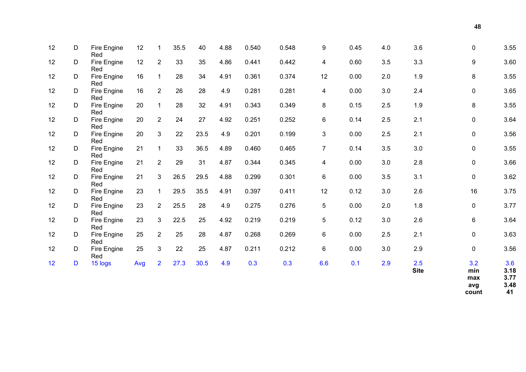| 12 | D | 15 logs            | Avg | $\overline{2}$ | 27.3 | 30.5 | 4.9  | 0.3   | 0.3   | 6.6             | 0.1  | 2.9 | 2.5<br><b>Site</b> | 3.2<br>min<br>max | 3.6<br>3.18<br>3.77<br>0.40 |
|----|---|--------------------|-----|----------------|------|------|------|-------|-------|-----------------|------|-----|--------------------|-------------------|-----------------------------|
| 12 | D | Fire Engine<br>Red | 25  | $\mathbf{3}$   | 22   | 25   | 4.87 | 0.211 | 0.212 | 6               | 0.00 | 3.0 | 2.9                | $\mathbf 0$       | 3.56                        |
| 12 | D | Fire Engine<br>Red | 25  | $\overline{2}$ | 25   | 28   | 4.87 | 0.268 | 0.269 | 6               | 0.00 | 2.5 | 2.1                | $\mathbf 0$       | 3.63                        |
| 12 | D | Fire Engine<br>Red | 23  | 3 <sup>1</sup> | 22.5 | 25   | 4.92 | 0.219 | 0.219 | 5               | 0.12 | 3.0 | 2.6                | 6                 | 3.64                        |
| 12 | D | Fire Engine<br>Red | 23  | $\overline{2}$ | 25.5 | 28   | 4.9  | 0.275 | 0.276 | $5\overline{)}$ | 0.00 | 2.0 | 1.8                | $\mathbf 0$       | 3.77                        |
| 12 | D | Fire Engine<br>Red | 23  | $\mathbf{1}$   | 29.5 | 35.5 | 4.91 | 0.397 | 0.411 | 12              | 0.12 | 3.0 | 2.6                | 16                | 3.75                        |
| 12 | D | Fire Engine<br>Red | 21  | 3              | 26.5 | 29.5 | 4.88 | 0.299 | 0.301 | 6               | 0.00 | 3.5 | 3.1                | $\mathbf 0$       | 3.62                        |
| 12 | D | Fire Engine<br>Red | 21  | $\overline{2}$ | 29   | 31   | 4.87 | 0.344 | 0.345 | 4               | 0.00 | 3.0 | 2.8                | $\mathbf 0$       | 3.66                        |
| 12 | D | Fire Engine<br>Red | 21  | $\mathbf{1}$   | 33   | 36.5 | 4.89 | 0.460 | 0.465 | $\overline{7}$  | 0.14 | 3.5 | 3.0                | $\mathbf 0$       | 3.55                        |
| 12 | D | Fire Engine<br>Red | 20  | 3              | 22   | 23.5 | 4.9  | 0.201 | 0.199 | $\mathbf{3}$    | 0.00 | 2.5 | 2.1                | $\mathbf 0$       | 3.56                        |
| 12 | D | Fire Engine<br>Red | 20  | $\overline{2}$ | 24   | 27   | 4.92 | 0.251 | 0.252 | 6               | 0.14 | 2.5 | 2.1                | $\mathbf 0$       | 3.64                        |
| 12 | D | Fire Engine<br>Red | 20  | $\mathbf{1}$   | 28   | 32   | 4.91 | 0.343 | 0.349 | 8               | 0.15 | 2.5 | 1.9                | 8                 | 3.55                        |
| 12 | D | Fire Engine<br>Red | 16  | $\overline{2}$ | 26   | 28   | 4.9  | 0.281 | 0.281 | $\overline{4}$  | 0.00 | 3.0 | 2.4                | $\mathbf 0$       | 3.65                        |
| 12 | D | Fire Engine<br>Red | 16  | $\mathbf{1}$   | 28   | 34   | 4.91 | 0.361 | 0.374 | 12              | 0.00 | 2.0 | 1.9                | 8                 | 3.55                        |
| 12 | D | Fire Engine<br>Red | 12  | $\overline{2}$ | 33   | 35   | 4.86 | 0.441 | 0.442 | 4               | 0.60 | 3.5 | 3.3                | 9                 | 3.60                        |
| 12 | D | Fire Engine<br>Red | 12  | $\mathbf{1}$   | 35.5 | 40   | 4.88 | 0.540 | 0.548 | 9               | 0.45 | 4.0 | 3.6                | $\mathbf 0$       | 3.55                        |
|    |   |                    |     |                |      |      |      |       |       |                 |      |     |                    |                   |                             |

**avg 3.48**  avg<br>count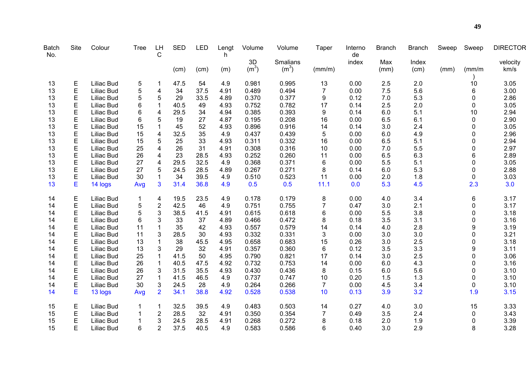| <b>Batch</b><br>No. | <b>Site</b> | Colour            | <b>Tree</b> | <b>LH</b><br>$\mathsf{C}$ | <b>SED</b> | <b>LED</b> | Lengt<br>h | Volume            | Volume            | <b>Taper</b>   | Interno<br>de | <b>Branch</b> | <b>Branch</b> | Sweep | Sweep       | <b>DIRECTOR</b> |
|---------------------|-------------|-------------------|-------------|---------------------------|------------|------------|------------|-------------------|-------------------|----------------|---------------|---------------|---------------|-------|-------------|-----------------|
|                     |             |                   |             |                           |            |            |            | 3D                | Smalians          |                | index         | Max           | Index         |       |             | velocity        |
|                     |             |                   |             |                           | (cm)       | (cm)       | (m)        | (m <sup>3</sup> ) | (m <sup>3</sup> ) | (mm/m)         |               | (mm)          | (cm)          | (mm)  | (mm/m)      | km/s            |
| 13                  | Ε           | Liliac Bud        | 5           |                           | 47.5       | 54         | 4.9        | 0.981             | 0.995             | 13             | 0.00          | 2.5           | 2.0           |       | 10          | 3.05            |
| 13                  | E           | Liliac Bud        | 5           | 4                         | 34         | 37.5       | 4.91       | 0.489             | 0.494             | $\overline{7}$ | 0.00          | 7.5           | 5.6           |       | 6           | 3.00            |
| 13                  | E           | Liliac Bud        | 5           | 5                         | 29         | 33.5       | 4.89       | 0.370             | 0.377             | 9              | 0.12          | 7.0           | 5.3           |       | 0           | 2.86            |
| 13                  | E           | Liliac Bud        | 6           | $\mathbf{1}$              | 40.5       | 49         | 4.93       | 0.752             | 0.782             | 17             | 0.14          | 2.5           | 2.0           |       | 0           | 3.05            |
| 13                  | E           | Liliac Bud        | 6           | 4                         | 29.5       | 34         | 4.94       | 0.385             | 0.393             | 9              | 0.14          | 6.0           | 5.1           |       | 10          | 2.94            |
| 13                  | E           | Liliac Bud        | 6           | 5                         | 19         | 27         | 4.87       | 0.195             | 0.208             | 16             | 0.00          | 6.5           | 6.1           |       | 0           | 2.90            |
| 13                  | E           | Liliac Bud        | 15          | 1                         | 45         | 52         | 4.93       | 0.896             | 0.916             | 14             | 0.14          | 3.0           | 2.4           |       | 0           | 3.05            |
| 13                  | E           | Liliac Bud        | 15          | 4                         | 32.5       | 35         | 4.9        | 0.437             | 0.439             | 5              | 0.00          | 6.0           | 4.9           |       | 0           | 2.96            |
| 13                  | E           | Liliac Bud        | 15          | 5                         | 25         | 33         | 4.93       | 0.311             | 0.332             | 16             | 0.00          | 6.5           | 5.1           |       | $\Omega$    | 2.94            |
| 13                  | E           | Liliac Bud        | 25          | 4                         | 26         | 31         | 4.91       | 0.308             | 0.316             | 10             | 0.00          | 7.0           | 5.5           |       | 0           | 2.97            |
| 13                  | E           | Liliac Bud        | 26          | 4                         | 23         | 28.5       | 4.93       | 0.252             | 0.260             | 11             | 0.00          | 6.5           | 6.3           |       | 6           | 2.89            |
| 13                  | E           | Liliac Bud        | 27          | 4                         | 29.5       | 32.5       | 4.9        | 0.368             | 0.371             | 6              | 0.00          | 5.5           | 5.1           |       | 0           | 3.05            |
| 13                  | E           | Liliac Bud        | 27          | 5                         | 24.5       | 28.5       | 4.89       | 0.267             | 0.271             | 8              | 0.14          | 6.0           | 5.3           |       | 0           | 2.88            |
| 13                  | E           | Liliac Bud        | 30          | 1                         | 34         | 39.5       | 4.9        | 0.510             | 0.523             | 11             | 0.00          | 2.0           | 1.8           |       | 0           | 3.03            |
| 13                  | Е           | 14 logs           | Avg         | 3                         | 31.4       | 36.8       | 4.9        | 0.5               | 0.5               | 11.1           | 0.0           | 5.3           | 4.5           |       | 2.3         | 3.0             |
| 14                  | E           | Liliac Bud        | 1           | 4                         | 19.5       | 23.5       | 4.9        | 0.178             | 0.179             | $\bf 8$        | 0.00          | 4.0           | 3.4           |       | 6           | 3.17            |
| 14                  | E           | Liliac Bud        | 5           | $\overline{c}$            | 42.5       | 46         | 4.9        | 0.751             | 0.755             | $\overline{7}$ | 0.47          | 3.0           | 2.1           |       | $\mathbf 0$ | 3.17            |
| 14                  | E           | Liliac Bud        | 5           | 3                         | 38.5       | 41.5       | 4.91       | 0.615             | 0.618             | 6              | 0.00          | 5.5           | 3.8           |       | 0           | 3.18            |
| 14                  | E           | Liliac Bud        | 6           | 3                         | 33         | 37         | 4.89       | 0.466             | 0.472             | 8              | 0.18          | 3.5           | 3.1           |       | $\mathbf 0$ | 3.16            |
| 14                  | E           | Liliac Bud        | 11          | 1                         | 35         | 42         | 4.93       | 0.557             | 0.579             | 14             | 0.14          | 4.0           | 2.8           |       | 9           | 3.19            |
| 14                  | E           | Liliac Bud        | 11          | 3                         | 28.5       | 30         | 4.93       | 0.332             | 0.331             | 3              | 0.00          | 3.0           | 3.0           |       | 0           | 3.21            |
| 14                  | E           | Liliac Bud        | 13          |                           | 38         | 45.5       | 4.95       | 0.658             | 0.683             | 15             | 0.26          | 3.0           | 2.5           |       | 0           | 3.18            |
| 14                  | E           | Liliac Bud        | 13          | 3                         | 29         | 32         | 4.91       | 0.357             | 0.360             | 6              | 0.12          | 3.5           | 3.3           |       | 9           | 3.11            |
| 14                  | E           | Liliac Bud        | 25          | 1                         | 41.5       | 50         | 4.95       | 0.790             | 0.821             | 17             | 0.14          | 3.0           | 2.5           |       | $\mathbf 0$ | 3.06            |
| 14                  | E           | Liliac Bud        | 26          |                           | 40.5       | 47.5       | 4.92       | 0.732             | 0.753             | 14             | 0.00          | 6.0           | 4.3           |       | 0           | 3.16            |
| 14                  | E           | Liliac Bud        | 26          | 3                         | 31.5       | 35.5       | 4.93       | 0.430             | 0.436             | 8              | 0.15          | 6.0           | 5.6           |       | 0           | 3.10            |
| 14                  | E           | Liliac Bud        | 27          | 1                         | 41.5       | 46.5       | 4.9        | 0.737             | 0.747             | 10             | 0.20          | 1.5           | 1.3           |       | 0           | 3.10            |
| 14                  | E           | Liliac Bud        | 30          | 3                         | 24.5       | 28         | 4.9        | 0.264             | 0.266             | $\overline{7}$ | 0.00          | 4.5           | 3.4           |       | 0           | 3.10            |
| 14                  | E           | 13 logs           | Avg         | $\overline{2}$            | 34.1       | 38.8       | 4.92       | 0.528             | 0.538             | 10             | 0.13          | 3.9           | 3.2           |       | 1.9         | 3.15            |
| 15                  | Ε           | Liliac Bud        | 1           | 1                         | 32.5       | 39.5       | 4.9        | 0.483             | 0.503             | 14             | 0.27          | 4.0           | 3.0           |       | 15          | 3.33            |
| 15                  | E           | Liliac Bud        |             | $\overline{\mathbf{c}}$   | 28.5       | 32         | 4.91       | 0.350             | 0.354             | $\overline{7}$ | 0.49          | 3.5           | 2.4           |       | 0           | 3.43            |
| 15                  | E           | Liliac Bud        |             | 3                         | 24.5       | 28.5       | 4.91       | 0.268             | 0.272             | 8              | 0.18          | 2.0           | 1.9           |       | 0           | 3.39            |
| 15                  | E           | <b>Liliac Bud</b> | 6           | 2                         | 37.5       | 40.5       | 4.9        | 0.583             | 0.586             | 6              | 0.40          | 3.0           | 2.9           |       | 8           | 3.28            |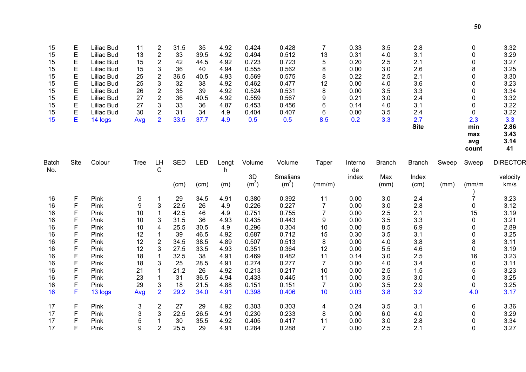| 15<br>15<br>15<br>15<br>15<br>15<br>15<br>15<br>15<br>15<br>15 | Ε<br>E<br>E<br>E<br>E<br>E<br>E<br>E<br>E<br>E<br>Е | Liliac Bud<br><b>Liliac Bud</b><br>Liliac Bud<br>Liliac Bud<br>Liliac Bud<br>Liliac Bud<br>Liliac Bud<br>Liliac Bud<br>Liliac Bud<br>Liliac Bud<br>14 logs | 11<br>13<br>15<br>15<br>25<br>25<br>26<br>27<br>27<br>30<br>Avg | 2<br>$\overline{c}$<br>2<br>3<br>$\overline{\mathbf{c}}$<br>3<br>$\overline{c}$<br>$\overline{\mathbf{c}}$<br>3<br>$\overline{2}$<br>$\overline{2}$ | 31.5<br>33<br>42<br>36<br>36.5<br>32<br>35<br>36<br>33<br>31<br>33.5 | 35<br>39.5<br>44.5<br>40<br>40.5<br>38<br>39<br>40.5<br>36<br>34<br>37.7 | 4.92<br>4.92<br>4.92<br>4.94<br>4.93<br>4.92<br>4.92<br>4.92<br>4.87<br>4.9<br>4.9 | 0.424<br>0.494<br>0.723<br>0.555<br>0.569<br>0.462<br>0.524<br>0.559<br>0.453<br>0.404<br>0.5 | 0.428<br>0.512<br>0.723<br>0.562<br>0.575<br>0.477<br>0.531<br>0.567<br>0.456<br>0.407<br>0.5 | $\overline{7}$<br>13<br>5<br>8<br>8<br>12<br>8<br>9<br>6<br>6<br>8.5 | 0.33<br>0.31<br>0.20<br>0.00<br>0.22<br>0.00<br>0.00<br>0.21<br>0.14<br>0.00<br>0.2 | 3.5<br>4.0<br>2.5<br>3.0<br>2.5<br>4.0<br>3.5<br>3.0<br>4.0<br>3.5<br>3.3 | 2.8<br>3.1<br>2.1<br>2.6<br>2.1<br>3.6<br>3.3<br>2.4<br>3.1<br>2.4<br>2.7<br><b>Site</b> |       | 0<br>0<br>0<br>8<br>0<br>$\mathbf{0}$<br>0<br>0<br>0<br>0<br>2.3<br>min<br>max<br>avg<br>count | 3.32<br>3.29<br>3.27<br>3.25<br>3.30<br>3.23<br>3.34<br>3.32<br>3.22<br>3.22<br>3.3<br>2.86<br>3.43<br>3.14<br>41 |
|----------------------------------------------------------------|-----------------------------------------------------|------------------------------------------------------------------------------------------------------------------------------------------------------------|-----------------------------------------------------------------|-----------------------------------------------------------------------------------------------------------------------------------------------------|----------------------------------------------------------------------|--------------------------------------------------------------------------|------------------------------------------------------------------------------------|-----------------------------------------------------------------------------------------------|-----------------------------------------------------------------------------------------------|----------------------------------------------------------------------|-------------------------------------------------------------------------------------|---------------------------------------------------------------------------|------------------------------------------------------------------------------------------|-------|------------------------------------------------------------------------------------------------|-------------------------------------------------------------------------------------------------------------------|
| <b>Batch</b><br>No.                                            | Site                                                | Colour                                                                                                                                                     | <b>Tree</b>                                                     | LH<br>C                                                                                                                                             | <b>SED</b>                                                           | LED                                                                      | Lengt<br>h                                                                         | Volume                                                                                        | Volume                                                                                        | Taper                                                                | Interno<br>de                                                                       | <b>Branch</b>                                                             | <b>Branch</b>                                                                            | Sweep | Sweep                                                                                          | <b>DIRECTOR</b>                                                                                                   |
|                                                                |                                                     |                                                                                                                                                            |                                                                 |                                                                                                                                                     | (cm)                                                                 | (cm)                                                                     | (m)                                                                                | 3D<br>(m <sup>3</sup> )                                                                       | Smalians<br>(m <sup>3</sup> )                                                                 | (mm/m)                                                               | index                                                                               | Max<br>(mm)                                                               | Index<br>(cm)                                                                            | (mm)  | (mm/m)                                                                                         | velocity<br>km/s                                                                                                  |
| 16                                                             | F                                                   | Pink                                                                                                                                                       | 9                                                               | 1                                                                                                                                                   | 29                                                                   | 34.5                                                                     | 4.91                                                                               | 0.380                                                                                         | 0.392                                                                                         | 11                                                                   | 0.00                                                                                | 3.0                                                                       | 2.4                                                                                      |       | $\overline{7}$                                                                                 | 3.23                                                                                                              |
| 16                                                             | F                                                   | Pink                                                                                                                                                       | 9                                                               | 3                                                                                                                                                   | 22.5                                                                 | 26                                                                       | 4.9                                                                                | 0.226                                                                                         | 0.227                                                                                         | $\overline{7}$                                                       | 0.00                                                                                | 3.0                                                                       | 2.8                                                                                      |       | 0                                                                                              | 3.12                                                                                                              |
| 16                                                             | F                                                   | Pink                                                                                                                                                       | 10                                                              | $\mathbf 1$                                                                                                                                         | 42.5                                                                 | 46                                                                       | 4.9                                                                                | 0.751                                                                                         | 0.755                                                                                         | $\overline{7}$                                                       | 0.00                                                                                | 2.5                                                                       | 2.1                                                                                      |       | 15                                                                                             | 3.19                                                                                                              |
| 16                                                             | F                                                   | Pink                                                                                                                                                       | 10                                                              | 3                                                                                                                                                   | 31.5                                                                 | 36                                                                       | 4.93                                                                               | 0.435                                                                                         | 0.443                                                                                         | 9                                                                    | 0.00                                                                                | 3.5                                                                       | 3.3                                                                                      |       | 0                                                                                              | 3.21                                                                                                              |
| 16                                                             | F                                                   | Pink                                                                                                                                                       | 10                                                              | 4                                                                                                                                                   | 25.5                                                                 | 30.5                                                                     | 4.9                                                                                | 0.296                                                                                         | 0.304                                                                                         | 10                                                                   | 0.00                                                                                | 8.5                                                                       | 6.9                                                                                      |       | $\mathbf{0}$                                                                                   | 2.89                                                                                                              |
| 16                                                             | F                                                   | Pink                                                                                                                                                       | 12                                                              | $\mathbf 1$                                                                                                                                         | 39                                                                   | 46.5                                                                     | 4.92                                                                               | 0.687                                                                                         | 0.712                                                                                         | 15                                                                   | 0.30                                                                                | 3.5                                                                       | 3.1                                                                                      |       | 0                                                                                              | 3.25                                                                                                              |
| 16                                                             | F                                                   | Pink                                                                                                                                                       | 12                                                              | $\overline{2}$                                                                                                                                      | 34.5                                                                 | 38.5                                                                     | 4.89                                                                               | 0.507                                                                                         | 0.513                                                                                         | 8                                                                    | 0.00                                                                                | 4.0                                                                       | 3.8                                                                                      |       | 8                                                                                              | 3.11                                                                                                              |
| 16                                                             | F                                                   | Pink                                                                                                                                                       | 12                                                              | 3                                                                                                                                                   | 27.5                                                                 | 33.5                                                                     | 4.93                                                                               | 0.351                                                                                         | 0.364                                                                                         | 12                                                                   | 0.00                                                                                | 5.5                                                                       | 4.6                                                                                      |       | 0                                                                                              | 3.19                                                                                                              |
| 16                                                             | $\mathsf{F}$                                        | Pink                                                                                                                                                       | 18                                                              | $\mathbf{1}$                                                                                                                                        | 32.5                                                                 | 38                                                                       | 4.91                                                                               | 0.469                                                                                         | 0.482                                                                                         | 11                                                                   | 0.14                                                                                | 3.0                                                                       | 2.5                                                                                      |       | 16                                                                                             | 3.23                                                                                                              |
| 16                                                             | $\mathsf{F}$                                        | Pink                                                                                                                                                       | 18                                                              | 3                                                                                                                                                   | 25                                                                   | 28.5                                                                     | 4.91                                                                               | 0.274                                                                                         | 0.277                                                                                         | $\overline{7}$                                                       | 0.00                                                                                | 4.0                                                                       | 3.4                                                                                      |       | 0                                                                                              | 3.11                                                                                                              |
| 16                                                             | $\mathsf{F}$                                        | Pink                                                                                                                                                       | 21                                                              | $\mathbf 1$                                                                                                                                         | 21.2                                                                 | 26                                                                       | 4.92                                                                               | 0.213                                                                                         | 0.217                                                                                         | 10                                                                   | 0.00                                                                                | 2.5                                                                       | 1.5                                                                                      |       | 5                                                                                              | 3.23                                                                                                              |
| 16                                                             | F                                                   | Pink                                                                                                                                                       | 23                                                              | $\mathbf{1}$                                                                                                                                        | 31                                                                   | 36.5                                                                     | 4.94                                                                               | 0.433                                                                                         | 0.445                                                                                         | 11                                                                   | 0.00                                                                                | 3.5                                                                       | 3.0                                                                                      |       | $\mathbf 0$                                                                                    | 3.25                                                                                                              |
| 16                                                             | F                                                   | Pink                                                                                                                                                       | 29                                                              | 3                                                                                                                                                   | 18                                                                   | 21.5                                                                     | 4.88                                                                               | 0.151                                                                                         | 0.151                                                                                         | $\overline{7}$                                                       | 0.00                                                                                | 3.5                                                                       | 2.9                                                                                      |       | 0                                                                                              | 3.25                                                                                                              |
| 16                                                             | F                                                   | 13 logs                                                                                                                                                    | Avg                                                             | $\overline{2}$                                                                                                                                      | 29.2                                                                 | 34.0                                                                     | 4.91                                                                               | 0.398                                                                                         | 0.406                                                                                         | 10                                                                   | 0.03                                                                                | 3.8                                                                       | 3.2                                                                                      |       | 4.0                                                                                            | 3.17                                                                                                              |
| 17                                                             | F                                                   | Pink                                                                                                                                                       | 3                                                               | $\overline{\mathbf{c}}$                                                                                                                             | 27                                                                   | 29                                                                       | 4.92                                                                               | 0.303                                                                                         | 0.303                                                                                         | 4                                                                    | 0.24                                                                                | 3.5                                                                       | 3.1                                                                                      |       | 6                                                                                              | 3.36                                                                                                              |
| 17                                                             | F                                                   | Pink                                                                                                                                                       | 3                                                               | 3                                                                                                                                                   | 22.5                                                                 | 26.5                                                                     | 4.91                                                                               | 0.230                                                                                         | 0.233                                                                                         | 8                                                                    | 0.00                                                                                | 6.0                                                                       | 4.0                                                                                      |       | 0                                                                                              | 3.29                                                                                                              |
| 17                                                             | F                                                   | Pink                                                                                                                                                       | 5                                                               | 1                                                                                                                                                   | 30                                                                   | 35.5                                                                     | 4.92                                                                               | 0.405                                                                                         | 0.417                                                                                         | 11                                                                   | 0.00                                                                                | 3.0                                                                       | 2.8                                                                                      |       | 0                                                                                              | 3.34                                                                                                              |
| 17                                                             | F                                                   | Pink                                                                                                                                                       | 9                                                               | $\overline{2}$                                                                                                                                      | 25.5                                                                 | 29                                                                       | 4.91                                                                               | 0.284                                                                                         | 0.288                                                                                         | $\overline{7}$                                                       | 0.00                                                                                | 2.5                                                                       | 2.1                                                                                      |       | 0                                                                                              | 3.27                                                                                                              |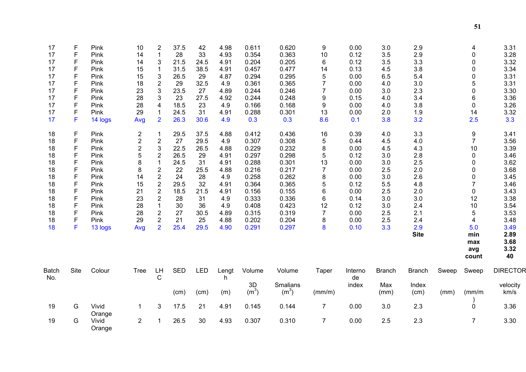| 17                  | F<br>$\mathsf F$ | Pink            | 10                      | 2<br>1                           | 37.5<br>28 | 42<br>33   | 4.98<br>4.93 | 0.611<br>0.354    | 0.620<br>0.363    | 9<br>10              | 0.00<br>0.12  | 3.0           | 2.9           |       | 4                          | 3.31<br>3.28    |
|---------------------|------------------|-----------------|-------------------------|----------------------------------|------------|------------|--------------|-------------------|-------------------|----------------------|---------------|---------------|---------------|-------|----------------------------|-----------------|
| 17<br>17            | F                | Pink<br>Pink    | 14<br>14                | 3                                | 21.5       | 24.5       | 4.91         | 0.204             | 0.205             | 6                    | 0.12          | 3.5<br>3.5    | 2.9<br>3.3    |       | $\mathbf 0$<br>$\mathbf 0$ | 3.32            |
| 17                  | F                | Pink            | 15                      | $\mathbf{1}$                     | 31.5       | 38.5       | 4.91         | 0.457             | 0.477             | 14                   | 0.13          | 4.5           | 3.8           |       | $\mathbf 0$                | 3.34            |
| 17                  | F                | Pink            | 15                      | 3                                | 26.5       | 29         | 4.87         | 0.294             | 0.295             | 5                    | 0.00          | 6.5           | 5.4           |       | $\mathbf 0$                | 3.31            |
| 17                  | F                | Pink            | 18                      | $\overline{c}$                   | 29         | 32.5       | 4.9          | 0.361             | 0.365             | $\overline{7}$       | 0.00          | 4.0           | 3.0           |       | 5                          | 3.31            |
| 17                  | F                | Pink            | 23                      | $\mathfrak{B}$                   | 23.5       | 27         | 4.89         | 0.244             | 0.246             | $\overline{7}$       | 0.00          | 3.0           | 2.3           |       | $\mathbf 0$                | 3.30            |
| 17                  | F                | Pink            | 28                      | 3                                | 23         | 27.5       | 4.92         | 0.244             | 0.248             | 9                    | 0.15          | 4.0           | 3.4           |       | 6                          | 3.36            |
| 17                  | F                | Pink            | 28                      | $\overline{\mathbf{4}}$          | 18.5       | 23         | 4.9          | 0.166             | 0.168             | 9                    | 0.00          | 4.0           | 3.8           |       | $\mathbf 0$                | 3.26            |
| 17                  | F                | Pink            | 29                      |                                  | 24.5       | 31         | 4.91         | 0.288             | 0.301             | 13                   | 0.00          | 2.0           | 1.9           |       | 14                         | 3.32            |
| 17                  | F                | 14 logs         | Avg                     | $\overline{2}$                   | 26.3       | 30.6       | 4.9          | 0.3               | 0.3               | 8.6                  | 0.1           | 3.8           | 3.2           |       | 2.5                        | 3.3             |
| 18                  | F                | Pink            | $\overline{\mathbf{c}}$ |                                  | 29.5       | 37.5       | 4.88         | 0.412             | 0.436             | 16                   | 0.39          | 4.0           | 3.3           |       | 9                          | 3.41            |
| 18                  | F                | Pink            | $\boldsymbol{2}$        | $\overline{2}$                   | 27         | 29.5       | 4.9          | 0.307             | 0.308             | $\mathbf 5$          | 0.44          | 4.5           | 4.0           |       | $\overline{7}$             | 3.56            |
| 18                  | $\mathsf F$      | Pink            | 2                       | 3                                | 22.5       | 26.5       | 4.88         | 0.229             | 0.232             | 8                    | 0.00          | 4.5           | 4.3           |       | 10                         | 3.39            |
| 18                  | $\mathsf F$      | Pink            | 5                       | $\overline{2}$                   | 26.5       | 29         | 4.91         | 0.297             | 0.298             | 5                    | 0.12          | 3.0           | 2.8           |       | $\mathbf 0$                | 3.46            |
| 18                  | $\mathsf F$      | Pink            | 8                       | $\mathbf 1$                      | 24.5       | 31         | 4.91         | 0.288             | 0.301             | 13                   | 0.00          | 3.0           | 2.5           |       | $\mathbf 0$                | 3.62            |
| 18                  | F                | Pink            | 8                       | $\overline{2}$                   | 22         | 25.5       | 4.88         | 0.216             | 0.217             | $\overline{7}$       | 0.00          | 2.5           | 2.0           |       | $\mathbf 0$                | 3.68            |
| 18                  | F                | Pink            | 14                      | $\mathbf 2$                      | 24         | 28         | 4.9          | 0.258             | 0.262             | 8                    | 0.00          | 3.0           | 2.6           |       | $\mathbf 0$                | 3.45            |
| 18                  | F                | Pink            | 15                      | $\overline{2}$                   | 29.5       | 32         | 4.91         | 0.364             | 0.365             | 5                    | 0.12          | 5.5           | 4.8           |       | $\overline{7}$             | 3.46            |
| 18                  | F                | Pink            | 21                      | $\overline{2}$                   | 18.5       | 21.5       | 4.91         | 0.156             | 0.155             | 6                    | 0.00          | 2.5           | 2.0           |       | $\pmb{0}$                  | 3.43            |
| 18                  | $\mathsf F$<br>F | Pink            | 23                      | $\overline{2}$                   | 28         | 31         | 4.9          | 0.333             | 0.336             | 6                    | 0.14          | 3.0           | 3.0           |       | 12                         | 3.38            |
| 18<br>18            | $\mathsf F$      | Pink            | 28<br>28                | $\mathbf{1}$                     | 30<br>27   | 36<br>30.5 | 4.9<br>4.89  | 0.408<br>0.315    | 0.423<br>0.319    | 12<br>$\overline{7}$ | 0.12          | 3.0<br>2.5    | 2.4<br>2.1    |       | 10<br>5                    | 3.54<br>3.53    |
| 18                  | F                | Pink<br>Pink    | 29                      | $\overline{c}$<br>$\overline{2}$ | 21         | 25         | 4.88         | 0.202             | 0.204             | 8                    | 0.00<br>0.00  | 2.5           | 2.4           |       | $\overline{4}$             | 3.48            |
| 18                  | F                |                 |                         | $\overline{2}$                   | 25.4       | 29.5       | 4.90         | 0.291             | 0.297             | 8                    | 0.10          | 3.3           | 2.9           |       | 5.0                        | 3.49            |
|                     |                  | 13 logs         | Avg                     |                                  |            |            |              |                   |                   |                      |               |               | <b>Site</b>   |       | min                        | 2.89            |
|                     |                  |                 |                         |                                  |            |            |              |                   |                   |                      |               |               |               |       | max                        | 3.68            |
|                     |                  |                 |                         |                                  |            |            |              |                   |                   |                      |               |               |               |       | avg<br>count               | 3.32<br>40      |
|                     |                  |                 |                         |                                  |            |            |              |                   |                   |                      |               |               |               |       |                            |                 |
| <b>Batch</b><br>No. | Site             | Colour          | <b>Tree</b>             | LH<br>C                          | <b>SED</b> | <b>LED</b> | Lengt<br>h   | Volume            | Volume            | Taper                | Interno<br>de | <b>Branch</b> | <b>Branch</b> | Sweep | Sweep                      | <b>DIRECTOR</b> |
|                     |                  |                 |                         |                                  |            |            |              | 3D                | Smalians          |                      | index         | Max           | Index         |       |                            | velocity        |
|                     |                  |                 |                         |                                  | (cm)       | (cm)       | (m)          | (m <sup>3</sup> ) | (m <sup>3</sup> ) | (mm/m)               |               | (mm)          | (cm)          | (mm)  | $\frac{mm}{m}$             | km/s            |
| 19                  | G                | Vivid<br>Orange | 1                       | 3                                | 17.5       | 21         | 4.91         | 0.145             | 0.144             | $\overline{7}$       | 0.00          | 3.0           | 2.3           |       | $\overline{0}$             | 3.36            |
| 19                  | G                | Vivid<br>Orange | $\overline{2}$          |                                  | 26.5       | 30         | 4.93         | 0.307             | 0.310             | $\overline{7}$       | 0.00          | 2.5           | 2.3           |       | $\overline{7}$             | 3.30            |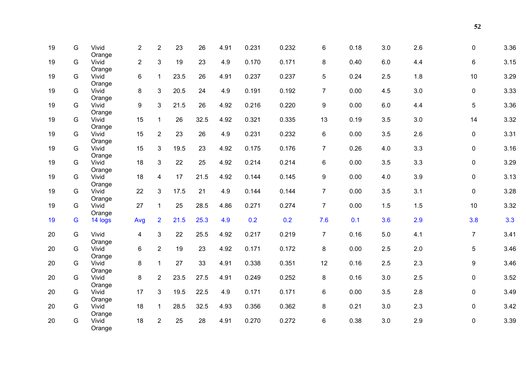| 19 | G  | Vivid             | $\overline{2}$ | $\overline{2}$ | 23   | 26   | 4.91 | 0.231 | 0.232 | 6                | 0.18 | 3.0     | 2.6 | 0              | 3.36 |
|----|----|-------------------|----------------|----------------|------|------|------|-------|-------|------------------|------|---------|-----|----------------|------|
| 19 | G  | Orange<br>Vivid   | $\overline{2}$ | 3              | 19   | 23   | 4.9  | 0.170 | 0.171 | 8                | 0.40 | $6.0\,$ | 4.4 | 6              | 3.15 |
| 19 | G  | Orange<br>Vivid   | $6\phantom{a}$ | $\mathbf{1}$   | 23.5 | 26   | 4.91 | 0.237 | 0.237 | 5                | 0.24 | 2.5     | 1.8 | 10             | 3.29 |
| 19 | G  | Orange<br>Vivid   | 8              | $\mathfrak{S}$ | 20.5 | 24   | 4.9  | 0.191 | 0.192 | $\overline{7}$   | 0.00 | 4.5     | 3.0 | 0              | 3.33 |
| 19 | G  | Orange<br>Vivid   | 9              | 3              | 21.5 | 26   | 4.92 | 0.216 | 0.220 | $\boldsymbol{9}$ | 0.00 | 6.0     | 4.4 | 5              | 3.36 |
| 19 | G  | Orange<br>Vivid   | 15             | $\mathbf{1}$   | 26   | 32.5 | 4.92 | 0.321 | 0.335 | 13               | 0.19 | 3.5     | 3.0 | 14             | 3.32 |
| 19 | G  | Orange<br>Vivid   | 15             | $\overline{2}$ | 23   | 26   | 4.9  | 0.231 | 0.232 | $\,6\,$          | 0.00 | 3.5     | 2.6 | 0              | 3.31 |
| 19 | G  | Orange<br>Vivid   | 15             | $\mathbf{3}$   | 19.5 | 23   | 4.92 | 0.175 | 0.176 | $\overline{7}$   | 0.26 | 4.0     | 3.3 | 0              | 3.16 |
| 19 | G  | Orange<br>Vivid   | 18             | $\mathbf{3}$   | 22   | 25   | 4.92 | 0.214 | 0.214 | 6                | 0.00 | 3.5     | 3.3 | 0              | 3.29 |
| 19 | G. | Orange<br>Vivid   | 18             | $\overline{4}$ | 17   | 21.5 | 4.92 | 0.144 | 0.145 | 9                | 0.00 | 4.0     | 3.9 | 0              | 3.13 |
| 19 | G. | Orange<br>Vivid   | 22             | $\mathfrak{S}$ | 17.5 | 21   | 4.9  | 0.144 | 0.144 | $\overline{7}$   | 0.00 | 3.5     | 3.1 | 0              | 3.28 |
| 19 | G  | Orange<br>Vivid   | 27             | $\mathbf{1}$   | 25   | 28.5 | 4.86 | 0.271 | 0.274 | $\overline{7}$   | 0.00 | 1.5     | 1.5 | 10             | 3.32 |
| 19 | G  | Orange<br>14 logs | Avg            | $\overline{2}$ | 21.5 | 25.3 | 4.9  | 0.2   | 0.2   | 7.6              | 0.1  | 3.6     | 2.9 | 3.8            | 3.3  |
| 20 | G  | Vivid             | $\overline{4}$ | $\mathbf{3}$   | 22   | 25.5 | 4.92 | 0.217 | 0.219 | $\overline{7}$   | 0.16 | 5.0     | 4.1 | $\overline{7}$ | 3.41 |
| 20 | G  | Orange<br>Vivid   | 6              | $\overline{2}$ | 19   | 23   | 4.92 | 0.171 | 0.172 | 8                | 0.00 | 2.5     | 2.0 | 5              | 3.46 |
| 20 | G  | Orange<br>Vivid   | 8              | $\mathbf{1}$   | 27   | 33   | 4.91 | 0.338 | 0.351 | 12               | 0.16 | 2.5     | 2.3 | 9              | 3.46 |
| 20 | G  | Orange<br>Vivid   | 8              | $\overline{2}$ | 23.5 | 27.5 | 4.91 | 0.249 | 0.252 | 8                | 0.16 | 3.0     | 2.5 | 0              | 3.52 |
| 20 | G  | Orange<br>Vivid   | 17             | $\mathbf{3}$   | 19.5 | 22.5 | 4.9  | 0.171 | 0.171 | 6                | 0.00 | 3.5     | 2.8 | 0              | 3.49 |
| 20 | G  | Orange<br>Vivid   | 18             | $\mathbf{1}$   | 28.5 | 32.5 | 4.93 | 0.356 | 0.362 | 8                | 0.21 | 3.0     | 2.3 | $\mathbf 0$    | 3.42 |
| 20 | G  | Orange<br>Vivid   | 18             | $\overline{2}$ | 25   | 28   | 4.91 | 0.270 | 0.272 | 6                | 0.38 | 3.0     | 2.9 | 0              | 3.39 |
|    |    | Orange            |                |                |      |      |      |       |       |                  |      |         |     |                |      |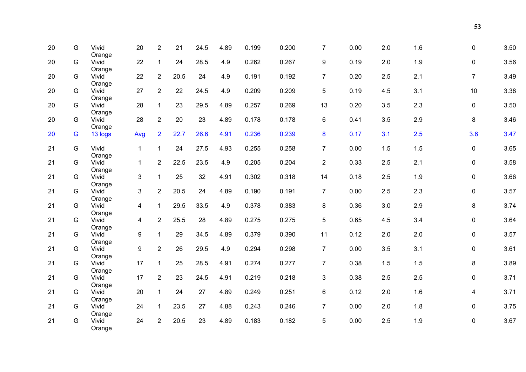| 20 | G | Vivid             | 20               | $\overline{2}$ | 21   | 24.5 | 4.89 | 0.199 | 0.200 | $\overline{7}$ | 0.00 | 2.0 | 1.6 | 0              | 3.50 |
|----|---|-------------------|------------------|----------------|------|------|------|-------|-------|----------------|------|-----|-----|----------------|------|
| 20 | G | Orange<br>Vivid   | 22               | $\mathbf{1}$   | 24   | 28.5 | 4.9  | 0.262 | 0.267 | 9              | 0.19 | 2.0 | 1.9 | 0              | 3.56 |
| 20 | G | Orange<br>Vivid   | 22               | $\overline{2}$ | 20.5 | 24   | 4.9  | 0.191 | 0.192 | $\overline{7}$ | 0.20 | 2.5 | 2.1 | $\overline{7}$ | 3.49 |
| 20 | G | Orange<br>Vivid   | 27               | $\overline{2}$ | 22   | 24.5 | 4.9  | 0.209 | 0.209 | 5              | 0.19 | 4.5 | 3.1 | 10             | 3.38 |
| 20 | G | Orange<br>Vivid   | 28               | $\mathbf{1}$   | 23   | 29.5 | 4.89 | 0.257 | 0.269 | 13             | 0.20 | 3.5 | 2.3 | $\mathbf 0$    | 3.50 |
| 20 | G | Orange<br>Vivid   | 28               | $\overline{2}$ | 20   | 23   | 4.89 | 0.178 | 0.178 | 6              | 0.41 | 3.5 | 2.9 | 8              | 3.46 |
| 20 | G | Orange<br>13 logs | Avg              | $\overline{2}$ | 22.7 | 26.6 | 4.91 | 0.236 | 0.239 | 8              | 0.17 | 3.1 | 2.5 | 3.6            | 3.47 |
| 21 | G | Vivid             | $\mathbf{1}$     | $\mathbf{1}$   | 24   | 27.5 | 4.93 | 0.255 | 0.258 | $\overline{7}$ | 0.00 | 1.5 | 1.5 | 0              | 3.65 |
| 21 | G | Orange<br>Vivid   | $\mathbf{1}$     | $\overline{2}$ | 22.5 | 23.5 | 4.9  | 0.205 | 0.204 | $\overline{2}$ | 0.33 | 2.5 | 2.1 | 0              | 3.58 |
| 21 | G | Orange<br>Vivid   | $\mathbf{3}$     | $\mathbf{1}$   | 25   | 32   | 4.91 | 0.302 | 0.318 | 14             | 0.18 | 2.5 | 1.9 | 0              | 3.66 |
| 21 | G | Orange<br>Vivid   | $\overline{3}$   | $\overline{2}$ | 20.5 | 24   | 4.89 | 0.190 | 0.191 | $\overline{7}$ | 0.00 | 2.5 | 2.3 | 0              | 3.57 |
| 21 | G | Orange<br>Vivid   | $\overline{4}$   | $\mathbf{1}$   | 29.5 | 33.5 | 4.9  | 0.378 | 0.383 | 8              | 0.36 | 3.0 | 2.9 | 8              | 3.74 |
| 21 | G | Orange<br>Vivid   | $\overline{4}$   | $\overline{2}$ | 25.5 | 28   | 4.89 | 0.275 | 0.275 | 5              | 0.65 | 4.5 | 3.4 | 0              | 3.64 |
| 21 | G | Orange<br>Vivid   | $\boldsymbol{9}$ | $\mathbf{1}$   | 29   | 34.5 | 4.89 | 0.379 | 0.390 | 11             | 0.12 | 2.0 | 2.0 | 0              | 3.57 |
| 21 | G | Orange<br>Vivid   | $\boldsymbol{9}$ | $\overline{2}$ | 26   | 29.5 | 4.9  | 0.294 | 0.298 | $\overline{7}$ | 0.00 | 3.5 | 3.1 | 0              | 3.61 |
| 21 | G | Orange<br>Vivid   | 17               | $\mathbf{1}$   | 25   | 28.5 | 4.91 | 0.274 | 0.277 | $\overline{7}$ | 0.38 | 1.5 | 1.5 | 8              | 3.89 |
| 21 | G | Orange<br>Vivid   | 17               | $\overline{2}$ | 23   | 24.5 | 4.91 | 0.219 | 0.218 | 3              | 0.38 | 2.5 | 2.5 | $\mathbf 0$    | 3.71 |
| 21 | G | Orange<br>Vivid   | 20               | $\mathbf{1}$   | 24   | 27   | 4.89 | 0.249 | 0.251 | 6              | 0.12 | 2.0 | 1.6 | 4              | 3.71 |
|    |   | Orange            |                  |                |      |      |      |       |       |                |      |     |     |                |      |
| 21 | G | Vivid<br>Orange   | 24               | $\mathbf{1}$   | 23.5 | 27   | 4.88 | 0.243 | 0.246 | $\overline{7}$ | 0.00 | 2.0 | 1.8 | $\mathbf 0$    | 3.75 |
| 21 | G | Vivid<br>Orange   | 24               | $\overline{2}$ | 20.5 | 23   | 4.89 | 0.183 | 0.182 | 5              | 0.00 | 2.5 | 1.9 | 0              | 3.67 |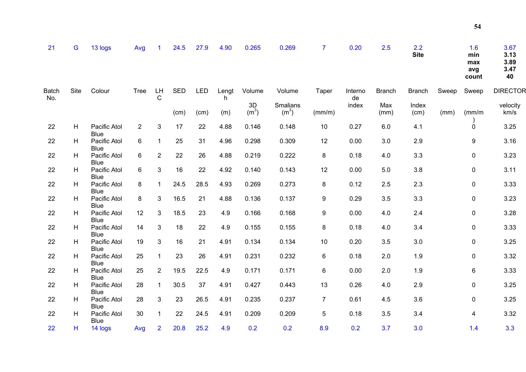| 21                  | G    | 13 logs                                    | Avg            |                | 24.5       | 27.9       | 4.90     | 0.265                   | 0.269                         | $\overline{7}$ | 0.20          | 2.5           | 2.2<br><b>Site</b> |       | 1.6<br>min<br>max<br>avg<br>count | 3.67<br>3.13<br>3.89<br>3.47<br>40 |
|---------------------|------|--------------------------------------------|----------------|----------------|------------|------------|----------|-------------------------|-------------------------------|----------------|---------------|---------------|--------------------|-------|-----------------------------------|------------------------------------|
| <b>Batch</b><br>No. | Site | Colour                                     | <b>Tree</b>    | LH<br>C        | <b>SED</b> | <b>LED</b> | Lengt    | Volume                  | Volume                        | Taper          | Interno<br>de | <b>Branch</b> | <b>Branch</b>      | Sweep | Sweep                             | <b>DIRECTOR</b>                    |
|                     |      |                                            |                |                | (cm)       | (cm)       | h<br>(m) | 3D<br>(m <sup>3</sup> ) | Smalians<br>(m <sup>3</sup> ) | (mm/m)         | index         | Max<br>(mm)   | Index<br>(cm)      | (mm)  | (mm/m)                            | velocity<br>km/s                   |
| 22                  | H    | Pacific Atol<br><b>Blue</b>                | $\overline{2}$ | 3              | 17         | 22         | 4.88     | 0.146                   | 0.148                         | 10             | 0.27          | 6.0           | 4.1                |       | $\mathbf 0$                       | 3.25                               |
| 22                  | H    | Pacific Atol<br><b>Blue</b>                | 6              |                | 25         | 31         | 4.96     | 0.298                   | 0.309                         | 12             | 0.00          | 3.0           | 2.9                |       | 9                                 | 3.16                               |
| 22                  | H    | Pacific Atol                               | 6              | $\overline{2}$ | 22         | 26         | 4.88     | 0.219                   | 0.222                         | 8              | 0.18          | 4.0           | 3.3                |       | $\pmb{0}$                         | 3.23                               |
| 22                  | н    | Blue<br>Pacific Atol<br><b>Blue</b>        | 6              | 3              | 16         | 22         | 4.92     | 0.140                   | 0.143                         | 12             | 0.00          | 5.0           | 3.8                |       | $\pmb{0}$                         | 3.11                               |
| 22                  | H    | Pacific Atol<br><b>Blue</b>                | 8              |                | 24.5       | 28.5       | 4.93     | 0.269                   | 0.273                         | 8              | 0.12          | 2.5           | 2.3                |       | $\mathbf 0$                       | 3.33                               |
| 22                  | H    | Pacific Atol                               | 8              | 3              | 16.5       | 21         | 4.88     | 0.136                   | 0.137                         | 9              | 0.29          | 3.5           | 3.3                |       | 0                                 | 3.23                               |
| 22                  | H    | <b>Blue</b><br>Pacific Atol<br><b>Blue</b> | 12             | 3              | 18.5       | 23         | 4.9      | 0.166                   | 0.168                         | 9              | 0.00          | 4.0           | 2.4                |       | $\mathbf 0$                       | 3.28                               |
| 22                  | H    | Pacific Atol<br>Blue                       | 14             | 3              | 18         | 22         | 4.9      | 0.155                   | 0.155                         | 8              | 0.18          | 4.0           | 3.4                |       | $\mathbf 0$                       | 3.33                               |
| 22                  | H    | Pacific Atol                               | 19             | 3              | 16         | 21         | 4.91     | 0.134                   | 0.134                         | 10             | 0.20          | 3.5           | 3.0                |       | $\mathbf 0$                       | 3.25                               |
| 22                  | H    | <b>Blue</b><br>Pacific Atol<br>Blue        | 25             |                | 23         | 26         | 4.91     | 0.231                   | 0.232                         | 6              | 0.18          | 2.0           | 1.9                |       | $\mathbf 0$                       | 3.32                               |
| 22                  | н    | Pacific Atol<br><b>Blue</b>                | 25             | $\overline{2}$ | 19.5       | 22.5       | 4.9      | 0.171                   | 0.171                         | 6              | 0.00          | 2.0           | 1.9                |       | 6                                 | 3.33                               |
| 22                  | H    | Pacific Atol<br><b>Blue</b>                | 28             |                | 30.5       | 37         | 4.91     | 0.427                   | 0.443                         | 13             | 0.26          | 4.0           | 2.9                |       | $\pmb{0}$                         | 3.25                               |

22 H 14 logs Avg 2 20.8 25.2 4.9 0.2 0.2 8.9 0.2 3.7 3.0 1.4 3.3

28 3 23 26.5 4.91 0.235 0.237 7 0.61 4.5 3.6 0 3.25

30 1 22 24.5 4.91 0.209 0.209 5 0.18 3.5 3.4 4 3.32

22 H Pacific Atol

22 H Pacific Atol

Blue

Blue

**5 4**

 $3.25$ 

3.32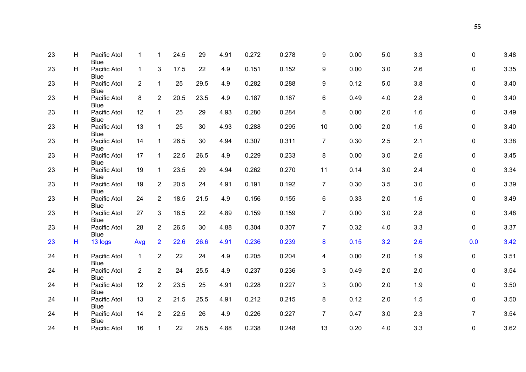| 23 | H  | Pacific Atol                | 1              | 1              | 24.5 | 29   | 4.91 | 0.272 | 0.278 | 9              | 0.00 | 5.0 | 3.3 | 0              | 3.48 |
|----|----|-----------------------------|----------------|----------------|------|------|------|-------|-------|----------------|------|-----|-----|----------------|------|
|    |    | <b>Blue</b>                 |                |                |      |      |      |       |       |                |      |     |     |                |      |
| 23 | H  | Pacific Atol<br>Blue        | $\mathbf{1}$   | 3              | 17.5 | 22   | 4.9  | 0.151 | 0.152 | 9              | 0.00 | 3.0 | 2.6 | 0              | 3.35 |
| 23 | H. | Pacific Atol<br><b>Blue</b> | $\overline{2}$ | $\mathbf{1}$   | 25   | 29.5 | 4.9  | 0.282 | 0.288 | 9              | 0.12 | 5.0 | 3.8 | 0              | 3.40 |
| 23 | н  | Pacific Atol<br><b>Blue</b> | 8              | $\overline{2}$ | 20.5 | 23.5 | 4.9  | 0.187 | 0.187 | 6              | 0.49 | 4.0 | 2.8 | 0              | 3.40 |
| 23 | H  | Pacific Atol<br><b>Blue</b> | 12             | $\mathbf{1}$   | 25   | 29   | 4.93 | 0.280 | 0.284 | 8              | 0.00 | 2.0 | 1.6 | 0              | 3.49 |
| 23 | н  | Pacific Atol<br><b>Blue</b> | 13             | $\mathbf{1}$   | 25   | 30   | 4.93 | 0.288 | 0.295 | 10             | 0.00 | 2.0 | 1.6 | $\mathbf 0$    | 3.40 |
| 23 | H  | Pacific Atol<br><b>Blue</b> | 14             | $\mathbf{1}$   | 26.5 | 30   | 4.94 | 0.307 | 0.311 | $\overline{7}$ | 0.30 | 2.5 | 2.1 | 0              | 3.38 |
| 23 | H. | Pacific Atol<br><b>Blue</b> | 17             | $\mathbf 1$    | 22.5 | 26.5 | 4.9  | 0.229 | 0.233 | $\bf 8$        | 0.00 | 3.0 | 2.6 | 0              | 3.45 |
| 23 | H  | Pacific Atol<br><b>Blue</b> | 19             | $\mathbf{1}$   | 23.5 | 29   | 4.94 | 0.262 | 0.270 | 11             | 0.14 | 3.0 | 2.4 | 0              | 3.34 |
| 23 | H  | Pacific Atol<br><b>Blue</b> | 19             | $\overline{2}$ | 20.5 | 24   | 4.91 | 0.191 | 0.192 | $\overline{7}$ | 0.30 | 3.5 | 3.0 | 0              | 3.39 |
| 23 | H. | Pacific Atol<br><b>Blue</b> | 24             | $\overline{2}$ | 18.5 | 21.5 | 4.9  | 0.156 | 0.155 | 6              | 0.33 | 2.0 | 1.6 | 0              | 3.49 |
| 23 | H. | Pacific Atol<br><b>Blue</b> | 27             | 3              | 18.5 | 22   | 4.89 | 0.159 | 0.159 | $\overline{7}$ | 0.00 | 3.0 | 2.8 | 0              | 3.48 |
| 23 | H  | Pacific Atol<br><b>Blue</b> | 28             | $\overline{2}$ | 26.5 | 30   | 4.88 | 0.304 | 0.307 | $\overline{7}$ | 0.32 | 4.0 | 3.3 | 0              | 3.37 |
| 23 | н  | 13 logs                     | Avg            | $\overline{2}$ | 22.6 | 26.6 | 4.91 | 0.236 | 0.239 | $\bf{8}$       | 0.15 | 3.2 | 2.6 | 0.0            | 3.42 |
| 24 | H  | Pacific Atol<br><b>Blue</b> | $\mathbf{1}$   | $\overline{2}$ | 22   | 24   | 4.9  | 0.205 | 0.204 | 4              | 0.00 | 2.0 | 1.9 | 0              | 3.51 |
| 24 | н  | Pacific Atol<br><b>Blue</b> | $\overline{2}$ | $\overline{2}$ | 24   | 25.5 | 4.9  | 0.237 | 0.236 | 3              | 0.49 | 2.0 | 2.0 | 0              | 3.54 |
| 24 | H  | Pacific Atol<br><b>Blue</b> | 12             | $\overline{2}$ | 23.5 | 25   | 4.91 | 0.228 | 0.227 | 3              | 0.00 | 2.0 | 1.9 | $\mathbf 0$    | 3.50 |
| 24 | н  | Pacific Atol<br><b>Blue</b> | 13             | $\overline{2}$ | 21.5 | 25.5 | 4.91 | 0.212 | 0.215 | 8              | 0.12 | 2.0 | 1.5 | 0              | 3.50 |
| 24 | H. | Pacific Atol<br><b>Blue</b> | 14             | $\overline{2}$ | 22.5 | 26   | 4.9  | 0.226 | 0.227 | $\overline{7}$ | 0.47 | 3.0 | 2.3 | $\overline{7}$ | 3.54 |
| 24 | H  | Pacific Atol                | 16             | $\mathbf 1$    | 22   | 28.5 | 4.88 | 0.238 | 0.248 | 13             | 0.20 | 4.0 | 3.3 | 0              | 3.62 |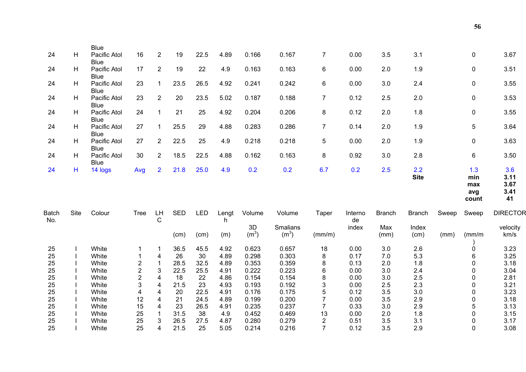|                     |      | <b>Blue</b>                 |             |                    |            |            |            |                         |                               |                |               |               |                    |       |                                   |                                   |
|---------------------|------|-----------------------------|-------------|--------------------|------------|------------|------------|-------------------------|-------------------------------|----------------|---------------|---------------|--------------------|-------|-----------------------------------|-----------------------------------|
| 24                  | н    | Pacific Atol<br><b>Blue</b> | 16          | 2                  | 19         | 22.5       | 4.89       | 0.166                   | 0.167                         | $\overline{7}$ | 0.00          | 3.5           | 3.1                |       | $\mathbf 0$                       | 3.67                              |
| 24                  | н    | Pacific Atol<br><b>Blue</b> | 17          | $\overline{2}$     | 19         | 22         | 4.9        | 0.163                   | 0.163                         | 6              | 0.00          | 2.0           | 1.9                |       | $\pmb{0}$                         | 3.51                              |
| 24                  | H    | Pacific Atol<br><b>Blue</b> | 23          | 1                  | 23.5       | 26.5       | 4.92       | 0.241                   | 0.242                         | 6              | 0.00          | 3.0           | 2.4                |       | 0                                 | 3.55                              |
| 24                  | H    | Pacific Atol<br><b>Blue</b> | 23          | $\overline{2}$     | 20         | 23.5       | 5.02       | 0.187                   | 0.188                         | $\overline{7}$ | 0.12          | 2.5           | 2.0                |       | $\pmb{0}$                         | 3.53                              |
| 24                  | H    | Pacific Atol<br><b>Blue</b> | 24          | $\mathbf{1}$       | 21         | 25         | 4.92       | 0.204                   | 0.206                         | 8              | 0.12          | 2.0           | 1.8                |       | $\mathbf 0$                       | 3.55                              |
| 24                  | H    | Pacific Atol<br><b>Blue</b> | 27          | $\mathbf{1}$       | 25.5       | 29         | 4.88       | 0.283                   | 0.286                         | $\overline{7}$ | 0.14          | 2.0           | 1.9                |       | $\mathbf 5$                       | 3.64                              |
| 24                  | H    | Pacific Atol<br><b>Blue</b> | 27          | $\overline{2}$     | 22.5       | 25         | 4.9        | 0.218                   | 0.218                         | 5              | 0.00          | 2.0           | 1.9                |       | $\mathbf 0$                       | 3.63                              |
| 24                  | н    | Pacific Atol<br><b>Blue</b> | 30          | $\overline{2}$     | 18.5       | 22.5       | 4.88       | 0.162                   | 0.163                         | 8              | 0.92          | 3.0           | 2.8                |       | 6                                 | 3.50                              |
| 24                  | н    | 14 logs                     | Avg         | $\overline{2}$     | 21.8       | 25.0       | 4.9        | 0.2                     | 0.2                           | 6.7            | 0.2           | 2.5           | 2.2<br><b>Site</b> |       | 1.3<br>min<br>max<br>avg<br>count | 3.6<br>3.11<br>3.67<br>3.41<br>41 |
| <b>Batch</b><br>No. | Site | Colour                      | <b>Tree</b> | LH<br>$\mathsf{C}$ | <b>SED</b> | <b>LED</b> | Lengt<br>h | Volume                  | Volume                        | Taper          | Interno<br>de | <b>Branch</b> | <b>Branch</b>      | Sweep | Sweep                             | <b>DIRECTOR</b>                   |
|                     |      |                             |             |                    | (cm)       | (cm)       | (m)        | 3D<br>(m <sup>3</sup> ) | Smalians<br>(m <sup>3</sup> ) | (mm/m)         | index         | Max<br>(mm)   | Index<br>(cm)      | (mm)  | $\frac{mm}{m}$                    | velocity<br>km/s                  |
| 25                  |      | White                       | 1           | 1                  | 36.5       | 45.5       | 4.92       | 0.623                   | 0.657                         | 18             | 0.00          | 3.0           | 2.6                |       | 0                                 | 3.23                              |
| 25                  |      | White                       | 1           | 4                  | 26         | 30         | 4.89       | 0.298                   | 0.303                         | 8              | 0.17          | 7.0           | 5.3                |       | 6                                 | 3.25                              |
| 25                  |      | White                       | 2           | 1                  | 28.5       | 32.5       | 4.89       | 0.353                   | 0.359                         | 8              | 0.13          | 2.0           | 1.8                |       | 0                                 | 3.18                              |
| 25                  |      | White                       | 2           | 3                  | 22.5       | 25.5       | 4.91       | 0.222                   | 0.223                         | 6              | 0.00          | 3.0           | 2.4                |       | $\Omega$                          | 3.04                              |
| 25                  |      | White                       | 2           | 4                  | 18         | 22         | 4.86       | 0.154                   | 0.154                         | 8              | 0.00          | 3.0           | 2.5                |       | $\mathbf{0}$                      | 2.81                              |
| 25                  |      | White                       | 3           | 4                  | 21.5       | 23         | 4.93       | 0.193                   | 0.192                         | 3              | 0.00          | 2.5           | 2.3                |       | 0                                 | 3.21                              |
| 25                  |      | White                       | 4           | 4                  | 20         | 22.5       | 4.91       | 0.176                   | 0.175                         | 5              | 0.12          | 3.5           | 3.0                |       | $\mathbf 0$                       | 3.23                              |
| 25                  |      | White                       | 12          | 4                  | 21         | 24.5       | 4.89       | 0.199                   | 0.200                         | 7              | 0.00          | 3.5           | 2.9                |       | $\mathbf 0$                       | 3.18                              |
| 25                  |      | White                       | 15          | 4                  | 23         | 26.5       | 4.91       | 0.235                   | 0.237                         | $\overline{7}$ | 0.33          | 3.0           | 2.9                |       | 5                                 | 3.13                              |
| 25                  |      | White                       | 25          | 1                  | 31.5       | 38         | 4.9        | 0.452                   | 0.469                         | 13             | 0.00          | 2.0           | 1.8                |       | 0                                 | 3.15                              |
| 25                  |      | White                       | 25          | 3                  | 26.5       | 27.5       | 4.87       | 0.280                   | 0.279                         | 2              | 0.51          | 3.5           | 3.1                |       | 0                                 | 3.17                              |
| 25                  |      | <b>White</b>                | 25          | 4                  | 21.5       | 25         | 5.05       | 0.214                   | 0.216                         | 7              | 0.12          | 3.5           | 2.9                |       | $\Omega$                          | 3.08                              |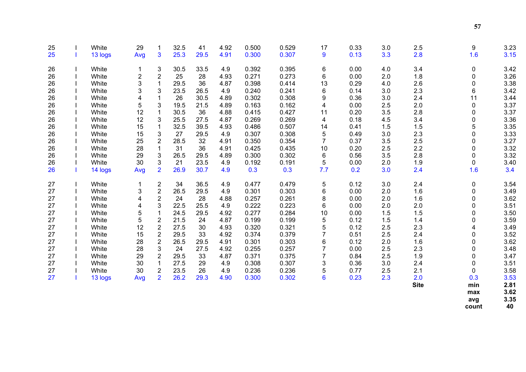| 25 | White   | 29                      | 1                         | 32.5 | 41   | 4.92 | 0.500 | 0.529 | 17  | 0.33 | 3.0 | 2.5         | 9           | 3.23 |
|----|---------|-------------------------|---------------------------|------|------|------|-------|-------|-----|------|-----|-------------|-------------|------|
| 25 | 13 logs | Avg                     | $\overline{3}$            | 25.3 | 29.5 | 4.91 | 0.300 | 0.307 | 9   | 0.13 | 3.3 | 2.8         | 1.6         | 3.15 |
|    |         |                         |                           |      |      |      |       |       |     |      |     |             |             |      |
| 26 | White   |                         | 3                         | 30.5 | 33.5 | 4.9  | 0.392 | 0.395 | 6   | 0.00 | 4.0 | 3.4         | 0           | 3.42 |
| 26 | White   | $\overline{\mathbf{c}}$ | $\overline{2}$            | 25   | 28   | 4.93 | 0.271 | 0.273 | 6   | 0.00 | 2.0 | 1.8         | $\pmb{0}$   | 3.26 |
| 26 | White   | 3                       | $\mathbf{1}$              | 29.5 | 36   | 4.87 | 0.398 | 0.414 | 13  | 0.29 | 4.0 | 2.6         | $\pmb{0}$   | 3.38 |
| 26 | White   | 3                       | 3                         | 23.5 | 26.5 | 4.9  | 0.240 | 0.241 | 6   | 0.14 | 3.0 | 2.3         | 6           | 3.42 |
| 26 | White   | 4                       | 1                         | 26   | 30.5 | 4.89 | 0.302 | 0.308 | 9   | 0.36 | 3.0 | 2.4         | 11          | 3.44 |
| 26 | White   | 5                       | 3                         | 19.5 | 21.5 | 4.89 | 0.163 | 0.162 | 4   | 0.00 | 2.5 | 2.0         | 0           | 3.37 |
| 26 | White   | 12                      | 1                         | 30.5 | 36   | 4.88 | 0.415 | 0.427 | 11  | 0.20 | 3.5 | 2.8         | 0           | 3.37 |
| 26 | White   | 12                      | 3                         | 25.5 | 27.5 | 4.87 | 0.269 | 0.269 | 4   | 0.18 | 4.5 | 3.4         | $\mathbf 0$ | 3.36 |
| 26 | White   | 15                      | $\mathbf{1}$              | 32.5 | 39.5 | 4.93 | 0.486 | 0.507 | 14  | 0.41 | 1.5 | 1.5         | 5           | 3.35 |
| 26 | White   | 15                      | $\ensuremath{\mathsf{3}}$ | 27   | 29.5 | 4.9  | 0.307 | 0.308 | 5   | 0.49 | 3.0 | 2.3         | 0           | 3.33 |
| 26 | White   | 25                      | $\sqrt{2}$                | 28.5 | 32   | 4.91 | 0.350 | 0.354 | 7   | 0.37 | 3.5 | 2.5         | $\pmb{0}$   | 3.27 |
| 26 | White   | 28                      | $\mathbf 1$               | 31   | 36   | 4.91 | 0.425 | 0.435 | 10  | 0.20 | 2.5 | 2.2         | $\pmb{0}$   | 3.32 |
| 26 | White   | 29                      | $\ensuremath{\mathsf{3}}$ | 26.5 | 29.5 | 4.89 | 0.300 | 0.302 | 6   | 0.56 | 3.5 | 2.8         | $\mathbf 0$ | 3.32 |
| 26 | White   | 30                      | $\mathbf{3}$              | 21   | 23.5 | 4.9  | 0.192 | 0.191 | 5   | 0.00 | 2.0 | 1.9         | $\mathbf 0$ | 3.40 |
| 26 | 14 logs | Avg                     | $\overline{2}$            | 26.9 | 30.7 | 4.9  | 0.3   | 0.3   | 7.7 | 0.2  | 3.0 | 2.4         | 1.6         | 3.4  |
| 27 | White   | 1                       | $\sqrt{2}$                | 34   | 36.5 | 4.9  | 0.477 | 0.479 | 5   | 0.12 | 3.0 | 2.4         | $\mathbf 0$ | 3.54 |
| 27 | White   | 3                       | $\overline{\mathbf{c}}$   | 26.5 | 29.5 | 4.9  | 0.301 | 0.303 | 6   | 0.00 | 2.0 | 1.6         | 0           | 3.49 |
| 27 | White   | 4                       | $\boldsymbol{2}$          | 24   | 28   | 4.88 | 0.257 | 0.261 | 8   | 0.00 | 2.0 | 1.6         | $\mathbf 0$ | 3.62 |
| 27 | White   | 4                       | $\mathbf{3}$              | 22.5 | 25.5 | 4.9  | 0.222 | 0.223 | 6   | 0.00 | 2.0 | 2.0         | 0           | 3.51 |
| 27 | White   | 5                       | 1                         | 24.5 | 29.5 | 4.92 | 0.277 | 0.284 | 10  | 0.00 | 1.5 | 1.5         | 0           | 3.50 |
| 27 | White   | 5                       | $\overline{2}$            | 21.5 | 24   | 4.87 | 0.199 | 0.199 | 5   | 0.12 | 1.5 | 1.4         | 0           | 3.59 |
| 27 | White   | 12                      | $\boldsymbol{2}$          | 27.5 | 30   | 4.93 | 0.320 | 0.321 | 5   | 0.12 | 2.5 | 2.3         | 4           | 3.49 |
| 27 | White   | 15                      | $\overline{2}$            | 29.5 | 33   | 4.92 | 0.374 | 0.379 | 7   | 0.51 | 2.5 | 2.4         | $\pmb{0}$   | 3.52 |
| 27 | White   | 28                      | $\overline{2}$            | 26.5 | 29.5 | 4.91 | 0.301 | 0.303 | 6   | 0.12 | 2.0 | 1.6         | $\pmb{0}$   | 3.62 |
| 27 | White   | 28                      | 3                         | 24   | 27.5 | 4.92 | 0.255 | 0.257 | 7   | 0.00 | 2.5 | 2.3         | 0           | 3.48 |
| 27 | White   | 29                      | $\overline{2}$            | 29.5 | 33   | 4.87 | 0.371 | 0.375 | 7   | 0.84 | 2.5 | 1.9         | 0           | 3.47 |
| 27 | White   | 30                      | $\mathbf{1}$              | 27.5 | 29   | 4.9  | 0.308 | 0.307 | 3   | 0.36 | 3.0 | 2.4         | 0           | 3.51 |
| 27 | White   | 30                      | $\overline{2}$            | 23.5 | 26   | 4.9  | 0.236 | 0.236 | 5   | 0.77 | 2.5 | 2.1         | 0           | 3.58 |
| 27 | 13 logs | Avg                     | $\overline{2}$            | 26.2 | 29.3 | 4.90 | 0.300 | 0.302 | 6   | 0.23 | 2.3 | 2.0         | 0.3         | 3.53 |
|    |         |                         |                           |      |      |      |       |       |     |      |     | <b>Site</b> | min         | 2.81 |
|    |         |                         |                           |      |      |      |       |       |     |      |     |             | max         | 3.62 |
|    |         |                         |                           |      |      |      |       |       |     |      |     |             | avg         | 3.35 |

avg<br>count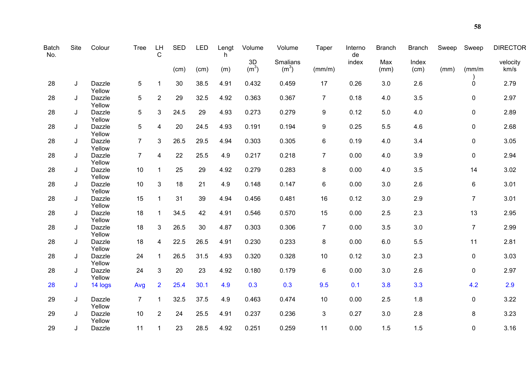| <b>Batch</b><br>No. | <b>Site</b> | Colour           | <b>Tree</b>    | LH<br>C        | <b>SED</b> | LED  | Lengt<br>h. | Volume                  | Volume                               | Taper          | Interno<br>de | <b>Branch</b> | <b>Branch</b> | Sweep | Sweep          | <b>DIRECTOR</b>  |
|---------------------|-------------|------------------|----------------|----------------|------------|------|-------------|-------------------------|--------------------------------------|----------------|---------------|---------------|---------------|-------|----------------|------------------|
|                     |             |                  |                |                | (cm)       | (cm) | (m)         | 3D<br>(m <sup>3</sup> ) | <b>Smalians</b><br>(m <sup>3</sup> ) | (mm/m)         | index         | Max<br>(mm)   | Index<br>(cm) | (mm)  | $\frac{mm}{m}$ | velocity<br>km/s |
| 28                  | J           | Dazzle<br>Yellow | 5              | 1              | 30         | 38.5 | 4.91        | 0.432                   | 0.459                                | 17             | 0.26          | 3.0           | 2.6           |       | $\mathbf 0$    | 2.79             |
| 28                  | J           | Dazzle<br>Yellow | 5              | $\overline{2}$ | 29         | 32.5 | 4.92        | 0.363                   | 0.367                                | $\overline{7}$ | 0.18          | 4.0           | 3.5           |       | $\mathbf 0$    | 2.97             |
| 28                  | J           | Dazzle<br>Yellow | 5              | 3              | 24.5       | 29   | 4.93        | 0.273                   | 0.279                                | 9              | 0.12          | 5.0           | 4.0           |       | $\pmb{0}$      | 2.89             |
| 28                  | J           | Dazzle<br>Yellow | 5              | 4              | 20         | 24.5 | 4.93        | 0.191                   | 0.194                                | 9              | 0.25          | 5.5           | 4.6           |       | $\pmb{0}$      | 2.68             |
| 28                  | J           | Dazzle<br>Yellow | $\overline{7}$ | 3              | 26.5       | 29.5 | 4.94        | 0.303                   | 0.305                                | 6              | 0.19          | 4.0           | 3.4           |       | $\pmb{0}$      | 3.05             |
| 28                  | J           | Dazzle<br>Yellow | $\overline{7}$ | $\overline{4}$ | 22         | 25.5 | 4.9         | 0.217                   | 0.218                                | $\overline{7}$ | 0.00          | 4.0           | 3.9           |       | $\mathbf 0$    | 2.94             |
| 28                  | J           | Dazzle<br>Yellow | 10             | $\mathbf{1}$   | 25         | 29   | 4.92        | 0.279                   | 0.283                                | 8              | 0.00          | 4.0           | 3.5           |       | 14             | 3.02             |
| 28                  | J           | Dazzle<br>Yellow | 10             | $\mathfrak{S}$ | 18         | 21   | 4.9         | 0.148                   | 0.147                                | 6              | 0.00          | 3.0           | 2.6           |       | $\,6$          | 3.01             |
| 28                  | J           | Dazzle<br>Yellow | 15             | $\mathbf{1}$   | 31         | 39   | 4.94        | 0.456                   | 0.481                                | 16             | 0.12          | 3.0           | 2.9           |       | $\overline{7}$ | 3.01             |
| 28                  | J           | Dazzle<br>Yellow | 18             | $\mathbf{1}$   | 34.5       | 42   | 4.91        | 0.546                   | 0.570                                | 15             | 0.00          | 2.5           | 2.3           |       | 13             | 2.95             |
| 28                  | J           | Dazzle<br>Yellow | 18             | 3              | 26.5       | 30   | 4.87        | 0.303                   | 0.306                                | $\overline{7}$ | 0.00          | 3.5           | 3.0           |       | $\overline{7}$ | 2.99             |
| 28                  | J           | Dazzle<br>Yellow | 18             | 4              | 22.5       | 26.5 | 4.91        | 0.230                   | 0.233                                | 8              | 0.00          | 6.0           | 5.5           |       | 11             | 2.81             |
| 28                  | J           | Dazzle<br>Yellow | 24             | $\mathbf{1}$   | 26.5       | 31.5 | 4.93        | 0.320                   | 0.328                                | 10             | 0.12          | 3.0           | 2.3           |       | $\mathbf 0$    | 3.03             |
| 28                  | J           | Dazzle<br>Yellow | 24             | $\mathfrak{S}$ | 20         | 23   | 4.92        | 0.180                   | 0.179                                | 6              | 0.00          | 3.0           | 2.6           |       | $\mathbf 0$    | 2.97             |
| 28                  | J           | 14 logs          | Avg            | $\overline{2}$ | 25.4       | 30.1 | 4.9         | 0.3                     | 0.3                                  | 9.5            | 0.1           | 3.8           | 3.3           |       | 4.2            | 2.9              |
| 29                  | J           | Dazzle<br>Yellow | $\overline{7}$ | $\mathbf{1}$   | 32.5       | 37.5 | 4.9         | 0.463                   | 0.474                                | 10             | 0.00          | 2.5           | 1.8           |       | $\mathbf 0$    | 3.22             |
| 29                  | J           | Dazzle<br>Yellow | 10             | $\overline{2}$ | 24         | 25.5 | 4.91        | 0.237                   | 0.236                                | 3              | 0.27          | 3.0           | 2.8           |       | $\bf 8$        | 3.23             |
| 29                  | J           | Dazzle           | 11             | $\mathbf 1$    | 23         | 28.5 | 4.92        | 0.251                   | 0.259                                | 11             | 0.00          | 1.5           | 1.5           |       | $\mathbf 0$    | 3.16             |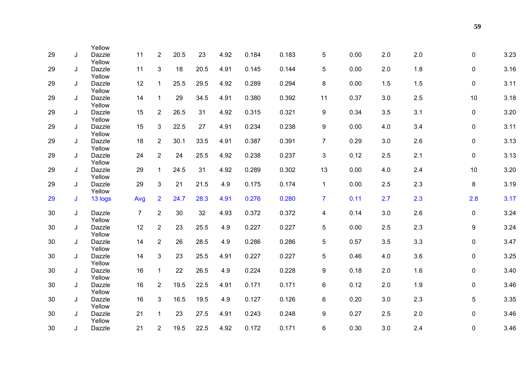| 29 | J | Yellow<br>Dazzle | 11             | $\overline{2}$ | 20.5 | 23   | 4.92 | 0.184 | 0.183 | 5                | 0.00 | 2.0 | 2.0 | $\mathbf 0$ | 3.23 |
|----|---|------------------|----------------|----------------|------|------|------|-------|-------|------------------|------|-----|-----|-------------|------|
|    |   | Yellow           |                |                |      |      |      |       |       |                  |      |     |     |             |      |
| 29 | J | Dazzle<br>Yellow | 11             | 3              | 18   | 20.5 | 4.91 | 0.145 | 0.144 | 5                | 0.00 | 2.0 | 1.8 | $\mathbf 0$ | 3.16 |
| 29 | J | Dazzle<br>Yellow | 12             | $\mathbf{1}$   | 25.5 | 29.5 | 4.92 | 0.289 | 0.294 | 8                | 0.00 | 1.5 | 1.5 | $\mathbf 0$ | 3.11 |
| 29 | J | Dazzle<br>Yellow | 14             | $\mathbf{1}$   | 29   | 34.5 | 4.91 | 0.380 | 0.392 | 11               | 0.37 | 3.0 | 2.5 | 10          | 3.18 |
| 29 | J | Dazzle<br>Yellow | 15             | $\overline{2}$ | 26.5 | 31   | 4.92 | 0.315 | 0.321 | 9                | 0.34 | 3.5 | 3.1 | 0           | 3.20 |
| 29 | J | Dazzle<br>Yellow | 15             | $\mathfrak{S}$ | 22.5 | 27   | 4.91 | 0.234 | 0.238 | 9                | 0.00 | 4.0 | 3.4 | 0           | 3.11 |
| 29 | J | Dazzle<br>Yellow | 18             | $\overline{2}$ | 30.1 | 33.5 | 4.91 | 0.387 | 0.391 | $\overline{7}$   | 0.29 | 3.0 | 2.6 | 0           | 3.13 |
| 29 | J | Dazzle<br>Yellow | 24             | $\overline{2}$ | 24   | 25.5 | 4.92 | 0.238 | 0.237 | 3                | 0.12 | 2.5 | 2.1 | 0           | 3.13 |
| 29 | J | Dazzle<br>Yellow | 29             | $\mathbf{1}$   | 24.5 | 31   | 4.92 | 0.289 | 0.302 | 13               | 0.00 | 4.0 | 2.4 | 10          | 3.20 |
| 29 | J | Dazzle<br>Yellow | 29             | 3              | 21   | 21.5 | 4.9  | 0.175 | 0.174 | $\mathbf{1}$     | 0.00 | 2.5 | 2.3 | 8           | 3.19 |
| 29 | J | 13 logs          | Avg            | $\overline{2}$ | 24.7 | 28.3 | 4.91 | 0.276 | 0.280 | $\overline{7}$   | 0.11 | 2.7 | 2.3 | 2.8         | 3.17 |
| 30 | J | Dazzle<br>Yellow | $\overline{7}$ | $\overline{2}$ | 30   | 32   | 4.93 | 0.372 | 0.372 | 4                | 0.14 | 3.0 | 2.6 | $\mathbf 0$ | 3.24 |
| 30 | J | Dazzle<br>Yellow | 12             | $\overline{2}$ | 23   | 25.5 | 4.9  | 0.227 | 0.227 | 5                | 0.00 | 2.5 | 2.3 | 9           | 3.24 |
| 30 | J | Dazzle<br>Yellow | 14             | $\overline{2}$ | 26   | 28.5 | 4.9  | 0.286 | 0.286 | 5                | 0.57 | 3.5 | 3.3 | 0           | 3.47 |
| 30 | J | Dazzle<br>Yellow | 14             | $\mathbf{3}$   | 23   | 25.5 | 4.91 | 0.227 | 0.227 | 5                | 0.46 | 4.0 | 3.6 | $\mathbf 0$ | 3.25 |
| 30 | J | Dazzle<br>Yellow | 16             | $\mathbf{1}$   | 22   | 26.5 | 4.9  | 0.224 | 0.228 | $\boldsymbol{9}$ | 0.18 | 2.0 | 1.6 | 0           | 3.40 |
| 30 | J | Dazzle<br>Yellow | 16             | $\overline{2}$ | 19.5 | 22.5 | 4.91 | 0.171 | 0.171 | $6\phantom{1}$   | 0.12 | 2.0 | 1.9 | 0           | 3.46 |
| 30 | J | Dazzle<br>Yellow | 16             | 3              | 16.5 | 19.5 | 4.9  | 0.127 | 0.126 | 6                | 0.20 | 3.0 | 2.3 | 5           | 3.35 |
| 30 | J | Dazzle<br>Yellow | 21             | $\mathbf{1}$   | 23   | 27.5 | 4.91 | 0.243 | 0.248 | 9                | 0.27 | 2.5 | 2.0 | $\mathbf 0$ | 3.46 |
| 30 | J | Dazzle           | 21             | $\overline{2}$ | 19.5 | 22.5 | 4.92 | 0.172 | 0.171 | 6                | 0.30 | 3.0 | 2.4 | 0           | 3.46 |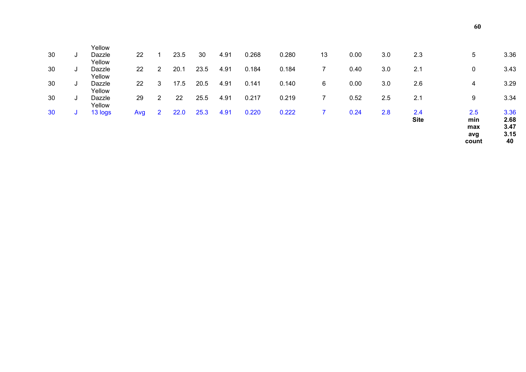|         |                            |     |                |      |      |      |       |       |    |      |     | <b>Site</b> | min<br>max<br>avg | 2.68<br>3.47<br>3.15<br>40 |
|---------|----------------------------|-----|----------------|------|------|------|-------|-------|----|------|-----|-------------|-------------------|----------------------------|
| 30<br>J | 13 logs                    | Avg | $\overline{2}$ | 22.0 | 25.3 | 4.91 | 0.220 | 0.222 |    | 0.24 | 2.8 | 2.4         | 2.5               | 3.36                       |
| 30<br>J | Yellow<br>Dazzle<br>Yellow | 29  | $\overline{2}$ | 22   | 25.5 | 4.91 | 0.217 | 0.219 |    | 0.52 | 2.5 | 2.1         | 9                 | 3.34                       |
| 30<br>J | Dazzle                     | 22  | 3              | 17.5 | 20.5 | 4.91 | 0.141 | 0.140 | 6  | 0.00 | 3.0 | 2.6         | 4                 | 3.29                       |
| 30<br>J | Yellow<br>Dazzle<br>Yellow | 22  | 2              | 20.1 | 23.5 | 4.91 | 0.184 | 0.184 |    | 0.40 | 3.0 | 2.1         | 0                 | 3.43                       |
| 30<br>J | Yellow<br>Dazzle           | 22  |                | 23.5 | 30   | 4.91 | 0.268 | 0.280 | 13 | 0.00 | 3.0 | 2.3         | 5                 | 3.36                       |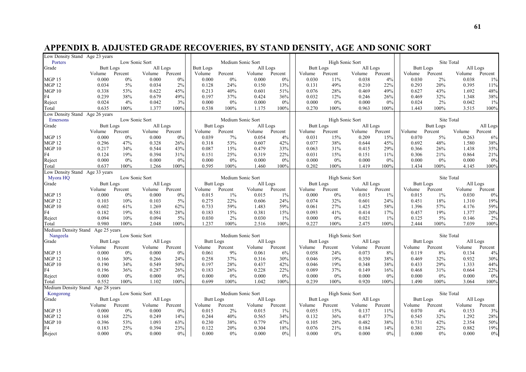# **APPENDIX B. ADJUSTED GRADE RECOVERIES, BY STAND DENSITY, AGE AND SONIC SORT**

| Low Density Stand Age 23 years    |                  |                |                |       |                  |                   |          |         |                  |                 |                |         |                  |                  |            |          |
|-----------------------------------|------------------|----------------|----------------|-------|------------------|-------------------|----------|---------|------------------|-----------------|----------------|---------|------------------|------------------|------------|----------|
| Porters                           |                  | Low Sonic Sort |                |       |                  | Medium Sonic Sort |          |         |                  | High Sonic Sort |                |         |                  | Site Total       |            |          |
| Grade                             | <b>Butt Logs</b> |                | All Logs       |       | <b>Butt Logs</b> |                   | All Logs |         | Butt Logs        |                 | All Logs       |         | <b>Butt Logs</b> |                  | All Logs   |          |
|                                   | Volume           | Percent        | Volume Percent |       | Volume           | Percent           | Volume   | Percent | Volume           | Percent         | Volume Percent |         | Volume           | Percent          | Volume     | Percent  |
| <b>MGP 15</b>                     | 0.000            | 0%             | 0.000          | 0%    | 0.000            | $0\%$             | 0.000    | 0%      | 0.030            | 11%             | 0.038          | 4%      | 0.030            | 2%               | 0.038      | $1\%$    |
| <b>MGP 12</b>                     | 0.034            | 5%             | 0.034          | 2%    | 0.128            | 24%               | 0.150    | 13%     | 0.131            | 49%             | 0.210          | 22%     | 0.293            | 20%              | 0.395      | 11%      |
| <b>MGP 10</b>                     | 0.338            | 53%            | 0.622          | 45%   | 0.213            | 40%               | 0.601    | 51%     | 0.076            | 28%             | 0.469          | 49%     | 0.627            | 43%              | 1.692      | 48%      |
| F4                                | 0.239            | 38%            | 0.679          | 49%   | 0.197            | 37%               | 0.424    | 36%     | 0.032            | 12%             | 0.246          | 26%     | 0.469            | 32%              | 1.348      | 38%      |
| Reject                            | 0.024            | 4%             | 0.042          | 3%    | 0.000            | 0%                | 0.000    | 0%      | 0.000            | 0%              | 0.000          | 0%      | 0.024            | 2%               | 0.042      | $1\%$    |
| Total                             | 0.635            | 100%           | 1.377          | 100%  | 0.538            | 100%              | 1.175    | 100%    | 0.270            | 100%            | 0.963          | 100%    | 1.443            | 100%             | 3.515      | 100%     |
| Low Density Stand Age 26 years    |                  |                |                |       |                  |                   |          |         |                  |                 |                |         |                  |                  |            |          |
| Emersons                          |                  | Low Sonic Sort |                |       |                  | Medium Sonic Sort |          |         |                  | High Sonic Sort |                |         |                  |                  | Site Total |          |
| Grade                             | <b>Butt Logs</b> |                | All Logs       |       | <b>Butt Logs</b> |                   | All Logs |         | <b>Butt Logs</b> |                 | All Logs       |         |                  | <b>Butt Logs</b> |            | All Logs |
|                                   | Volume           | Percent        | Volume Percent |       | Volume           | Percent           | Volume   | Percent | Volume           | Percent         | Volume         | Percent | Volume           | Percent          | Volume     | Percent  |
| <b>MGP 15</b>                     | 0.000            | $0\%$          | 0.000          | $0\%$ | 0.039            | 7%                | 0.054    | 4%      | 0.031            | 15%             | 0.209          | 15%     | 0.070            | 5%               | 0.263      | 6%       |
| <b>MGP 12</b>                     | 0.296            | 47%            | 0.328          | 26%   | 0.318            | 53%               | 0.607    | 42%     | 0.077            | 38%             | 0.644          | 45%     | 0.692            | 48%              | 1.580      | 38%      |
| MGP10                             | 0.217            | 34%            | 0.544          | 43%   | 0.087            | 15%               | 0.479    | 33%     | 0.063            | 31%             | 0.415          | 29%     | 0.366            | 26%              | 1.438      | 35%      |
| F4                                | 0.124            | 19%            | 0.394          | 31%   | 0.151            | 25%               | 0.319    | 22%     | 0.031            | 15%             | 0.151          | 11%     | 0.306            | 21%              | 0.864      | 21%      |
| Reject                            | 0.000            | $0\%$          | 0.000          | $0\%$ | 0.000            | $0\%$             | 0.000    | 0%      | 0.000            | $0\%$           | 0.000          | 0%      | 0.000            | 0%               | 0.000      | 0%       |
| Total                             | 0.637            | 100%           | 1.266          | 100%  | 0.595            | 100%              | 1.460    | 100%    | 0.202            | 100%            | 1.419          | 100%    | 1.434            | 100%             | 4.145      | 100%     |
| Low Density Stand Age 33 years    |                  |                |                |       |                  |                   |          |         |                  |                 |                |         |                  |                  |            |          |
| Myora HQ                          |                  | Low Sonic Sort |                |       |                  | Medium Sonic Sort |          |         |                  | High Sonic Sort |                |         |                  |                  | Site Total |          |
| Grade                             | <b>Butt Logs</b> |                | All Logs       |       | <b>Butt Logs</b> |                   | All Logs |         | <b>Butt Logs</b> |                 | All Logs       |         | <b>Butt Logs</b> |                  | All Logs   |          |
|                                   | Volume           | Percent        | Volume Percent |       | Volume           | Percent           | Volume   | Percent | Volume           | Percent         | Volume         | Percent | Volume           | Percent          | Volume     | Percent  |
| <b>MGP 15</b>                     | 0.000            | $0\%$          | 0.000          | 0%    | 0.015            | $1\%$             | 0.015    | $1\%$   | 0.000            | $0\%$           | 0.015          | $1\%$   | 0.015            | $1\%$            | 0.030      | 0%       |
| <b>MGP 12</b>                     | 0.103            | 10%            | 0.103          | $5\%$ | 0.275            | 22%               | 0.606    | 24%     | 0.074            | 32%             | 0.601          | 24%     | 0.451            | 18%              | 1.310      | 19%      |
| MGP <sub>10</sub>                 | 0.602            | 61%            | 1.269          | 62%   | 0.733            | 59%               | 1.483    | 59%     | 0.061            | 27%             | 1.425          | 58%     | 1.396            | 57%              | 4.176      | 59%      |
| F4                                | 0.182            | 19%            | 0.581          | 28%   | 0.183            | 15%               | 0.381    | 15%     | 0.093            | 41%             | 0.414          | 17%     | 0.457            | 19%              | 1.377      | 20%      |
| Reject                            | 0.094            | 10%            | 0.094          | 5%    | 0.030            | 2%                | 0.030    | $1\%$   | 0.000            | 0%              | 0.021          | $1\%$   | 0.125            | 5%               | 0.146      | 2%       |
| Total                             | 0.980            | 100%           | 2.048          | 100%  | 1.237            | $100\%$           | 2.516    | 100%    | 0.227            | 100%            | 2.475          | 100%    | 2.444            | 100%             | 7.039      | 100%     |
| Medium Density Stand Age 25 years |                  |                |                |       |                  |                   |          |         |                  |                 |                |         |                  |                  |            |          |
| Nangeela                          |                  | Low Sonic Sort |                |       |                  | Medium Sonic Sort |          |         |                  | High Sonic Sort |                |         |                  | Site Total       |            |          |
| Grade                             | <b>Butt Logs</b> |                | All Logs       |       | <b>Butt Logs</b> |                   | All Logs |         | <b>Butt Logs</b> |                 | All Logs       |         | <b>Butt Logs</b> |                  | All Logs   |          |
|                                   | Volume           | Percent        | Volume Percent |       | Volume           | Percent           | Volume   | Percent | Volume           | Percent         | Volume         | Percent | Volume           | Percent          | Volume     | Percent  |
| <b>MGP 15</b>                     | 0.000            | $0\%$          | 0.000          | 0%    | 0.061            | 9%                | 0.061    | 6%      | 0.058            | 24%             | 0.073          | 8%      | 0.119            | 8%               | 0.134      | 4%       |
| MGP <sub>12</sub>                 | 0.166            | 30%            | 0.266          | 24%   | 0.258            | 37%               | 0.316    | 30%     | 0.046            | 19%             | 0.350          | 38%     | 0.469            | 32%              | 0.932      | 30%      |
| MGP 10                            | 0.190            | 34%            | 0.549          | 50%   | 0.197            | 28%               | 0.437    | 42%     | 0.046            | 19%             | 0.348          | 38%     | 0.433            | 29%              | 1.333      | 44%      |
| F4                                | 0.196            | 36%            | 0.287          | 26%   | 0.183            | 26%               | 0.228    | 22%     | 0.089            | 37%             | 0.149          | 16%     | 0.468            | 31%              | 0.664      | 22%      |
| Reject                            | 0.000            | 0%             | 0.000          | 0%    | 0.000            | $0\%$             | 0.000    | 0%      | 0.000            | 0%              | 0.000          | 0%      | 0.000            | 0%               | 0.000      | 0%       |
| Total                             | 0.552            | 100%           | 1.102          | 100%  | 0.699            | $100\%$           | 1.042    | 100%    | 0.239            | 100%            | 0.920          | 100%    | 1.490            | 100%             | 3.064      | 100%     |
| Medium Density Stand Age 28 years |                  |                |                |       |                  |                   |          |         |                  |                 |                |         |                  |                  |            |          |
| Kongorong                         |                  | Low Sonic Sort |                |       |                  | Medium Sonic Sort |          |         |                  | High Sonic Sort |                |         |                  |                  | Site Total |          |
| Grade                             | <b>Butt Logs</b> |                | All Logs       |       | <b>Butt Logs</b> |                   | All Logs |         | <b>Butt Logs</b> |                 | All Logs       |         | <b>Butt Logs</b> |                  | All Logs   |          |
|                                   | Volume           | Percent        | Volume Percent |       | Volume           | Percent           | Volume   | Percent | Volume           | Percent         | Volume         | Percent | Volume           | Percent          | Volume     | Percent  |
| <b>MGP 15</b>                     | 0.000            | 0%             | 0.000          | $0\%$ | 0.015            | 2%                | 0.015    | $1\%$   | 0.055            | 15%             | 0.137          | 11%     | 0.070            | 4%               | 0.153      | 3%       |
| <b>MGP 12</b>                     | 0.168            | 22%            | 0.249          | 14%   | 0.244            | 40%               | 0.565    | 34%     | 0.132            | 36%             | 0.477          | 37%     | 0.545            | 32%              | 1.292      | 28%      |
| MGP10                             | 0.396            | 53%            | 1.093          | 63%   | 0.230            | $38\%$            | 0.779    | 47%     | 0.105            | 28%             | 0.482          | 38%     | 0.731            | 42%              | 2.354      | 50%      |
| F4                                | 0.183            | 25%            | 0.394          | 23%   | 0.122            | 20%               | 0.304    | 18%     | 0.076            | 21%             | 0.184          | 14%     | 0.381            | 22%              | 0.882      | 19%      |
| Reject                            | 0.000            | 0%             | 0.000          | $0\%$ | 0.000            | $0\%$             | 0.000    | 0%      | 0.000            | 0%              | 0.000          | $0\%$   | 0.000            | 0%               | 0.000      | 0%       |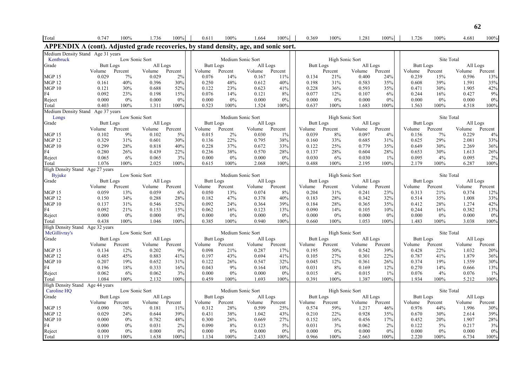| Total                                                                                | 0.747                      | 100%           | 1.736           | 100%           | 0.611                      | 100%              | 1.664                      | 100%           | 0.369                      | 100%            | 1.281              | 100%           | 1.726                      | 100%           | 4.681                      | 100%           |
|--------------------------------------------------------------------------------------|----------------------------|----------------|-----------------|----------------|----------------------------|-------------------|----------------------------|----------------|----------------------------|-----------------|--------------------|----------------|----------------------------|----------------|----------------------------|----------------|
| APPENDIX A (cont). Adjusted grade recoveries, by stand density, age, and sonic sort. |                            |                |                 |                |                            |                   |                            |                |                            |                 |                    |                |                            |                |                            |                |
| Medium Density Stand Age 31 years<br>Kentbruck                                       |                            | Low Sonic Sort |                 |                |                            |                   | Medium Sonic Sort          |                |                            | High Sonic Sort |                    |                |                            |                | Site Total                 |                |
| Grade                                                                                | <b>Butt Logs</b>           |                | All Logs        |                | <b>Butt Logs</b>           |                   | All Logs                   |                | <b>Butt Logs</b>           |                 | All Logs           |                | <b>Butt Logs</b>           |                | All Logs                   |                |
|                                                                                      | Volume                     | Percent        | Volume Percent  |                | Volume                     | Percent           | Volume Percent             |                |                            | Percent         | Volume             | Percent        | Volume                     | Percent        | Volume                     | Percent        |
| <b>MGP 15</b>                                                                        | 0.029                      | 7%             | 0.029           | 2%             | 0.076                      | 14%               | 0.167                      | 11%            | 0.134                      | 21%             | 0.400              | 24%            | 0.239                      | 15%            | 0.596                      | 13%            |
| <b>MGP 12</b>                                                                        | 0.161                      | 40%            | 0.396           | 30%            | 0.250                      | 48%               | 0.612                      | 40%            | 0.198                      | 31%             | 0.583              | 35%            | 0.608                      | 39%            | 1.591                      | 35%            |
| MGP10                                                                                | 0.121                      | 30%            | 0.688           | 52%            | 0.122                      | 23%               | 0.623                      | 41%            | 0.228                      | 36%             | 0.593              | 35%            | 0.471                      | 30%            | 1.905                      | 42%            |
| F4                                                                                   | 0.092                      | 23%<br>$0\%$   | 0.198           | 15%            | 0.076                      | 14%<br>0%         | 0.121                      | 8%             | 0.077                      | 12%             | 0.107              | 6%<br>0%       | 0.244<br>0.000             | 16%            | 0.427                      | 9%             |
| Reject<br>Total                                                                      | 0.000<br>0.403             | 100%           | 0.000<br>1.311  | $0\%$<br>100%  | 0.000<br>0.523             | 100%              | 0.000<br>1.524             | 0%<br>100%     | 0.000<br>0.637             | $0\%$<br>100%   | 0.000<br>1.683     | 100%           | 1.563                      | 0%<br>100%     | 0.000<br>4.518             | $0\%$<br>100%  |
| Medium Density Stand Age 37 years                                                    |                            |                |                 |                |                            |                   |                            |                |                            |                 |                    |                |                            |                |                            |                |
| Longs                                                                                |                            | Low Sonic Sort |                 |                |                            | Medium Sonic Sort |                            |                |                            | High Sonic Sort |                    |                |                            | Site Total     |                            |                |
| Grade                                                                                | <b>Butt Logs</b>           |                | All Logs        |                | <b>Butt Logs</b>           |                   | All Logs                   |                | <b>Butt Logs</b>           |                 | All Logs           |                | <b>Butt Logs</b>           |                | All Logs                   |                |
|                                                                                      | Volume                     | Percent        | Volume Percent  |                | Volume                     | Percent           | Volume Percent             |                | Volume                     | Percent         | Volume             | Percent        | Volume                     | Percent        | Volume Percent             |                |
| <b>MGP 15</b>                                                                        | 0.102                      | 9%             | 0.102           | $5\%$          | 0.015                      | 2%                | 0.030                      | $1\%$          | 0.039                      | 8%              | 0.097              | 4%             | 0.156                      | 7%             | 0.229                      | 4%             |
| <b>MGP 12</b>                                                                        | 0.329                      | 31%            | 0.601           | 30%            | 0.136                      | 22%               | 0.795                      | 38%            | 0.160                      | 33%             | 0.685              | 31%            | 0.625                      | 29%            | 2.081                      | 33%            |
| MGP10                                                                                | 0.299                      | 28%            | 0.818           | 40%            | 0.228                      | 37%               | 0.672                      | 33%            | 0.122                      | 25%             | 0.779              | 35%            | 0.649                      | 30%            | 2.269                      | 36%            |
| F4                                                                                   | 0.280                      | 26%            | 0.439           | 22%            | 0.236                      | 38%               | 0.570                      | 28%            | 0.137                      | 28%             | 0.604              | 28%            | 0.653                      | 30%            | 1.613                      | 26%            |
| Reject                                                                               | 0.065                      | 6%             | 0.065           | 3%             | 0.000                      | 0%                | 0.000                      | 0%             | 0.030                      | 6%              | 0.030              | 1%             | 0.095                      | 4%             | 0.095                      | 2%             |
| Total                                                                                | 1.076                      | 100%           | 2.025           | $100\%$        | 0.615                      | 100%              | 2.068                      | 100%           | 0.488                      | 100%            | 2.195              | 100%           | 2.179                      | 100%           | 6.287                      | 100%           |
| High Density Stand Age 27 years                                                      |                            | Low Sonic Sort |                 |                |                            | Medium Sonic Sort |                            |                |                            | High Sonic Sort |                    |                |                            | Site Total     |                            |                |
| <b>Byjuke</b><br>Grade                                                               | <b>Butt Logs</b>           |                | All Logs        |                | <b>Butt Logs</b>           |                   | All Logs                   |                | <b>Butt Logs</b>           |                 | All Logs           |                | <b>Butt Logs</b>           |                | All Logs                   |                |
|                                                                                      | Volume                     | Percent        | Volume          | Percent        | Volume                     | Percent           | Volume Percent             |                | Volume                     | Percent         | Volume             | Percent        | Volume                     | Percent        | Volume                     | Percent        |
| <b>MGP 15</b>                                                                        | 0.059                      | 13%            | 0.059           | 6%             | 0.050                      | 13%               | 0.074                      | 8%             | 0.204                      | 31%             | 0.241              | 23%            | 0.313                      | 21%            | 0.374                      | 12%            |
| <b>MGP 12</b>                                                                        | 0.150                      | 34%            | 0.288           | 28%            | 0.182                      | 47%               | 0.378                      | 40%            | 0.183                      | 28%             | 0.342              | 32%            | 0.514                      | 35%            | 1.008                      | 33%            |
| MGP10                                                                                | 0.137                      | 31%            | 0.546           | 52%            | 0.092                      | 24%               | 0.364                      | 39%            | 0.184                      | 28%             | 0.365              | 35%            | 0.412                      | 28%            | 1.274                      | 42%            |
| F4                                                                                   | 0.092                      | 21%            | 0.153           | 15%            | 0.062                      | 16%               | 0.123                      | 13%            | 0.090                      | 14%             | 0.105              | 10%            | 0.244                      | 16%            | 0.382                      | 13%            |
| Reject                                                                               | 0.000                      | $0\%$          | 0.000           | $0\%$          | 0.000                      | $0\%$             | 0.000                      | 0%             | 0.000                      | $0\%$           | 0.000              | 0%             | 0.000                      | 0%             | 0.000                      | $0\%$          |
| Total                                                                                | 0.438                      | 100%           | 1.046           | 100%           | 0.385                      | 100%              | 0.940                      | 100%           | 0.660                      | 100%            | 1.053              | 100%           | 1.483                      | 100%           | 3.038                      | 100%           |
| High Density Stand Age 32 years                                                      |                            |                |                 |                |                            |                   |                            |                |                            |                 |                    |                |                            |                |                            |                |
| McGillivray's                                                                        |                            | Low Sonic Sort | All Logs        |                |                            | Medium Sonic Sort |                            |                |                            | High Sonic Sort |                    |                |                            | Site Total     |                            |                |
| Grade                                                                                | <b>Butt Logs</b><br>Volume | Percent        | Volume          | Percent        | <b>Butt Logs</b><br>Volume | Percent           | All Logs<br>Volume Percent |                | <b>Butt Logs</b><br>Volume | Percent         | All Logs<br>Volume | Percent        | <b>Butt Logs</b><br>Volume | Percent        | All Logs<br>Volume Percent |                |
| <b>MGP 15</b>                                                                        | 0.134                      | 12%            | 0.202           | 9%             | 0.098                      | 21%               | 0.287                      | 17%            | 0.195                      | 50%             | 0.542              | 39%            | 0.428                      | 22%            | 1.032                      | 20%            |
| <b>MGP 12</b>                                                                        | 0.485                      | 45%            | 0.883           | 41%            | 0.197                      | 43%               | 0.694                      | 41%            | 0.105                      | 27%             | 0.301              | 22%            | 0.787                      | 41%            | 1.879                      | 36%            |
| MGP10                                                                                | 0.207                      | 19%            | 0.652           | 31%            | 0.122                      | 26%               | 0.547                      | 32%            | 0.045                      | 12%             | 0.361              | 26%            | 0.374                      | 19%            | 1.559                      | 30%            |
| F4                                                                                   | 0.196                      | 18%            | 0.333           | 16%            | 0.043                      | 9%                | 0.164                      | 10%            | 0.031                      | 8%              | 0.169              | 12%            | 0.270                      | 14%            | 0.666                      | 13%            |
| Reject                                                                               | 0.062                      | 6%             | 0.062           | 3%             | 0.000                      | $0\%$             | 0.000                      | 0%             | 0.015                      | 4%              | 0.015              | 1%             | $0.076\,$                  | 4%             | 0.076                      | 1%             |
| Total                                                                                | 1.084                      | 100%           | 2.132           | 100%           | 0.459                      | 100%              | 1.693                      | 100%           | 0.391                      | 100%            | 1.387              | 100%           | 1.934                      | 100%           | 5.212                      | 100%           |
| High Density Stand Age 44 years                                                      |                            |                |                 |                |                            |                   |                            |                |                            |                 |                    |                |                            |                |                            |                |
| Caroline HQ                                                                          |                            |                | Low Sonic Sort  |                |                            |                   | Medium Sonic Sort          |                |                            | High Sonic Sort |                    |                |                            | Site Total     |                            |                |
| Grade                                                                                | <b>Butt Logs</b>           |                | All Logs        |                | <b>Butt Logs</b>           |                   | All Logs                   |                | <b>Butt Logs</b>           |                 | All Logs           |                | <b>Butt Logs</b>           |                | All Logs                   |                |
| <b>MGP 15</b>                                                                        | Volume<br>0.090            | Percent<br>76% | Volume<br>0.181 | Percent<br>11% | Volume<br>0.312            | Percent<br>28%    | Volume<br>0.599            | Percent<br>25% | Volume<br>0.574            | Percent<br>59%  | Volume<br>1.217    | Percent<br>46% | Volume<br>0.976            | Percent<br>44% | Volume<br>1.996            | Percent<br>30% |
| <b>MGP 12</b>                                                                        | 0.029                      | 24%            | 0.644           | 39%            | 0.431                      | 38%               | 1.042                      | 43%            | 0.210                      | 22%             | 0.928              | 35%            | 0.670                      | 30%            | 2.614                      | 39%            |
| <b>MGP 10</b>                                                                        | 0.000                      | $0\%$          | 0.782           | 48%            | 0.300                      | 26%               | 0.669                      | 27%            | 0.152                      | 16%             | 0.456              | 17%            | 0.452                      | 20%            | 1.907                      | 28%            |
| F4                                                                                   | 0.000                      | $0\%$          | 0.031           | $2\%$          | 0.090                      | 8%                | 0.123                      | 5%             | 0.031                      | 3%              | 0.062              | 2%             | 0.122                      | 5%             | 0.217                      | 3%             |
| Reject                                                                               | 0.000                      | $0\%$          | 0.000           | $0\%$          | 0.000                      | $0\%$             | 0.000                      | 0%             | 0.000                      | 0%              | 0.000              | $0\%$          | 0.000                      | $0\%$          | 0.000                      | $0\%$          |
| Total                                                                                | 0.119                      | 100%           | 1.638           | 100%           | 1.134                      | 100%              | 2.433                      | 100%           | 0.966                      | 100%            | 2.663              | 100%           | 2.220                      | 100%           | 6.734                      | 100%           |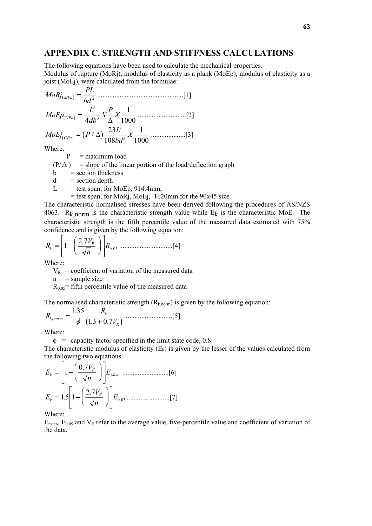# **APPENDIX C. STRENGTH AND STIFFNESS CALCULATIONS**

The following equations have been used to calculate the mechanical properties. Modulus of rupture (MoRj), modulus of elasticity as a plank (MoEp), modulus of elasticity as a joist (MoEj), were calculated from the formulae:

( ) <sup>2</sup> *bd PL MoRj MPa* <sup>=</sup> ..................................................[1] *MoEp*( ) *L db X P GPa* = *X* 3 <sup>3</sup> 4 1 <sup>∆</sup> <sup>1000</sup> ............................[2] ( ) *MoEj P*( ) *<sup>L</sup> bd GPa* <sup>=</sup> / <sup>∆</sup> *<sup>X</sup>* <sup>23</sup> 108 1 1000 3 <sup>3</sup> ....................[3]

Where:

 $P =$  maximum load

 $(P/\Delta)$  = slope of the linear portion of the load/deflection graph

 $b = section$  thickness

 $d =$  section depth

 $L =$  test span, for MoEp, 914.4mm,

 $=$  test span, for MoRj, MoEj, 1620mm for the 90x45 size

The characteristic normalised stresses have been derived following the procedures of AS/NZS 4063. R<sub>k,norm</sub> is the characteristic strength value while  $E_k$  is the characteristic MoE. The characteristic strength is the fifth percentile value of the measured data estimated with 75% confidence and is given by the following equation:

$$
R_{k} = \left[1 - \left(\frac{2.7V_{R}}{\sqrt{n}}\right)\right] R_{0.05} \dots \dots \dots \dots \dots \dots \dots \dots \dots [4]
$$

Where:

 $V_R$  = coefficient of variation of the measured data

 $n =$ sample size

 $R_{0.05}$ = fifth percentile value of the measured data

The normalised characteristic strength  $(R_{k,norm})$  is given by the following equation:

( ) *<sup>R</sup> <sup>R</sup> V k norm k R* , . . . <sup>=</sup> <sup>+</sup> 1 35 <sup>φ</sup> 13 07 ............................[5]

Where:

 $\phi$  = capacity factor specified in the limit state code, 0.8 The characteristic modulus of elasticity  $(E_k)$  is given by the lesser of the values calculated from the following two equations:

$$
E_k = \left[1 - \left(\frac{0.7V_E}{\sqrt{n}}\right)\right] E_{Mean} \dots (6)
$$
  

$$
E_k = 1.5 \left[1 - \left(\frac{2.7V_E}{\sqrt{n}}\right)\right] E_{0.05} \dots (7)
$$

Where:

 $E_{\text{mean}}$ ,  $E_{0.05}$  and  $V_{E}$  refer to the average value, five-percentile value and coefficient of variation of the data.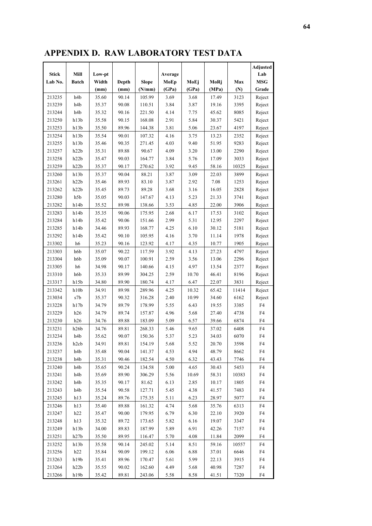# **APPENDIX D. RAW LABORATORY TEST DATA**

|              |                                                   |        |       |              |         |       |       |       | Adjusted   |
|--------------|---------------------------------------------------|--------|-------|--------------|---------|-------|-------|-------|------------|
| <b>Stick</b> | Mill                                              | Low-pt |       |              | Average |       |       |       | Lab        |
| Lab No.      | <b>Batch</b>                                      | Width  | Depth | <b>Slope</b> | MoEp    | MoEj  | MoRj  | Max   | <b>MSG</b> |
|              |                                                   | (mm)   | (mm)  | (N/mm)       | (GPa)   | (GPa) | (MPa) | (N)   | Grade      |
| 213235       | h4b                                               | 35.60  | 90.14 | 105.99       | 3.69    | 3.68  | 17.49 | 3123  | Reject     |
| 213239       | h4b                                               | 35.37  | 90.08 | 110.51       | 3.84    | 3.87  | 19.16 | 3395  | Reject     |
| 213244       | h4b                                               | 35.32  | 90.16 | 221.50       | 4.14    | 7.75  | 45.62 | 8085  | Reject     |
| 213250       | h13b                                              | 35.58  | 90.15 | 168.08       | 2.91    | 5.84  | 30.37 | 5421  | Reject     |
| 213253       | h13b                                              | 35.50  | 89.96 | 144.38       | 3.81    | 5.06  | 23.67 | 4197  | Reject     |
| 213254       | h13b                                              | 35.54  | 90.01 | 107.32       | 4.16    | 3.75  | 13.23 | 2352  | Reject     |
| 213255       | h13b                                              | 35.46  | 90.35 | 271.45       | 4.03    | 9.40  | 51.95 | 9283  | Reject     |
| 213257       | h22b                                              | 35.31  | 89.88 | 90.67        | 4.09    | 3.20  | 13.00 | 2290  | Reject     |
| 213258       | h22b                                              | 35.47  | 90.03 | 164.77       | 3.84    | 5.76  | 17.09 | 3033  | Reject     |
| 213259       | h22b                                              | 35.37  | 90.17 | 270.62       | 3.92    | 9.45  | 58.16 | 10325 | Reject     |
| 213260       | h13b                                              | 35.37  | 90.04 | 88.21        | 3.87    | 3.09  | 22.03 | 3899  | Reject     |
| 213261       | h22b                                              | 35.46  | 89.93 | 83.10        | 3.87    | 2.92  | 7.08  | 1253  | Reject     |
| 213262       | h22b                                              | 35.45  | 89.73 | 89.28        | 3.68    | 3.16  | 16.05 | 2828  | Reject     |
| 213280       | h5b                                               | 35.05  | 90.03 | 147.67       | 4.13    | 5.23  | 21.33 | 3741  | Reject     |
| 213282       | h14b                                              | 35.52  | 89.98 | 138.66       | 3.53    | 4.85  | 22.00 | 3906  | Reject     |
| 213283       | h14b                                              | 35.35  | 90.06 | 175.95       | 2.68    | 6.17  | 17.53 | 3102  | Reject     |
| 213284       | h14b                                              | 35.42  | 90.06 | 151.66       | 2.99    | 5.31  | 12.95 | 2297  | Reject     |
| 213285       | h14b                                              | 34.46  | 89.93 | 168.77       | 4.25    | 6.10  | 30.12 | 5181  | Reject     |
| 213292       | h14b                                              | 35.42  | 90.10 | 105.95       | 4.16    | 3.70  | 11.14 | 1978  | Reject     |
| 213302       | h6                                                | 35.23  | 90.16 | 123.92       | 4.17    | 4.35  | 10.77 | 1905  | Reject     |
| 213303       | h6b                                               | 35.07  | 90.22 | 117.59       | 3.92    | 4.13  | 27.23 | 4797  | Reject     |
| 213304       | h6b                                               | 35.09  | 90.07 | 100.91       | 2.59    | 3.56  | 13.06 | 2296  | Reject     |
| 213305       | h6                                                | 34.98  | 90.17 | 140.66       | 4.15    | 4.97  | 13.54 | 2377  | Reject     |
| 213310       | h6b                                               | 35.33  | 89.99 | 304.25       | 2.59    | 10.70 | 46.41 | 8196  | Reject     |
| 213317       | h15b                                              | 34.80  | 89.90 | 180.74       | 4.17    | 6.47  | 22.07 | 3831  | Reject     |
| 213342       | h10b                                              | 34.91  | 89.98 | 289.96       | 4.25    | 10.32 | 65.42 | 11414 | Reject     |
| 213034       | $\ensuremath{\mathrm{s}}7\ensuremath{\mathrm{b}}$ | 35.37  | 90.32 | 316.28       | 2.40    | 10.99 | 34.60 | 6162  | Reject     |
| 213228       | h17b                                              | 34.79  | 89.79 | 178.99       | 5.55    | 6.43  | 19.55 | 3385  | F4         |
| 213229       | h26                                               | 34.79  | 89.74 | 157.87       | 4.96    | 5.68  | 27.40 | 4738  | F4         |
| 213230       | h26                                               | 34.76  | 89.88 | 183.09       | 5.09    | 6.57  | 39.66 | 6874  | F4         |
| 213231       | h26b                                              | 34.76  | 89.81 | 268.33       | 5.46    | 9.65  | 37.02 | 6408  | F4         |
| 213234       | h4b                                               | 35.62  | 90.07 | 150.36       | 5.37    | 5.23  | 34.03 | 6070  | F4         |
| 213236       | h <sub>2</sub> cb                                 | 34.91  | 89.81 | 154.19       | 5.68    | 5.52  | 20.70 | 3598  | F4         |
| 213237       | h4b                                               | 35.48  | 90.04 | 141.37       | 4.53    | 4.94  | 48.79 | 8662  | F4         |
| 213238       | h4b                                               | 35.31  | 90.46 | 182.54       | 4.50    | 6.32  | 43.43 | 7746  | F4         |
| 213240       | h4b                                               | 35.65  | 90.24 | 134.58       | 5.00    | 4.65  | 30.43 | 5453  | F4         |
| 213241       | h4b                                               | 35.69  | 89.90 | 306.29       | 5.56    | 10.69 | 58.31 | 10383 | F4         |
| 213242       | h4b                                               | 35.35  | 90.17 | 81.62        | 6.13    | 2.85  | 10.17 | 1805  | F4         |
| 213243       | h4b                                               | 35.54  | 90.58 | 127.71       | 5.45    | 4.38  | 41.57 | 7483  | F4         |
| 213245       | h13                                               | 35.24  | 89.76 | 175.35       | 5.11    | 6.23  | 28.97 | 5077  | F4         |
| 213246       | h13                                               | 35.40  | 89.88 | 161.32       | 4.74    | 5.68  | 35.76 | 6313  | F4         |
| 213247       | h22                                               | 35.47  | 90.00 | 179.95       | 6.79    | 6.30  | 22.10 | 3920  | F4         |
| 213248       | h13                                               | 35.32  | 89.72 | 173.65       | 5.82    | 6.16  | 19.07 | 3347  | F4         |
| 213249       | h13b                                              | 34.00  | 89.83 | 187.99       | 5.89    | 6.91  | 42.26 | 7157  | F4         |
| 213251       | h27b                                              | 35.50  | 89.95 | 116.47       | 5.70    | 4.08  | 11.84 | 2099  | F4         |
| 213252       | h13b                                              | 35.58  | 90.14 | 245.02       | 5.14    | 8.51  | 59.16 | 10557 | F4         |
| 213256       | h22                                               | 35.84  | 90.09 | 199.12       | 6.06    | 6.88  | 37.01 | 6646  | F4         |
| 213263       | h19b                                              | 35.41  | 89.96 | 170.47       | 5.61    | 5.99  | 22.13 | 3915  | F4         |
| 213264       | h22b                                              | 35.55  | 90.02 | 162.60       | 4.49    | 5.68  | 40.98 | 7287  | F4         |
| 213266       | h19b                                              | 35.42  | 89.81 | 243.06       | 5.58    | 8.58  | 41.51 | 7320  | F4         |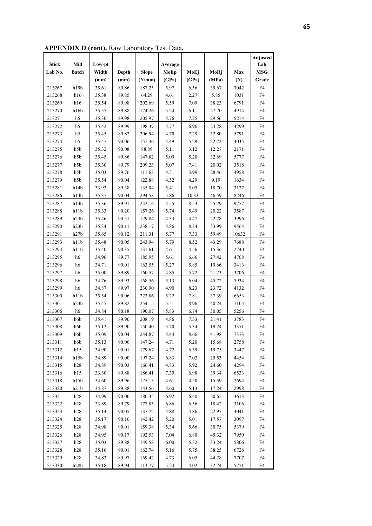**APPENDIX D (cont).** Raw Laboratory Test Data**.** 

|              |              |        |       |              |         |       |       |       | Adjusted   |
|--------------|--------------|--------|-------|--------------|---------|-------|-------|-------|------------|
| <b>Stick</b> | Mill         | Low-pt |       |              | Average |       |       |       | Lab        |
| Lab No.      | <b>Batch</b> | Width  | Depth | <b>Slope</b> | MoEp    | MoEj  | MoRj  | Max   | <b>MSG</b> |
|              |              | (mm)   | (mm)  | (N/mm)       | (GPa)   | (GPa) | (MPa) | (N)   | Grade      |
| 213267       | h19b         | 35.61  | 89.86 | 187.25       | 5.97    | 6.56  | 39.67 | 7042  | F4         |
| 213268       | h16          | 35.38  | 89.85 | 64.29        | 4.61    | 2.27  | 5.85  | 1031  | ${\rm F4}$ |
| 213269       | h16          | 35.54  | 89.98 | 202.69       | 5.59    | 7.09  | 38.23 | 6791  | F4         |
| 213270       | h16b         | 35.57  | 89.88 | 174.26       | 5.24    | 6.11  | 27.70 | 4914  | F4         |
| 213271       | h5           | 35.30  | 89.98 | 205.97       | 5.76    | 7.25  | 29.56 | 5214  | F4         |
| 213272       | h5           | 35.42  | 89.99 | 198.37       | 5.77    | 6.96  | 24.28 | 4299  | F4         |
| 213273       | h5           | 35.45  | 89.82 | 206.94       | 4.70    | 7.29  | 32.80 | 5791  | F4         |
| 213274       | h5           | 35.47  | 90.06 | 151.36       | 4.49    | 5.29  | 22.72 | 4035  | F4         |
| 213275       | h5b          | 35.32  | 90.08 | 88.89        | 5.11    | 3.12  | 12.27 | 2171  | F4         |
| 213276       | h5b          | 35.45  | 89.86 | 147.82       | 5.09    | 5.20  | 32.69 | 5777  | F4         |
| 213277       | h5b          | 35.30  | 89.79 | 209.23       | 5.07    | 7.41  | 20.02 | 3518  | F4         |
| 213278       | h5b          | 35.03  | 89.76 | 111.63       | 4.51    | 3.99  | 28.46 | 4958  | F4         |
| 213279       | h5b          | 35.54  | 90.04 | 122.88       | 4.52    | 4.29  | 9.19  | 1634  | F4         |
| 213281       | h14b         | 33.92  | 89.38 | 135.04       | 5.41    | 5.05  | 18.70 | 3127  | F4         |
| 213286       | h14b         | 35.37  | 90.04 | 294.58       | 5.86    | 10.33 | 46.59 | 8246  | F4         |
| 213287       | h14b         | 35.36  | 89.91 | 242.16       | 4.55    | 8.53  | 55.29 | 9757  | F4         |
| 213288       | h11b         | 35.33  | 90.20 | 157.26       | 5.74    | 5.49  | 20.22 | 3587  | F4         |
| 213289       | h23b         | 35.46  | 90.51 | 129.84       | 4.33    | 4.47  | 22.28 | 3996  | F4         |
| 213290       | h23b         | 35.34  | 90.11 | 238.17       | 5.86    | 8.34  | 53.99 | 9564  | F4         |
| 213291       | h27b         | 35.65  | 90.12 | 211.31       | 5.77    | 7.33  | 59.49 | 10632 | F4         |
| 213293       | h11b         | 35.48  | 90.05 | 243.94       | 5.79    | 8.52  | 43.29 | 7688  | F4         |
| 213294       | h11b         | 35.40  | 90.35 | 131.61       | 4.61    | 4.56  | 15.36 | 2740  | F4         |
| 213295       | h6           | 34.96  | 89.77 | 185.95       | 5.61    | 6.66  | 27.42 | 4768  | F4         |
| 213296       | h6           | 34.71  | 90.01 | 163.55       | 5.27    | 5.85  | 19.66 | 3413  | F4         |
| 213297       | h6           | 35.00  | 89.89 | 160.57       | 4.85    | 5.72  | 21.23 | 3706  | F4         |
| 213298       | h6           | 34.76  | 89.93 | 168.56       | 5.13    | 6.04  | 45.72 | 7934  | F4         |
| 213299       | h6           | 34.87  | 89.97 | 230.90       | 4.90    | 8.23  | 23.72 | 4132  | F4         |
| 213300       | h11b         | 35.54  | 90.06 | 223.86       | 5.22    | 7.81  | 37.39 | 6653  | F4         |
| 213301       | h23b         | 35.45  | 89.82 | 254.15       | 5.51    | 8.96  | 40.24 | 7104  | F4         |
| 213306       | h6           | 34.84  | 90.18 | 190.07       | 5.83    | 6.74  | 30.05 | 5256  | F4         |
| 213307       | h6b          | 35.41  | 89.90 | 208.19       | 4.86    | 7.33  | 21.41 | 3783  | F4         |
| 213308       | h6b          | 35.12  | 89.90 | 150.40       | 5.70    | 5.34  | 19.24 | 3371  | F4         |
| 213309       | h6b          | 35.09  | 90.04 | 244.87       | 5.44    | 8.66  | 41.98 | 7373  | F4         |
| 213311       | h6b          | 35.13  | 90.06 | 147.24       | 4.71    | 5.20  | 15.68 | 2758  | F4         |
| 213312       | h15          | 34.90  | 90.01 | 179.67       | 4.72    | 6.39  | 19.75 | 3447  | F4         |
| 213314       | h15b         | 34.89  | 90.00 | 197.24       | 6.83    | 7.02  | 25.53 | 4454  | F4         |
| 213315       | h28          | 34.89  | 90.03 | 166.41       | 4.83    | 5.92  | 24.60 | 4294  | F4         |
| 213316       | h15          | 33.30  | 89.88 | 186.41       | 7.30    | 6.98  | 39.34 | 6533  | F4         |
| 213318       | h15b         | 34.60  | 89.96 | 125.13       | 4.61    | 4.50  | 15.59 | 2694  | F4         |
| 213320       | h21b         | 34.87  | 89.88 | 143.56       | 5.60    | 5.13  | 17.24 | 2998  | F4         |
| 213321       | h28          | 34.99  | 90.00 | 180.35       | 6.92    | 6.40  | 20.65 | 3613  | F4         |
| 213322       | h28          | 33.89  | 89.79 | 177.85       | 6.86    | 6.56  | 18.42 | 3106  | F4         |
| 213323       | h28          | 35.14  | 90.05 | 137.72       | 4.88    | 4.86  | 22.97 | 4041  | F4         |
| 213324       | h28          | 35.17  | 90.10 | 142.42       | 5.20    | 5.01  | 17.57 | 3097  | F4         |
| 213325       | h28          | 34.98  | 90.01 | 159.38       | 5.34    | 5.66  | 30.75 | 5379  | F4         |
| 213326       | h28          | 34.95  | 90.17 | 192.53       | 7.04    | 6.80  | 45.32 | 7950  | F4         |
| 213327       | h28          | 35.03  | 89.88 | 149.58       | 6.00    | 5.32  | 33.24 | 5806  | F4         |
| 213328       | h28          | 35.16  | 90.01 | 162.74       | 5.16    | 5.75  | 38.25 | 6726  | F4         |
| 213329       | h28          | 34.83  | 89.97 | 169.42       | 4.73    | 6.05  | 44.28 | 7707  | F4         |
| 213330       | h28b         | 35.18  | 89.94 | 113.77       | 5.24    | 4.02  | 32.74 | 5751  | F4         |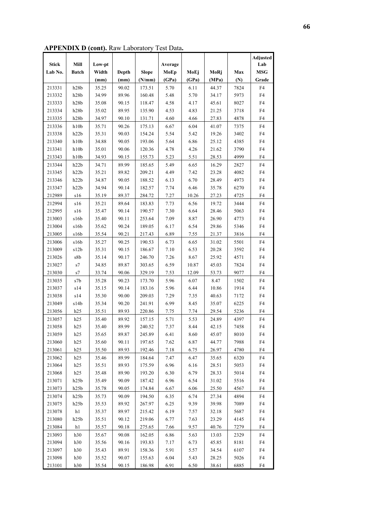**APPENDIX D (cont).** Raw Laboratory Test Data**.** 

|              |                            |        |       |              |         |       |       |      | Adjusted   |
|--------------|----------------------------|--------|-------|--------------|---------|-------|-------|------|------------|
| <b>Stick</b> | Mill                       | Low-pt |       |              | Average |       |       |      | Lab        |
| Lab No.      | <b>Batch</b>               | Width  | Depth | <b>Slope</b> | MoEp    | MoEj  | MoRj  | Max  | <b>MSG</b> |
|              |                            | (mm)   | (mm)  | (N/mm)       | (GPa)   | (GPa) | (MPa) | (N)  | Grade      |
| 213331       | h28b                       | 35.25  | 90.02 | 173.51       | 5.70    | 6.11  | 44.37 | 7824 | F4         |
| 213332       | h28b                       | 34.99  | 89.96 | 160.48       | 5.48    | 5.70  | 34.17 | 5973 | ${\rm F4}$ |
| 213333       | h28b                       | 35.08  | 90.15 | 118.47       | 4.58    | 4.17  | 45.61 | 8027 | F4         |
| 213334       | h28b                       | 35.02  | 89.95 | 135.90       | 4.53    | 4.83  | 21.25 | 3718 | F4         |
| 213335       | h28b                       | 34.97  | 90.10 | 131.71       | 4.60    | 4.66  | 27.83 | 4878 | F4         |
| 213336       | h10b                       | 35.71  | 90.26 | 175.13       | 6.67    | 6.04  | 41.07 | 7375 | F4         |
| 213338       | h22b                       | 35.31  | 90.03 | 154.24       | 5.54    | 5.42  | 19.26 | 3402 | F4         |
| 213340       | h10b                       | 34.88  | 90.05 | 193.06       | 5.64    | 6.86  | 25.12 | 4385 | F4         |
| 213341       | h10b                       | 35.01  | 90.06 | 120.36       | 4.78    | 4.26  | 21.62 | 3790 | F4         |
| 213343       | h10b                       | 34.93  | 90.15 | 155.73       | 5.23    | 5.51  | 28.53 | 4999 | F4         |
| 213344       | h22b                       | 34.71  | 89.99 | 185.65       | 5.49    | 6.65  | 16.29 | 2827 | F4         |
| 213345       | h22b                       | 35.21  | 89.82 | 209.21       | 4.49    | 7.42  | 23.28 | 4082 | F4         |
| 213346       | h22b                       | 34.87  | 90.05 | 188.52       | 6.13    | 6.70  | 28.49 | 4973 | F4         |
| 213347       | h22b                       | 34.94  | 90.14 | 182.57       | 7.74    | 6.46  | 35.78 | 6270 | F4         |
| 212989       | s16                        | 35.19  | 89.37 | 284.72       | 7.27    | 10.26 | 27.23 | 4725 | F4         |
| 212994       | s16                        | 35.21  | 89.64 | 183.83       | 7.73    | 6.56  | 19.72 | 3444 | F4         |
| 212995       | $\sqrt{s}16$               | 35.47  | 90.14 | 190.57       | 7.30    | 6.64  | 28.46 | 5063 | F4         |
| 213003       | s16b                       | 35.40  | 90.11 | 253.64       | 7.09    | 8.87  | 26.90 | 4773 | F4         |
| 213004       | s16b                       | 35.62  | 90.24 | 189.05       | 6.17    | 6.54  | 29.86 | 5346 | F4         |
| 213005       | s16b                       | 35.54  | 90.21 | 217.43       | 6.89    | 7.55  | 21.37 | 3816 | F4         |
| 213006       | s16b                       | 35.27  | 90.25 | 190.53       | 6.73    | 6.65  | 31.02 | 5501 | F4         |
| 213009       | s12b                       | 35.31  | 90.15 | 186.67       | 7.10    | 6.53  | 20.28 | 3592 | F4         |
| 213026       | $\sqrt{s}$                 | 35.14  | 90.17 | 246.70       | 7.26    | 8.67  | 25.92 | 4571 | F4         |
| 213027       | $\ensuremath{\mathrm{s}}7$ | 34.85  | 89.87 | 303.65       | 6.59    | 10.87 | 45.03 | 7824 | F4         |
| 213030       | $\ensuremath{\mathrm{s}}7$ | 33.74  | 90.06 | 329.19       | 7.53    | 12.09 | 53.73 | 9077 | F4         |
| 213035       | s7b                        | 35.28  | 90.23 | 173.70       | 5.96    | 6.07  | 8.47  | 1502 | F4         |
| 213037       | s14                        | 35.15  | 90.14 | 183.16       | 5.96    | 6.44  | 10.86 | 1914 | F4         |
| 213038       | s14                        | 35.30  | 90.00 | 209.03       | 7.29    | 7.35  | 40.63 | 7172 | F4         |
| 213049       | s14b                       | 35.34  | 90.20 | 241.91       | 6.99    | 8.45  | 35.07 | 6225 | F4         |
| 213056       | h25                        | 35.51  | 89.93 | 220.86       | 7.75    | 7.74  | 29.54 | 5236 | F4         |
| 213057       | h25                        | 35.40  | 89.92 | 157.15       | 5.71    | 5.53  | 24.89 | 4397 | F4         |
| 213058       | h25                        | 35.40  | 89.99 | 240.52       | 7.37    | 8.44  | 42.15 | 7458 | F4         |
| 213059       | h25                        | 35.65  | 89.87 | 245.89       | 6.41    | 8.60  | 45.07 | 8010 | F4         |
| 213060       | h25                        | 35.60  | 90.11 | 197.65       | 7.62    | 6.87  | 44.77 | 7988 | F4         |
| 213061       | h25                        | 35.50  | 89.93 | 192.46       | 7.18    | 6.75  | 26.97 | 4780 | F4         |
| 213062       | h25                        | 35.46  | 89.99 | 184.64       | 7.47    | 6.47  | 35.65 | 6320 | F4         |
| 213064       | h25                        | 35.51  | 89.93 | 175.59       | 6.96    | 6.16  | 28.51 | 5053 | F4         |
| 213068       | h25                        | 35.48  | 89.90 | 193.20       | 6.30    | 6.79  | 28.33 | 5014 | F4         |
| 213071       | h25b                       | 35.49  | 90.09 | 187.42       | 6.96    | 6.54  | 31.02 | 5516 | F4         |
| 213073       | h25b                       | 35.78  | 90.05 | 174.84       | 6.67    | 6.06  | 25.50 | 4567 | F4         |
| 213074       | h25b                       | 35.73  | 90.09 | 194.50       | 6.35    | 6.74  | 27.34 | 4894 | F4         |
| 213075       | h25b                       | 35.53  | 89.92 | 267.97       | 6.25    | 9.39  | 39.98 | 7089 | F4         |
| 213078       | h1                         | 35.37  | 89.97 | 215.42       | 6.19    | 7.57  | 32.18 | 5687 | F4         |
| 213080       | h25b                       | 35.51  | 90.12 | 219.06       | 6.77    | 7.63  | 23.29 | 4145 | F4         |
| 213084       | h1                         | 35.57  | 90.18 | 275.65       | 7.66    | 9.57  | 40.76 | 7279 | F4         |
| 213093       | h30                        | 35.67  | 90.08 | 162.05       | 6.86    | 5.63  | 13.03 | 2329 | F4         |
| 213094       | h30                        | 35.56  | 90.16 | 193.83       | 7.17    | 6.73  | 45.85 | 8181 | F4         |
| 213097       | h30                        | 35.43  | 89.91 | 158.36       | 5.91    | 5.57  | 34.54 | 6107 | F4         |
| 213098       | h30                        | 35.52  | 90.07 | 155.63       | 6.04    | 5.43  | 28.25 | 5026 | F4         |
| 213101       | h30                        | 35.54  | 90.15 | 186.98       | 6.91    | 6.50  | 38.61 | 6885 | F4         |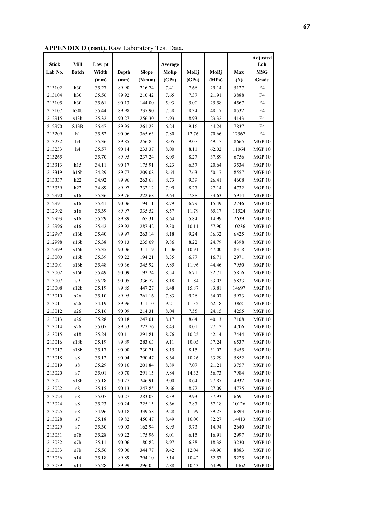**APPENDIX D (cont).** Raw Laboratory Test Data**.** 

|              |                                                  |        |       |              |          |       |       |       | Adjusted      |
|--------------|--------------------------------------------------|--------|-------|--------------|----------|-------|-------|-------|---------------|
| <b>Stick</b> | Mill                                             | Low-pt |       |              | Average  |       |       |       | Lab           |
| Lab No.      | <b>Batch</b>                                     | Width  | Depth | <b>Slope</b> | MoEp     | MoEj  | MoRj  | Max   | <b>MSG</b>    |
|              |                                                  | (mm)   | (mm)  | (N/mm)       | (GPa)    | (GPa) | (MPa) | (N)   | Grade         |
| 213102       | h30                                              | 35.27  | 89.90 | 216.74       | 7.41     | 7.66  | 29.14 | 5127  | F4            |
| 213104       | h30                                              | 35.56  | 89.92 | 210.42       | 7.65     | 7.37  | 21.91 | 3888  | F4            |
| 213105       | h30                                              | 35.61  | 90.13 | 144.00       | 5.93     | 5.00  | 25.58 | 4567  | ${\rm F4}$    |
| 213107       | h30b                                             | 35.44  | 89.98 | 237.90       | 7.58     | 8.34  | 48.17 | 8532  | F4            |
| 212915       | s13b                                             | 35.32  | 90.27 | 256.30       | 4.93     | 8.93  | 23.32 | 4143  | F4            |
| 212970       | S13B                                             | 35.47  | 89.95 | 261.23       | 6.24     | 9.16  | 44.24 | 7837  | F4            |
| 213209       | h1                                               | 35.52  | 90.06 | 365.63       | $7.80\,$ | 12.76 | 70.66 | 12567 | ${\rm F4}$    |
| 213232       | h4                                               | 35.36  | 89.85 | 256.85       | 8.05     | 9.07  | 49.17 | 8665  | MGP10         |
| 213233       | h4                                               | 35.57  | 90.14 | 233.37       | 8.00     | 8.11  | 62.02 | 11064 | MGP 10        |
| 213265       |                                                  | 35.70  | 89.95 | 237.24       | 8.05     | 8.27  | 37.89 | 6756  | MGP 10        |
| 213313       | h15                                              | 34.11  | 90.17 | 175.91       | 8.23     | 6.37  | 20.64 | 3534  | MGP10         |
| 213319       | h15b                                             | 34.29  | 89.77 | 209.08       | 8.64     | 7.63  | 50.17 | 8557  | MGP 10        |
| 213337       | h22                                              | 34.92  | 89.96 | 263.68       | 8.73     | 9.39  | 26.41 | 4608  | MGP 10        |
| 213339       | h22                                              | 34.89  | 89.97 | 232.12       | 7.99     | 8.27  | 27.14 | 4732  | MGP 10        |
| 212990       | s16                                              | 35.36  | 89.76 | 222.68       | 9.63     | 7.88  | 33.63 | 5914  | <b>MGP 10</b> |
| 212991       | s16                                              | 35.41  | 90.06 | 194.11       | 8.79     | 6.79  | 15.49 | 2746  | MGP 10        |
| 212992       | $\sqrt{516}$                                     | 35.39  | 89.97 | 335.52       | 8.57     | 11.79 | 65.17 | 11524 | MGP 10        |
| 212993       | s16                                              | 35.29  | 89.89 | 165.31       | 8.64     | 5.84  | 14.99 | 2639  | MGP 10        |
| 212996       | s16                                              | 35.42  | 89.92 | 287.42       | 9.30     | 10.11 | 57.90 | 10236 | MGP 10        |
| 212997       | s16b                                             | 35.40  | 89.97 | 263.14       | 8.18     | 9.24  | 36.32 | 6425  | MGP 10        |
| 212998       | s16b                                             | 35.38  | 90.13 | 235.09       | 9.86     | 8.22  | 24.79 | 4398  | MGP10         |
| 212999       | s16b                                             | 35.35  | 90.06 | 311.19       | 11.06    | 10.91 | 47.00 | 8318  | MGP 10        |
| 213000       | s16b                                             | 35.39  | 90.22 | 194.21       | 8.35     | 6.77  | 16.71 | 2971  | MGP10         |
| 213001       | s16b                                             | 35.48  | 90.36 | 345.92       | 9.85     | 11.96 | 44.46 | 7950  | MGP10         |
| 213002       | s16b                                             | 35.49  | 90.09 | 192.24       | 8.54     | 6.71  | 32.71 | 5816  | MGP 10        |
| 213007       | $\ensuremath{\mathrm{s}}\ensuremath{\mathbf{9}}$ | 35.28  | 90.05 | 336.77       | 8.18     | 11.84 | 33.03 | 5833  | MGP 10        |
| 213008       | s12b                                             | 35.19  | 89.85 | 447.27       | 8.48     | 15.87 | 83.81 | 14697 | MGP 10        |
| 213010       | s26                                              | 35.10  | 89.95 | 261.16       | 7.83     | 9.26  | 34.07 | 5973  | MGP 10        |
| 213011       | s26                                              | 34.19  | 89.96 | 311.10       | 9.21     | 11.32 | 62.18 | 10621 | MGP 10        |
| 213012       | $\pm 26$                                         | 35.16  | 90.09 | 214.31       | 8.04     | 7.55  | 24.15 | 4255  | <b>MGP 10</b> |
| 213013       | $\pm 26$                                         | 35.28  | 90.18 | 247.01       | 8.17     | 8.64  | 40.13 | 7108  | MGP 10        |
| 213014       | s26                                              | 35.07  | 89.53 | 222.76       | 8.43     | 8.01  | 27.12 | 4706  | <b>MGP 10</b> |
| 213015       | s18                                              | 35.24  | 90.11 | 291.81       | 8.76     | 10.25 | 42.14 | 7444  | MGP10         |
| 213016       | s18b                                             | 35.19  | 89.89 | 283.63       | 9.11     | 10.05 | 37.24 | 6537  | <b>MGP 10</b> |
| 213017       | s18b                                             | 35.17  | 90.00 | 230.71       | 8.15     | 8.15  | 31.02 | 5455  | $MGP10$       |
| 213018       | ${\rm s}8$                                       | 35.12  | 90.04 | 290.47       | 8.64     | 10.26 | 33.29 | 5852  | MGP 10        |
| 213019       | ${\rm s}8$                                       | 35.29  | 90.16 | 201.84       | 8.89     | 7.07  | 21.21 | 3757  | <b>MGP 10</b> |
| 213020       | $\ensuremath{\mathrm{s}}7$                       | 35.01  | 80.70 | 291.15       | 9.84     | 14.33 | 56.73 | 7984  | MGP 10        |
| 213021       | s18b                                             | 35.18  | 90.27 | 246.91       | 9.00     | 8.64  | 27.87 | 4932  | MGP10         |
| 213022       | s8                                               | 35.15  | 90.13 | 247.85       | 9.66     | 8.72  | 27.09 | 4775  | <b>MGP 10</b> |
| 213023       | s8                                               | 35.07  | 90.27 | 283.03       | 8.39     | 9.93  | 37.93 | 6691  | MGP 10        |
| 213024       | ${\rm s}8$                                       | 35.23  | 90.24 | 225.15       | 8.66     | 7.87  | 57.18 | 10126 | MGP 10        |
| 213025       | ${\rm s}8$                                       | 34.96  | 90.18 | 339.58       | 9.28     | 11.99 | 39.27 | 6893  | MGP10         |
| 213028       | $\ensuremath{\mathrm{s}}7$                       | 35.18  | 89.82 | 450.47       | 8.49     | 16.00 | 82.27 | 14413 | <b>MGP 10</b> |
| 213029       | $\ensuremath{\mathrm{s}}7$                       | 35.30  | 90.03 | 162.94       | 8.95     | 5.73  | 14.94 | 2640  | MGP 10        |
| 213031       | s7b                                              | 35.28  | 90.22 | 175.96       | 8.01     | 6.15  | 16.91 | 2997  | MGP 10        |
| 213032       | s7b                                              | 35.11  | 90.06 | 180.82       | 8.97     | 6.38  | 18.38 | 3230  | <b>MGP 10</b> |
| 213033       | s7b                                              | 35.56  | 90.00 | 344.77       | 9.42     | 12.04 | 49.96 | 8883  | <b>MGP 10</b> |
| 213036       | s14                                              | 35.18  | 89.89 | 294.10       | 9.14     | 10.42 | 52.57 | 9225  | MGP10         |
| 213039       | s14                                              | 35.28  | 89.99 | 296.05       | 7.88     | 10.43 | 64.99 | 11462 | MGP 10        |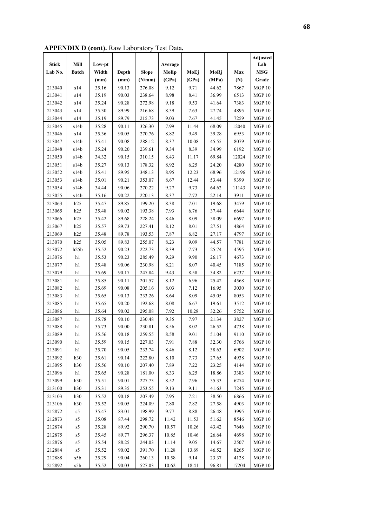**APPENDIX D (cont).** Raw Laboratory Test Data**.** 

|              |              |        |       |              |         |          |       |       | Adjusted      |
|--------------|--------------|--------|-------|--------------|---------|----------|-------|-------|---------------|
| <b>Stick</b> | Mill         | Low-pt |       |              | Average |          |       |       | Lab           |
| Lab No.      | <b>Batch</b> | Width  | Depth | <b>Slope</b> | MoEp    | MoEj     | MoRj  | Max   | <b>MSG</b>    |
|              |              | (mm)   | (mm)  | (N/mm)       | (GPa)   | (GPa)    | (MPa) | (N)   | Grade         |
| 213040       | s14          | 35.16  | 90.13 | 276.08       | 9.12    | 9.71     | 44.62 | 7867  | MGP10         |
| 213041       | s14          | 35.19  | 90.03 | 238.64       | 8.98    | 8.41     | 36.99 | 6513  | MGP10         |
| 213042       | s14          | 35.24  | 90.28 | 272.98       | 9.18    | 9.53     | 41.64 | 7383  | MGP10         |
| 213043       | s14          | 35.30  | 89.99 | 216.68       | 8.39    | 7.63     | 27.74 | 4895  | <b>MGP 10</b> |
| 213044       | s14          | 35.19  | 89.79 | 215.73       | 9.03    | 7.67     | 41.45 | 7259  | $\rm MGP$ 10  |
| 213045       | s14b         | 35.28  | 90.11 | 326.30       | 7.99    | 11.44    | 68.09 | 12040 | <b>MGP 10</b> |
| 213046       | s14          | 35.36  | 90.05 | 270.76       | 8.82    | 9.49     | 39.28 | 6953  | <b>MGP10</b>  |
| 213047       | s14b         | 35.41  | 90.08 | 288.12       | 8.37    | 10.08    | 45.55 | 8079  | <b>MGP 10</b> |
| 213048       | s14b         | 35.24  | 90.20 | 239.61       | 9.34    | 8.39     | 34.99 | 6192  | MGP 10        |
| 213050       | s14b         | 34.32  | 90.15 | 310.15       | 8.43    | 11.17    | 69.84 | 12024 | <b>MGP 10</b> |
| 213051       | s14b         | 35.27  | 90.13 | 178.32       | 8.92    | 6.25     | 24.20 | 4280  | <b>MGP 10</b> |
| 213052       | s14b         | 35.41  | 89.95 | 348.13       | 8.95    | 12.23    | 68.96 | 12196 | MGP 10        |
| 213053       | s14b         | 35.01  | 90.21 | 353.07       | 8.67    | 12.44    | 53.44 | 9399  | <b>MGP 10</b> |
| 213054       | s14b         | 34.44  | 90.06 | 270.22       | 9.27    | 9.73     | 64.62 | 11143 | <b>MGP 10</b> |
| 213055       | s14b         | 35.16  | 90.22 | 220.13       | 8.37    | 7.72     | 22.14 | 3911  | <b>MGP 10</b> |
| 213063       | h25          | 35.47  | 89.85 | 199.20       | 8.38    | 7.01     | 19.68 | 3479  | MGP 10        |
| 213065       | h25          | 35.48  | 90.02 | 193.38       | 7.93    | 6.76     | 37.44 | 6644  | MGP 10        |
| 213066       | h25          | 35.42  | 89.68 | 228.24       | 8.46    | 8.09     | 38.09 | 6697  | <b>MGP 10</b> |
| 213067       | h25          | 35.57  | 89.73 | 227.41       | 8.12    | 8.01     | 27.51 | 4864  | MGP10         |
| 213069       | h25          | 35.48  | 89.78 | 193.53       | 7.87    | 6.82     | 27.17 | 4797  | MGP 10        |
| 213070       | h25          | 35.05  | 89.83 | 255.07       | 8.23    | 9.09     | 44.57 | 7781  | MGP 10        |
| 213072       | h25b         | 35.52  | 90.23 | 222.73       | 8.39    | 7.73     | 25.74 | 4595  | MGP 10        |
| 213076       | $\rm h1$     | 35.53  | 90.23 | 285.49       | 9.29    | 9.90     | 26.17 | 4673  | MGP 10        |
| 213077       | h1           | 35.48  | 90.06 | 230.98       | 8.21    | 8.07     | 40.45 | 7185  | <b>MGP 10</b> |
| 213079       | h1           | 35.69  | 90.17 | 247.84       | 9.43    | 8.58     | 34.82 | 6237  | MGP 10        |
| 213081       | h1           | 35.85  | 90.11 | 201.57       | 8.12    | 6.96     | 25.42 | 4568  | MGP10         |
| 213082       | $\rm h1$     | 35.69  | 90.08 | 205.16       | 8.03    | 7.12     | 16.95 | 3030  | MGP 10        |
| 213083       | h1           | 35.65  | 90.13 | 233.26       | 8.64    | 8.09     | 45.05 | 8053  | MGP10         |
| 213085       | h1           | 35.65  | 90.20 | 192.68       | 8.08    | 6.67     | 19.61 | 3512  | MGP10         |
| 213086       | h1           | 35.64  | 90.02 | 295.08       | 7.92    | 10.28    | 32.26 | 5752  | <b>MGP 10</b> |
| 213087       | h1           | 35.78  | 90.10 | 230.48       | 9.35    | 7.97     | 21.34 | 3827  | MGP10         |
| 213088       | h1           | 35.73  | 90.00 | 230.81       | 8.56    | 8.02     | 26.52 | 4738  | MGP 10        |
| 213089       | h1           | 35.56  | 90.18 | 259.55       | 8.58    | $9.01\,$ | 51.04 | 9110  | $\rm MGP$ 10  |
| 213090       | h1           | 35.59  | 90.15 | 227.03       | 7.91    | 7.88     | 32.30 | 5766  | MGP 10        |
| 213091       | h1           | 35.70  | 90.05 | 233.74       | 8.46    | 8.12     | 38.63 | 6902  | MGP 10        |
| 213092       | h30          | 35.61  | 90.14 | 222.80       | 8.10    | 7.73     | 27.65 | 4938  | <b>MGP 10</b> |
| 213095       | h30          | 35.56  | 90.10 | 207.40       | 7.89    | 7.22     | 23.25 | 4144  | <b>MGP 10</b> |
| 213096       | h1           | 35.65  | 90.28 | 181.00       | 8.33    | 6.25     | 18.86 | 3383  | <b>MGP 10</b> |
| 213099       | h30          | 35.51  | 90.01 | 227.73       | 8.52    | 7.96     | 35.33 | 6274  | <b>MGP 10</b> |
| 213100       | h30          | 35.31  | 89.35 | 253.55       | 9.13    | 9.11     | 41.63 | 7245  | MGP 10        |
|              |              |        |       |              |         |          |       |       | <b>MGP10</b>  |
| 213103       | h30          | 35.52  | 90.18 | 207.49       | 7.95    | 7.21     | 38.50 | 6866  |               |
| 213106       | h30          | 35.52  | 90.05 | 224.09       | 7.80    | 7.82     | 27.58 | 4903  | <b>MGP 10</b> |
| 212872       | ${\rm s}5$   | 35.47  | 83.01 | 198.99       | 9.77    | 8.88     | 26.48 | 3995  | <b>MGP 10</b> |
| 212873       | s5           | 35.08  | 87.44 | 298.72       | 11.42   | 11.53    | 51.62 | 8546  | <b>MGP 10</b> |
| 212874       | s5           | 35.28  | 89.92 | 290.70       | 10.57   | 10.26    | 43.42 | 7646  | MGP10         |
| 212875       | s5           | 35.45  | 89.77 | 296.37       | 10.85   | 10.46    | 26.64 | 4698  | MGP 10        |
| 212876       | s5           | 35.54  | 88.25 | 244.03       | 11.14   | 9.05     | 14.67 | 2507  | MGP10         |
| 212884       | ${\rm s}5$   | 35.52  | 90.02 | 391.70       | 11.28   | 13.69    | 46.52 | 8265  | MGP10         |
| 212888       | s5b          | 35.29  | 90.04 | 260.13       | 10.58   | 9.14     | 23.37 | 4128  | $MGP10$       |
| 212892       | s5b          | 35.52  | 90.03 | 527.03       | 10.62   | 18.41    | 96.81 | 17204 | MGP10         |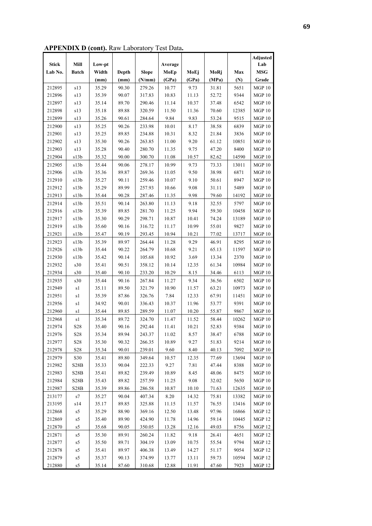**APPENDIX D (cont).** Raw Laboratory Test Data**.** 

|              |                                   |        |       |              |         |       |       |       | <b>Adjusted</b> |
|--------------|-----------------------------------|--------|-------|--------------|---------|-------|-------|-------|-----------------|
| <b>Stick</b> | Mill                              | Low-pt |       |              | Average |       |       |       | Lab             |
| Lab No.      | <b>Batch</b>                      | Width  | Depth | <b>Slope</b> | MoEp    | MoEj  | MoRj  | Max   | <b>MSG</b>      |
|              |                                   | (mm)   | (mm)  | (N/mm)       | (GPa)   | (GPa) | (MPa) | (N)   | Grade           |
| 212895       | s13                               | 35.29  | 90.30 | 279.26       | 10.77   | 9.73  | 31.81 | 5651  | <b>MGP 10</b>   |
| 212896       | s13                               | 35.39  | 90.07 | 317.83       | 10.83   | 11.13 | 52.72 | 9344  | <b>MGP 10</b>   |
| 212897       | $\boldsymbol{\mathrm{s}}13$       | 35.14  | 89.70 | 290.46       | 11.14   | 10.37 | 37.48 | 6542  | MGP10           |
| 212898       | s13                               | 35.18  | 89.88 | 320.59       | 11.50   | 11.36 | 70.60 | 12385 | MGP10           |
| 212899       | s13                               | 35.26  | 90.61 | 284.64       | 9.84    | 9.83  | 53.24 | 9515  | MGP 10          |
| 212900       | s13                               | 35.25  | 90.26 | 233.98       | 10.01   | 8.17  | 38.58 | 6839  | MGP10           |
| 212901       | s13                               | 35.25  | 89.85 | 234.88       | 10.31   | 8.32  | 21.84 | 3836  | MGP10           |
| 212902       | s13                               | 35.30  | 90.26 | 263.85       | 11.00   | 9.20  | 61.12 | 10851 | MGP10           |
| 212903       | s13                               | 35.28  | 90.40 | 280.70       | 11.35   | 9.75  | 47.20 | 8400  | MGP10           |
| 212904       | s13b                              | 35.32  | 90.00 | 300.70       | 11.08   | 10.57 | 82.62 | 14590 | MGP 10          |
| 212905       | s13b                              | 35.44  | 90.06 | 278.17       | 10.99   | 9.73  | 73.33 | 13011 | <b>MGP 10</b>   |
| 212906       | s13b                              | 35.36  | 89.87 | 269.36       | 11.05   | 9.50  | 38.98 | 6871  | MGP 10          |
| 212910       | s13b                              | 35.27  | 90.11 | 259.46       | 10.07   | 9.10  | 50.61 | 8947  | MGP 10          |
| 212912       | s13b                              | 35.29  | 89.99 | 257.93       | 10.66   | 9.08  | 31.11 | 5489  | MGP 10          |
| 212913       | s13b                              | 35.44  | 90.28 | 287.46       | 11.35   | 9.98  | 79.60 | 14192 | <b>MGP 10</b>   |
| 212914       | s13b                              | 35.51  | 90.14 | 263.80       | 11.13   | 9.18  | 32.55 | 5797  | MGP 10          |
| 212916       | s13b                              | 35.39  | 89.85 | 281.70       | 11.25   | 9.94  | 59.30 | 10458 | MGP 10          |
| 212917       | s13b                              | 35.30  | 90.29 | 298.71       | 10.87   | 10.41 | 74.24 | 13189 | MGP 10          |
| 212919       | s13b                              | 35.60  | 90.16 | 316.72       | 11.17   | 10.99 | 55.01 | 9827  | <b>MGP 10</b>   |
| 212921       | s13b                              | 35.47  | 90.19 | 293.45       | 10.94   | 10.21 | 77.02 | 13717 | MGP 10          |
| 212923       | s13b                              | 35.39  | 89.97 | 264.44       | 11.28   | 9.29  | 46.91 | 8295  | <b>MGP 10</b>   |
| 212926       | s13b                              | 35.44  | 90.22 | 264.79       | 10.68   | 9.21  | 65.13 | 11597 | MGP10           |
| 212930       | s13b                              | 35.42  | 90.14 | 105.68       | 10.92   | 3.69  | 13.34 | 2370  | MGP10           |
| 212932       | s30                               | 35.41  | 90.51 | 358.12       | 10.14   | 12.35 | 61.34 | 10984 | MGP10           |
| 212934       | s30                               | 35.40  | 90.10 | 233.20       | 10.29   | 8.15  | 34.46 | 6113  | MGP 10          |
| 212935       | s30                               | 35.44  | 90.16 | 267.84       | 11.27   | 9.34  | 36.56 | 6502  | <b>MGP 10</b>   |
| 212949       | s1                                | 35.11  | 89.50 | 321.79       | 10.90   | 11.57 | 63.21 | 10973 | <b>MGP 10</b>   |
| 212951       | $\ensuremath{\mathrm{s}}\xspace1$ | 35.39  | 87.86 | 326.76       | 7.84    | 12.33 | 67.91 | 11451 | <b>MGP 10</b>   |
| 212956       | $\ensuremath{\mathrm{s}}\xspace1$ | 34.92  | 90.01 | 336.43       | 10.37   | 11.96 | 53.77 | 9391  | MGP 10          |
| 212960       | s1                                | 35.44  | 89.85 | 289.59       | 11.07   | 10.20 | 55.87 | 9867  | MGP10           |
| 212968       | $\ensuremath{\mathrm{s}}\xspace1$ | 35.34  | 89.72 | 324.70       | 11.47   | 11.52 | 58.44 | 10262 | MGP 10          |
| 212974       | S28                               | 35.40  | 90.16 | 292.44       | 11.41   | 10.21 | 52.83 | 9384  | MGP 10          |
| 212976       | S <sub>2</sub> 8                  | 35.34  | 89.94 | 243.37       | 11.02   | 8.57  | 38.47 | 6788  | MGP10           |
| 212977       | S <sub>28</sub>                   | 35.30  | 90.32 | 266.35       | 10.89   | 9.27  | 51.83 | 9214  | <b>MGP 10</b>   |
| 212978       | S <sub>28</sub>                   | 35.34  | 90.01 | 239.01       | 9.60    | 8.40  | 40.13 | 7092  | <b>MGP 10</b>   |
| 212979       | S30                               | 35.41  | 89.80 | 349.64       | 10.57   | 12.35 | 77.69 | 13694 | <b>MGP 10</b>   |
| 212982       | S <sub>28</sub> B                 | 35.33  | 90.04 | 222.33       | 9.27    | 7.81  | 47.44 | 8388  | <b>MGP 10</b>   |
| 212983       | S <sub>2</sub> 8 <sub>B</sub>     | 35.41  | 89.82 | 239.49       | 10.89   | 8.45  | 48.06 | 8475  | <b>MGP 10</b>   |
| 212984       | S <sub>2</sub> 8 <sub>B</sub>     | 35.43  | 89.82 | 257.59       | 11.25   | 9.08  | 32.02 | 5650  | <b>MGP 10</b>   |
| 212987       | S28B                              | 35.39  | 89.86 | 286.58       | 10.87   | 10.10 | 71.63 | 12635 | <b>MGP 10</b>   |
| 213177       | s7                                | 35.27  | 90.04 | 407.34       | 8.20    | 14.32 | 75.81 | 13382 | MGP10           |
| 213195       | s14                               | 35.17  | 89.85 | 325.88       | 11.15   | 11.57 | 76.55 | 13416 | <b>MGP 10</b>   |
| 212868       | s5                                | 35.29  | 88.90 | 369.16       | 12.50   | 13.48 | 97.96 | 16866 | <b>MGP 12</b>   |
| 212869       | s5                                | 35.40  | 89.90 | 424.90       | 11.78   | 14.96 | 59.14 | 10445 | <b>MGP 12</b>   |
| 212870       | ${\rm s}5$                        | 35.68  | 90.05 | 350.05       | 13.28   | 12.16 | 49.03 | 8756  | <b>MGP 12</b>   |
| 212871       | ${\rm s}5$                        | 35.30  | 89.91 | 260.24       | 11.82   | 9.18  | 26.41 | 4651  | <b>MGP 12</b>   |
| 212877       | ${\rm s}5$                        | 35.50  | 89.71 | 304.19       | 13.09   | 10.75 | 55.54 | 9794  | <b>MGP 12</b>   |
| 212878       | ${\rm s}5$                        | 35.41  | 89.97 | 406.38       | 13.49   | 14.27 | 51.17 | 9054  | <b>MGP 12</b>   |
| 212879       | ${\rm s}5$                        | 35.37  | 90.13 | 374.99       | 13.77   | 13.11 | 59.73 | 10594 | <b>MGP 12</b>   |
| 212880       | s5                                | 35.14  | 87.60 | 310.68       | 12.88   | 11.91 | 47.60 | 7923  | MGP 12          |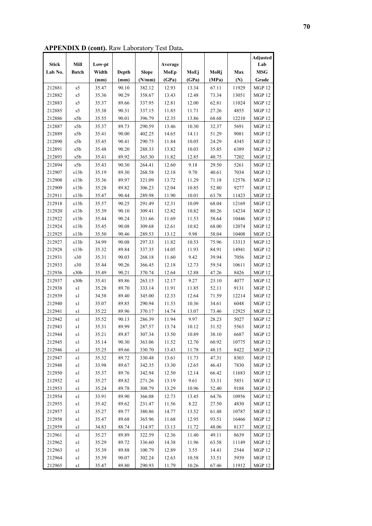**APPENDIX D (cont).** Raw Laboratory Test Data**.** 

|              |                                   |        |       |              |         |       |       |       | <b>Adjusted</b>   |
|--------------|-----------------------------------|--------|-------|--------------|---------|-------|-------|-------|-------------------|
| <b>Stick</b> | Mill                              | Low-pt |       |              | Average |       |       |       | Lab               |
| Lab No.      | <b>Batch</b>                      | Width  | Depth | <b>Slope</b> | MoEp    | MoEj  | MoRj  | Max   | <b>MSG</b>        |
|              |                                   | (mm)   | (mm)  | (N/mm)       | (GPa)   | (GPa) | (MPa) | (N)   | Grade             |
| 212881       | s5                                | 35.47  | 90.10 | 382.12       | 12.93   | 13.34 | 67.11 | 11929 | <b>MGP 12</b>     |
| 212882       | s5                                | 35.36  | 90.29 | 358.67       | 13.43   | 12.48 | 73.34 | 13051 | <b>MGP12</b>      |
| 212883       | s5                                | 35.37  | 89.66 | 337.95       | 12.81   | 12.00 | 62.81 | 11024 | <b>MGP12</b>      |
| 212885       | s5                                | 35.38  | 90.31 | 337.15       | 11.85   | 11.71 | 27.26 | 4855  | <b>MGP 12</b>     |
| 212886       | s5b                               | 35.55  | 90.01 | 396.79       | 12.35   | 13.86 | 68.68 | 12210 | MGP <sub>12</sub> |
| 212887       | s5b                               | 35.37  | 89.73 | 290.59       | 13.46   | 10.30 | 32.37 | 5691  | <b>MGP 12</b>     |
| 212889       | s5b                               | 35.41  | 90.00 | 402.25       | 14.65   | 14.11 | 51.29 | 9081  | MGP 12            |
| 212890       | s5b                               | 35.45  | 90.41 | 290.75       | 11.84   | 10.05 | 24.29 | 4345  | <b>MGP 12</b>     |
| 212891       | s5b                               | 35.48  | 90.20 | 288.33       | 13.82   | 10.03 | 35.85 | 6389  | <b>MGP 12</b>     |
| 212893       | s5b                               | 35.41  | 89.92 | 365.30       | 11.82   | 12.85 | 40.75 | 7202  | MGP 12            |
| 212894       | s5b                               | 35.43  | 90.30 | 264.41       | 12.60   | 9.18  | 29.50 | 5261  | MGP 12            |
| 212907       | s13b                              | 35.19  | 89.30 | 268.58       | 12.18   | 9.70  | 40.61 | 7034  | <b>MGP 12</b>     |
| 212908       | s13b                              | 35.36  | 89.97 | 321.09       | 13.72   | 11.29 | 71.18 | 12576 | <b>MGP 12</b>     |
| 212909       | s13b                              | 35.28  | 89.82 | 306.23       | 12.04   | 10.85 | 52.80 | 9277  | <b>MGP 12</b>     |
| 212911       | s13b                              | 35.47  | 90.44 | 289.98       | 11.90   | 10.01 | 63.78 | 11423 | <b>MGP 12</b>     |
| 212918       | s13b                              | 35.57  | 90.25 | 291.49       | 12.31   | 10.09 | 68.04 | 12169 | <b>MGP 12</b>     |
| 212920       | s13b                              | 35.39  | 90.10 | 309.41       | 12.82   | 10.82 | 80.26 | 14234 | <b>MGP 12</b>     |
| 212922       | s13b                              | 35.44  | 90.24 | 331.66       | 11.69   | 11.53 | 58.64 | 10446 | <b>MGP 12</b>     |
| 212924       | s13b                              | 35.45  | 90.08 | 309.68       | 12.61   | 10.82 | 68.00 | 12074 | <b>MGP 12</b>     |
| 212925       | s13b                              | 35.50  | 90.46 | 289.53       | 13.12   | 9.98  | 58.04 | 10408 | <b>MGP 12</b>     |
| 212927       | s13b                              | 34.99  | 90.08 | 297.33       | 11.82   | 10.53 | 75.96 | 13313 | <b>MGP 12</b>     |
| 212928       | s13b                              | 35.32  | 89.84 | 337.35       | 14.05   | 11.93 | 84.91 | 14941 | <b>MGP 12</b>     |
| 212931       | s30                               | 35.31  | 90.03 | 268.18       | 11.60   | 9.42  | 39.94 | 7056  | <b>MGP 12</b>     |
| 212933       | s30                               | 35.44  | 90.26 | 366.45       | 12.18   | 12.73 | 59.54 | 10611 | <b>MGP 12</b>     |
| 212936       | s30b                              | 35.49  | 90.21 | 370.74       | 12.64   | 12.88 | 47.26 | 8426  | <b>MGP 12</b>     |
| 212937       | s30b                              | 35.41  | 89.86 | 263.15       | 12.17   | 9.27  | 23.10 | 4077  | <b>MGP 12</b>     |
| 212938       | s1                                | 35.28  | 89.70 | 333.14       | 11.91   | 11.85 | 52.11 | 9131  | MGP 12            |
| 212939       | $\ensuremath{\mathrm{s}}\xspace1$ | 34.58  | 89.40 | 345.00       | 12.33   | 12.64 | 71.59 | 12214 | MGP <sub>12</sub> |
| 212940       | $\ensuremath{\mathrm{s}}\xspace1$ | 35.07  | 89.85 | 290.94       | 11.53   | 10.36 | 34.61 | 6048  | <b>MGP 12</b>     |
| 212941       | s1                                | 35.22  | 89.96 | 370.17       | 14.74   | 13.07 | 73.46 | 12925 | <b>MGP 12</b>     |
| 212942       | s1                                | 35.52  | 90.13 | 286.39       | 11.94   | 9.97  | 28.23 | 5027  | MGP <sub>12</sub> |
| 212943       | s1                                | 35.31  | 89.99 | 287.57       | 13.74   | 10.12 | 31.52 | 5563  | <b>MGP 12</b>     |
| 212944       | sl                                | 35.21  | 89.87 | 307.34       | 13.50   | 10.89 | 38.10 | 6687  | <b>MGP 12</b>     |
| 212945       | s1                                | 35.14  | 90.30 | 363.06       | 11.52   | 12.70 | 60.92 | 10775 | <b>MGP 12</b>     |
| 212946       | s1                                | 35.25  | 89.66 | 330.70       | 13.43   | 11.78 | 48.15 | 8422  | <b>MGP 12</b>     |
| 212947       | s1                                | 35.32  | 89.72 | 330.48       | 13.61   | 11.73 | 47.31 | 8303  | <b>MGP 12</b>     |
| 212948       | s1                                | 33.98  | 89.67 | 342.35       | 13.30   | 12.65 | 46.43 | 7830  | <b>MGP 12</b>     |
| 212950       | s1                                | 35.37  | 89.76 | 342.94       | 12.50   | 12.14 | 66.42 | 11683 | <b>MGP 12</b>     |
| 212952       | s1                                | 35.27  | 89.82 | 271.26       | 13.19   | 9.61  | 33.31 | 5851  | <b>MGP 12</b>     |
| 212953       | s1                                | 35.24  | 89.78 | 308.79       | 13.29   | 10.96 | 52.40 | 9188  | <b>MGP 12</b>     |
| 212954       | s1                                | 33.91  | 89.90 | 366.08       | 12.73   | 13.45 | 64.76 | 10956 | MGP 12            |
| 212955       | s1                                | 35.42  | 89.62 | 231.47       | 11.56   | 8.22  | 27.50 | 4830  | <b>MGP 12</b>     |
| 212957       | s1                                | 35.27  | 89.77 | 380.86       | 14.77   | 13.52 | 61.48 | 10787 | <b>MGP 12</b>     |
| 212958       | $\ensuremath{\mathrm{s}}\xspace1$ | 35.47  | 89.68 | 365.96       | 11.68   | 12.95 | 93.51 | 16466 | <b>MGP 12</b>     |
| 212959       | s1                                | 34.83  | 88.74 | 314.97       | 13.13   | 11.72 | 48.06 | 8137  | MGP <sub>12</sub> |
| 212961       | $\ensuremath{\mathrm{s}}\xspace1$ | 35.27  | 89.89 | 322.59       | 12.36   | 11.40 | 49.11 | 8639  | MGP <sub>12</sub> |
| 212962       | s1                                | 35.29  | 89.72 | 336.60       | 14.38   | 11.96 | 63.58 | 11149 | <b>MGP 12</b>     |
| 212963       | s1                                | 35.39  | 89.88 | 100.79       | 12.89   | 3.55  | 14.41 | 2544  | <b>MGP 12</b>     |
| 212964       | s1                                | 35.39  | 90.07 | 302.24       | 12.63   | 10.58 | 33.51 | 5939  | <b>MGP 12</b>     |
| 212965       | s1                                | 35.47  | 89.80 | 290.93       | 11.79   | 10.26 | 67.46 | 11912 | MGP 12            |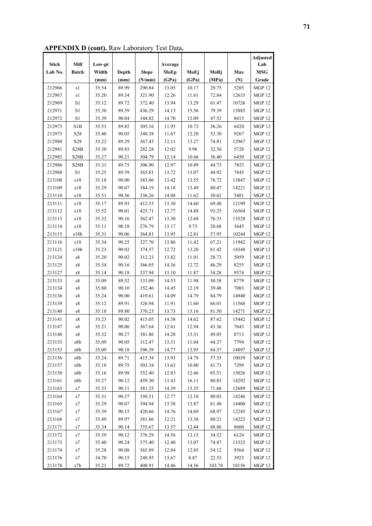**APPENDIX D (cont).** Raw Laboratory Test Data**.** 

|              |                            |        |       |              |         |       |        |       | Adjusted          |
|--------------|----------------------------|--------|-------|--------------|---------|-------|--------|-------|-------------------|
| <b>Stick</b> | Mill                       | Low-pt |       |              | Average |       |        |       | Lab               |
| Lab No.      | <b>Batch</b>               | Width  | Depth | <b>Slope</b> | MoEp    | MoEj  | MoRj   | Max   | <b>MSG</b>        |
|              |                            | (mm)   | (mm)  | (N/mm)       | (GPa)   | (GPa) | (MPa)  | (N)   | Grade             |
| 212966       | s1                         | 35.54  | 89.99 | 290.84       | 13.05   | 10.17 | 29.75  | 5285  | <b>MGP 12</b>     |
| 212967       | s1                         | 35.20  | 89.34 | 321.90       | 12.26   | 11.61 | 72.84  | 12633 | MGP <sub>12</sub> |
| 212969       | $\rm S1$                   | 35.12  | 89.72 | 372.40       | 13.94   | 13.29 | 61.47  | 10726 | MGP <sub>12</sub> |
| 212971       | S1                         | 35.30  | 89.59 | 436.29       | 14.13   | 15.56 | 79.39  | 13885 | MGP <sub>12</sub> |
| 212972       | $\rm S1$                   | 35.39  | 90.04 | 344.82       | 14.70   | 12.09 | 47.52  | 8415  | <b>MGP 12</b>     |
| 212973       | S1B                        | 35.53  | 89.85 | 305.16       | 11.95   | 10.72 | 36.26  | 6420  | MGP 12            |
| 212975       | S28                        | 35.40  | 90.05 | 348.38       | 11.67   | 12.20 | 52.30  | 9267  | <b>MGP 12</b>     |
| 212980       | S <sub>28</sub>            | 35.22  | 89.29 | 367.43       | 12.11   | 13.27 | 74.81  | 12967 | <b>MGP12</b>      |
| 212981       | S <sub>28</sub> B          | 35.30  | 89.85 | 282.28       | 12.02   | 9.98  | 32.56  | 5728  | <b>MGP 12</b>     |
| 212985       | S28B                       | 35.27  | 90.21 | 304.79       | 12.14   | 10.66 | 36.40  | 6450  | MGP 12            |
| 212986       | S28B                       | 35.31  | 89.75 | 306.90       | 12.97   | 10.89 | 44.73  | 7853  | <b>MGP 12</b>     |
| 212988       | S1                         | 35.25  | 89.59 | 365.81       | 13.72   | 13.07 | 44.92  | 7845  | <b>MGP 12</b>     |
| 213108       | s18                        | 35.18  | 90.00 | 383.86       | 13.42   | 13.55 | 78.72  | 13847 | <b>MGP 12</b>     |
| 213109       | s18                        | 35.29  | 90.07 | 384.19       | 14.18   | 13.49 | 80.47  | 14221 | <b>MGP 12</b>     |
| 213110       | s18                        | 35.51  | 90.36 | 336.26       | 14.08   | 11.62 | 30.62  | 5481  | MGP 12            |
| 213111       | s18                        | 35.17  | 89.93 | 412.53       | 13.30   | 14.60 | 69.48  | 12199 | <b>MGP 12</b>     |
| 213112       | s18                        | 35.52  | 90.01 | 425.71       | 12.77   | 14.88 | 93.25  | 16564 | <b>MGP 12</b>     |
| 213113       | s18                        | 35.32  | 90.16 | 362.47       | 13.30   | 12.68 | 76.33  | 13528 | <b>MGP12</b>      |
| 213114       | $\sqrt{s}18$               | 35.11  | 90.18 | 276.79       | 13.17   | 9.73  | 20.68  | 3645  | <b>MGP 12</b>     |
| 213115       | s18b                       | 35.31  | 90.06 | 364.81       | 13.95   | 12.81 | 57.95  | 10244 | MGP <sub>12</sub> |
| 213116       | s18                        | 35.34  | 90.25 | 327.70       | 13.86   | 11.42 | 67.21  | 11942 | <b>MGP 12</b>     |
| 213121       | s18b                       | 35.23  | 90.02 | 374.57       | 12.72   | 13.20 | 81.42  | 14348 | MGP <sub>12</sub> |
| 213124       | ${\rm s}8$                 | 35.20  | 90.02 | 312.23       | 13.82   | 11.01 | 28.73  | 5059  | MGP 12            |
| 213125       | ${\rm s}8$                 | 35.54  | 90.16 | 366.05       | 14.36   | 12.72 | 46.29  | 8255  | <b>MGP 12</b>     |
| 213127       | s8                         | 35.14  | 90.18 | 337.94       | 13.10   | 11.87 | 54.28  | 9574  | MGP 12            |
| 213133       | ${\rm s}8$                 | 35.09  | 89.52 | 333.09       | 14.53   | 11.98 | 50.58  | 8779  | <b>MGP 12</b>     |
| 213134       | ${\rm s}8$                 | 35.80  | 90.10 | 352.46       | 14.45   | 12.19 | 39.48  | 7083  | <b>MGP 12</b>     |
| 213136       | ${\rm s}8$                 | 35.24  | 90.00 | 419.61       | 14.09   | 14.79 | 84.79  | 14940 | <b>MGP 12</b>     |
| 213139       | ${\rm s}8$                 | 35.12  | 89.91 | 326.94       | 11.91   | 11.60 | 66.01  | 11568 | MGP 12            |
| 213140       | ${\rm s}8$                 | 35.18  | 89.80 | 370.23       | 13.73   | 13.16 | 81.50  | 14271 | <b>MGP 12</b>     |
| 213141       | ${\rm s}8$                 | 35.23  | 90.02 | 415.05       | 14.38   | 14.62 | 87.62  | 15442 | MGP 12            |
| 213147       | ${\rm s}8$                 | 35.21  | 90.06 | 367.64       | 12.61   | 12.94 | 43.36  | 7643  | <b>MGP 12</b>     |
| 213148       | ${\rm s}8$                 | 35.32  | 90.27 | 381.86       | 14.28   | 13.31 | 49.05  | 8713  | MGP12             |
| 213153       | s8b                        | 35.09  | 90.05 | 312.47       | 13.31   | 11.04 | 44.37  | 7794  | <b>MGP 12</b>     |
| 213153       | s8b                        | 35.09  | 90.18 | 396.39       | 14.77   | 13.95 | 84.57  | 14897 | <b>MGP 12</b>     |
| 213156       | s8b                        | 35.24  | 89.71 | 415.34       | 13.93   | 14.78 | 57.35  | 10039 | <b>MGP 12</b>     |
| 213157       | s8b                        | 35.18  | 89.75 | 303.34       | 13.63   | 10.80 | 41.73  | 7299  | <b>MGP 12</b>     |
| 213158       | s8b                        | 35.16  | 89.98 | 352.40       | 12.83   | 12.46 | 85.51  | 15026 | <b>MGP 12</b>     |
| 213161       | s8b                        | 35.27  | 90.12 | 459.30       | 13.43   | 16.11 | 80.83  | 14292 | MGP 12            |
| 213163       | s7                         | 35.33  | 90.11 | 381.25       | 14.39   | 13.35 | 71.66  | 12689 | <b>MGP 12</b>     |
| 213164       |                            | 35.31  | 90.37 | 350.51       | 12.77   | 12.18 | 80.03  | 14246 | <b>MGP 12</b>     |
| 213165       | s7<br>s7                   | 35.29  | 90.07 | 394.94       | 13.58   | 13.87 | 81.48  | 14400 | <b>MGP 12</b>     |
| 213167       | s7                         | 35.39  | 90.15 | 420.66       | 14.76   | 14.69 | 68.97  | 12245 | <b>MGP 12</b>     |
| 213168       | s7                         | 35.49  | 89.97 | 381.86       | 12.21   | 13.38 | 80.21  | 14223 | <b>MGP 12</b>     |
| 213171       | $\ensuremath{\mathrm{s}}7$ | 35.34  | 90.14 | 355.67       | 13.57   | 12.44 | 48.86  | 8660  | <b>MGP 12</b>     |
| 213172       | s7                         | 35.39  | 90.12 | 376.29       | 14.56   | 13.15 | 34.52  | 6124  | MGP 12            |
| 213173       | s7                         | 35.40  | 90.24 | 375.40       | 12.40   | 13.07 | 74.87  | 13323 | <b>MGP 12</b>     |
| 213174       | s7                         | 35.28  | 90.08 | 365.89       | 12.84   | 12.85 | 54.12  | 9564  | <b>MGP 12</b>     |
| 213176       | $\ensuremath{\mathrm{s}}7$ | 34.70  | 90.15 | 248.95       | 13.67   | 8.87  | 22.53  | 3923  | <b>MGP 12</b>     |
|              |                            |        |       |              |         |       |        |       |                   |
| 213178       | s7b                        | 35.21  | 89.72 | 408.91       | 14.46   | 14.56 | 103.78 | 18156 | MGP 12            |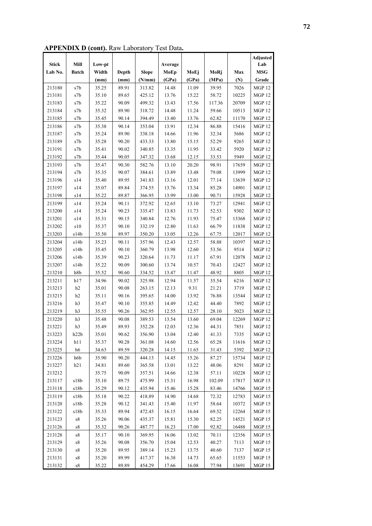**APPENDIX D (cont).** Raw Laboratory Test Data**.** 

|              |                                                   |        |       |              |         |       |        |       | <b>Adjusted</b> |
|--------------|---------------------------------------------------|--------|-------|--------------|---------|-------|--------|-------|-----------------|
| <b>Stick</b> | Mill                                              | Low-pt |       |              | Average |       |        |       | Lab             |
| Lab No.      | <b>Batch</b>                                      | Width  | Depth | <b>Slope</b> | MoEp    | MoEj  | MoRj   | Max   | <b>MSG</b>      |
|              |                                                   | (mm)   | (mm)  | (N/mm)       | (GPa)   | (GPa) | (MPa)  | (N)   | Grade           |
| 213180       | s7b                                               | 35.25  | 89.91 | 313.82       | 14.48   | 11.09 | 39.95  | 7026  | <b>MGP 12</b>   |
| 213181       | $\ensuremath{\mathrm{s}}7\ensuremath{\mathrm{b}}$ | 35.10  | 89.65 | 425.12       | 13.76   | 15.22 | 58.72  | 10225 | <b>MGP12</b>    |
| 213183       | $\ensuremath{\mathrm{s}}7\ensuremath{\mathrm{b}}$ | 35.22  | 90.09 | 499.32       | 13.43   | 17.56 | 117.36 | 20709 | <b>MGP 12</b>   |
| 213184       | $\ensuremath{\mathrm{s}}7\ensuremath{\mathrm{b}}$ | 35.32  | 89.90 | 318.72       | 14.48   | 11.24 | 59.66  | 10513 | <b>MGP 12</b>   |
| 213185       | $\ensuremath{\mathrm{s}}7\ensuremath{\mathrm{b}}$ | 35.45  | 90.14 | 394.49       | 13.40   | 13.76 | 62.82  | 11170 | <b>MGP12</b>    |
| 213186       | s7b                                               | 35.38  | 90.14 | 353.04       | 13.91   | 12.34 | 86.88  | 15416 | <b>MGP 12</b>   |
| 213187       | $\ensuremath{\mathrm{s}}7\ensuremath{\mathrm{b}}$ | 35.24  | 89.90 | 338.18       | 14.66   | 11.96 | 32.34  | 5686  | <b>MGP 12</b>   |
| 213189       | s7b                                               | 35.28  | 90.20 | 433.33       | 13.80   | 15.15 | 52.29  | 9265  | <b>MGP 12</b>   |
| 213191       | s7b                                               | 35.41  | 90.02 | 340.85       | 13.35   | 11.95 | 33.42  | 5920  | <b>MGP 12</b>   |
| 213192       | s7b                                               | 35.44  | 90.05 | 347.32       | 13.68   | 12.15 | 33.53  | 5949  | <b>MGP 12</b>   |
| 213193       | s7b                                               | 35.47  | 90.30 | 582.76       | 13.10   | 20.20 | 98.91  | 17659 | <b>MGP 12</b>   |
| 213194       | s7b                                               | 35.35  | 90.07 | 384.61       | 13.89   | 13.48 | 79.08  | 13999 | <b>MGP 12</b>   |
| 213196       | s14                                               | 35.40  | 89.95 | 341.83       | 13.16   | 12.01 | 77.14  | 13639 | <b>MGP 12</b>   |
| 213197       | s14                                               | 35.07  | 89.84 | 374.55       | 13.76   | 13.34 | 85.28  | 14901 | <b>MGP 12</b>   |
| 213198       | s14                                               | 35.22  | 89.87 | 366.95       | 13.99   | 13.00 | 90.71  | 15928 | <b>MGP 12</b>   |
| 213199       | s14                                               | 35.24  | 90.11 | 372.92       | 12.65   | 13.10 | 73.27  | 12941 | <b>MGP 12</b>   |
| 213200       | s14                                               | 35.24  | 90.23 | 335.47       | 13.83   | 11.73 | 52.53  | 9302  | <b>MGP 12</b>   |
| 213201       | s14                                               | 35.31  | 90.15 | 340.84       | 12.76   | 11.93 | 75.47  | 13368 | <b>MGP12</b>    |
| 213202       | $\sqrt{s}10$                                      | 35.37  | 90.10 | 332.19       | 12.80   | 11.63 | 66.79  | 11838 | <b>MGP 12</b>   |
| 213203       | s14b                                              | 35.50  | 89.97 | 350.20       | 13.05   | 12.26 | 67.75  | 12017 | <b>MGP 12</b>   |
| 213204       | s14b                                              | 35.23  | 90.11 | 357.96       | 12.43   | 12.57 | 58.88  | 10397 | <b>MGP 12</b>   |
| 213205       | s14b                                              | 35.45  | 90.10 | 360.79       | 13.98   | 12.60 | 53.56  | 9514  | <b>MGP 12</b>   |
| 213206       | s14b                                              | 35.39  | 90.23 | 320.64       | 11.73   | 11.17 | 67.91  | 12078 | <b>MGP 12</b>   |
| 213207       | s14b                                              | 35.22  | 90.09 | 300.60       | 13.74   | 10.57 | 70.43  | 12427 | <b>MGP 12</b>   |
| 213210       | h8b                                               | 35.52  | 90.60 | 334.52       | 13.47   | 11.47 | 48.92  | 8805  | MGP 12          |
| 213211       | h17                                               | 34.96  | 90.02 | 325.98       | 12.94   | 11.57 | 35.54  | 6216  | <b>MGP 12</b>   |
| 213213       | h2                                                | 35.01  | 90.08 | 263.15       | 12.13   | 9.31  | 21.21  | 3719  | <b>MGP 12</b>   |
| 213215       | h2                                                | 35.11  | 90.16 | 395.65       | 14.00   | 13.92 | 76.88  | 13544 | <b>MGP 12</b>   |
| 213216       | h3                                                | 35.47  | 90.10 | 355.85       | 14.49   | 12.42 | 44.40  | 7892  | <b>MGP 12</b>   |
| 213219       | h <sub>3</sub>                                    | 35.55  | 90.26 | 362.95       | 12.55   | 12.57 | 28.10  | 5023  | <b>MGP 12</b>   |
| 213220       | h3                                                | 35.48  | 90.08 | 389.53       | 13.54   | 13.60 | 69.04  | 12269 | <b>MGP 12</b>   |
| 213221       | h3                                                | 35.49  | 89.93 | 352.28       | 12.03   | 12.36 | 44.31  | 7851  | <b>MGP12</b>    |
| 213223       | h22b                                              | 35.01  | 90.62 | 356.90       | 13.04   | 12.40 | 41.33  | 7335  | <b>MGP 12</b>   |
| 213224       | h11                                               | 35.37  | 90.28 | 361.08       | 14.60   | 12.56 | 65.28  | 11616 | <b>MGP 12</b>   |
| 213225       | h6                                                | 34.63  | 89.59 | 320.28       | 14.15   | 11.65 | 31.43  | 5392  | <b>MGP 12</b>   |
| 213226       | h6b                                               | 35.90  | 90.20 | 444.13       | 14.45   | 15.26 | 87.27  | 15734 | <b>MGP 12</b>   |
| 213227       | h21                                               | 34.81  | 89.60 | 365.58       | 13.01   | 13.22 | 48.06  | 8291  | <b>MGP 12</b>   |
| 213212       |                                                   | 35.75  | 90.09 | 357.51       | 14.66   | 12.38 | 57.11  | 10228 | <b>MGP 12</b>   |
| 213117       | s18b                                              | 35.10  | 89.75 | 475.99       | 15.31   | 16.98 | 102.09 | 17817 | <b>MGP 15</b>   |
| 213118       | s18b                                              | 35.29  | 90.12 | 435.94       | 15.46   | 15.28 | 83.46  | 14766 | <b>MGP 15</b>   |
| 213119       | s18b                                              | 35.18  | 90.22 | 418.89       | 14.90   | 14.68 | 72.32  | 12783 | <b>MGP 15</b>   |
| 213120       | s18b                                              | 35.28  | 90.12 | 341.43       | 15.40   | 11.97 | 58.64  | 10372 | <b>MGP 15</b>   |
| 213122       | s18b                                              | 35.33  | 89.94 | 472.45       | 16.15   | 16.64 | 69.52  | 12264 | <b>MGP 15</b>   |
| 213123       | ${\rm s}8$                                        | 35.26  | 90.06 | 435.37       | 15.81   | 15.30 | 82.25  | 14521 | <b>MGP 15</b>   |
| 213126       | ${\rm s}8$                                        | 35.32  | 90.26 | 487.77       | 16.23   | 17.00 | 92.82  | 16488 | <b>MGP 15</b>   |
| 213128       | s8                                                | 35.17  | 90.10 | 369.95       | 16.06   | 13.02 | 70.11  | 12356 | <b>MGP 15</b>   |
| 213129       | s8                                                | 35.26  | 90.08 | 356.70       | 15.04   | 12.53 | 40.27  | 7113  | <b>MGP 15</b>   |
| 213130       | ${\rm s}8$                                        | 35.20  | 89.95 | 389.14       | 15.23   | 13.75 | 40.60  | 7137  | <b>MGP 15</b>   |
| 213131       | ${\rm s}8$                                        | 35.20  | 89.99 | 417.37       | 16.38   | 14.73 | 65.65  | 11553 | <b>MGP 15</b>   |
| 213132       | ${\rm s}8$                                        | 35.22  | 89.89 | 454.29       | 17.66   | 16.08 | 77.94  | 13691 | <b>MGP 15</b>   |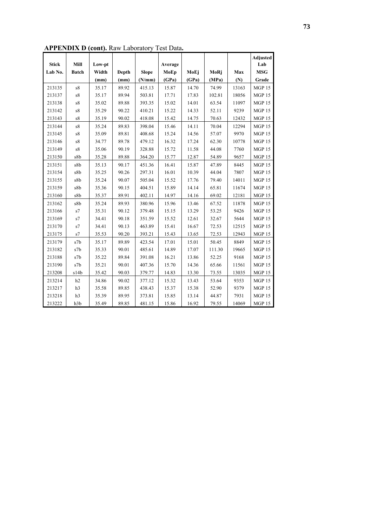|              |                            |        |       |              |         |       |        |       | <b>Adjusted</b> |
|--------------|----------------------------|--------|-------|--------------|---------|-------|--------|-------|-----------------|
| <b>Stick</b> | Mill                       | Low-pt |       |              | Average |       |        |       | Lab             |
| Lab No.      | <b>Batch</b>               | Width  | Depth | <b>Slope</b> | MoEp    | MoEj  | MoRj   | Max   | <b>MSG</b>      |
|              |                            | (mm)   | (mm)  | (N/mm)       | (GPa)   | (GPa) | (MPa)  | (N)   | Grade           |
| 213135       | s8                         | 35.17  | 89.92 | 415.13       | 15.87   | 14.70 | 74.99  | 13163 | <b>MGP 15</b>   |
| 213137       | s8                         | 35.17  | 89.94 | 503.81       | 17.71   | 17.83 | 102.81 | 18056 | <b>MGP 15</b>   |
| 213138       | ${\rm s}8$                 | 35.02  | 89.88 | 393.35       | 15.02   | 14.01 | 63.54  | 11097 | <b>MGP15</b>    |
| 213142       | ${\rm s}8$                 | 35.29  | 90.22 | 410.21       | 15.22   | 14.33 | 52.11  | 9239  | <b>MGP 15</b>   |
| 213143       | s8                         | 35.19  | 90.02 | 418.08       | 15.42   | 14.75 | 70.63  | 12432 | <b>MGP15</b>    |
| 213144       | s8                         | 35.24  | 89.83 | 398.04       | 15.46   | 14.11 | 70.04  | 12294 | <b>MGP 15</b>   |
| 213145       | ${\rm s}8$                 | 35.09  | 89.81 | 408.68       | 15.24   | 14.56 | 57.07  | 9970  | <b>MGP 15</b>   |
| 213146       | ${\rm s}8$                 | 34.77  | 89.78 | 479.12       | 16.32   | 17.24 | 62.30  | 10778 | <b>MGP 15</b>   |
| 213149       | ${\rm s}8$                 | 35.06  | 90.19 | 328.88       | 15.72   | 11.58 | 44.08  | 7760  | <b>MGP 15</b>   |
| 213150       | s8b                        | 35.28  | 89.88 | 364.20       | 15.77   | 12.87 | 54.89  | 9657  | MGP 15          |
| 213151       | s8b                        | 35.13  | 90.17 | 451.36       | 16.41   | 15.87 | 47.89  | 8445  | <b>MGP 15</b>   |
| 213154       | s8b                        | 35.25  | 90.26 | 297.31       | 16.01   | 10.39 | 44.04  | 7807  | <b>MGP 15</b>   |
| 213155       | s8b                        | 35.24  | 90.07 | 505.04       | 15.52   | 17.76 | 79.40  | 14011 | <b>MGP 15</b>   |
| 213159       | s8b                        | 35.36  | 90.15 | 404.51       | 15.89   | 14.14 | 65.81  | 11674 | <b>MGP 15</b>   |
| 213160       | s8b                        | 35.37  | 89.91 | 402.11       | 14.97   | 14.16 | 69.02  | 12181 | <b>MGP 15</b>   |
| 213162       | s8b                        | 35.24  | 89.93 | 380.96       | 15.96   | 13.46 | 67.52  | 11878 | <b>MGP 15</b>   |
| 213166       | s7                         | 35.31  | 90.12 | 379.48       | 15.15   | 13.29 | 53.25  | 9426  | <b>MGP 15</b>   |
| 213169       | $\ensuremath{\mathrm{s}}7$ | 34.41  | 90.18 | 351.59       | 15.52   | 12.61 | 32.67  | 5644  | <b>MGP 15</b>   |
| 213170       | s7                         | 34.41  | 90.13 | 463.89       | 15.41   | 16.67 | 72.53  | 12515 | <b>MGP15</b>    |
| 213175       | s7                         | 35.53  | 90.20 | 393.21       | 15.43   | 13.65 | 72.53  | 12943 | <b>MGP15</b>    |
| 213179       | s7b                        | 35.17  | 89.89 | 423.54       | 17.01   | 15.01 | 50.45  | 8849  | <b>MGP 15</b>   |
| 213182       | s7b                        | 35.33  | 90.01 | 485.61       | 14.89   | 17.07 | 111.30 | 19665 | <b>MGP15</b>    |
| 213188       | s7b                        | 35.22  | 89.84 | 391.08       | 16.21   | 13.86 | 52.25  | 9168  | MGP 15          |
| 213190       | s7b                        | 35.21  | 90.01 | 407.36       | 15.70   | 14.36 | 65.66  | 11561 | <b>MGP15</b>    |
| 213208       | s14b                       | 35.42  | 90.03 | 379.77       | 14.83   | 13.30 | 73.55  | 13035 | <b>MGP 15</b>   |
| 213214       | h2                         | 34.86  | 90.02 | 377.12       | 15.32   | 13.43 | 53.64  | 9353  | <b>MGP 15</b>   |
| 213217       | h3                         | 35.58  | 89.85 | 438.43       | 15.37   | 15.38 | 52.90  | 9379  | <b>MGP15</b>    |
| 213218       | h3                         | 35.39  | 89.95 | 373.81       | 15.85   | 13.14 | 44.87  | 7931  | <b>MGP 15</b>   |
| 213222       | h3b                        | 35.49  | 89.85 | 481.15       | 15.86   | 16.92 | 79.55  | 14069 | <b>MGP15</b>    |

**APPENDIX D (cont).** Raw Laboratory Test Data**.**